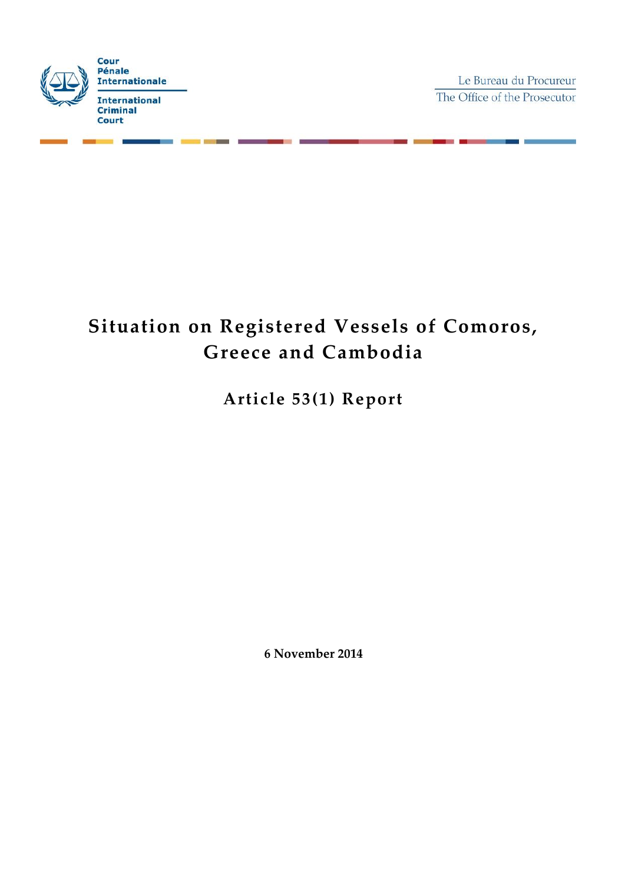

Le Bureau du Procureur The Office of the Prosecutor

# **Situation on Registered Vessels of Comoros, Greece and Cambodia**

**Article 53(1) Report**

**6 November 2014**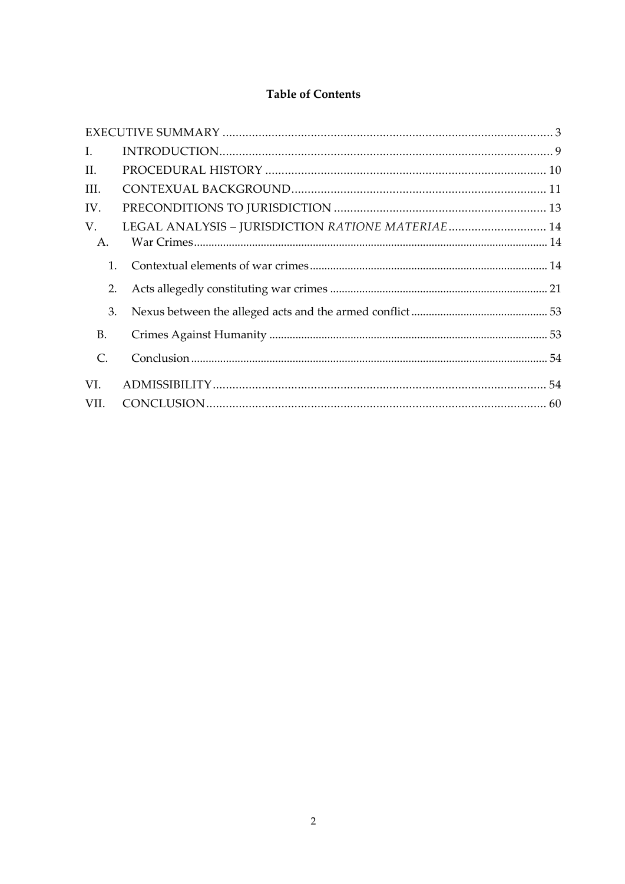# **Table of Contents**

| I.             |                                                   |  |
|----------------|---------------------------------------------------|--|
| II.            |                                                   |  |
| III.           |                                                   |  |
| IV.            |                                                   |  |
| V.             | LEGAL ANALYSIS - JURISDICTION RATIONE MATERIAE 14 |  |
| A.             |                                                   |  |
| 1.             |                                                   |  |
| 2.             |                                                   |  |
| 3.             |                                                   |  |
| <b>B.</b>      |                                                   |  |
| $\mathsf{C}$ . |                                                   |  |
| VI.            |                                                   |  |
| VII.           |                                                   |  |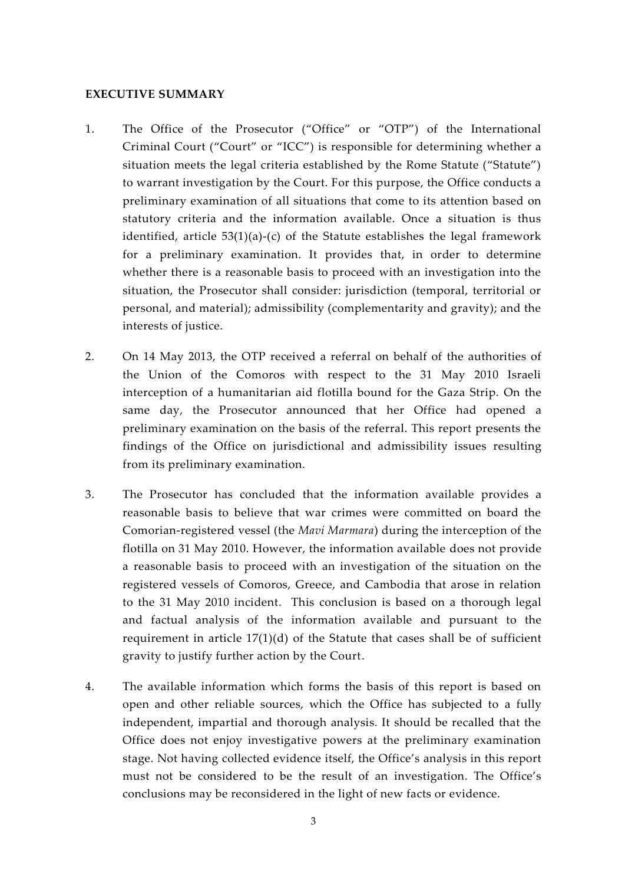#### **EXECUTIVE SUMMARY**

- 1. The Office of the Prosecutor ("Office" or "OTP") of the International Criminal Court ("Court" or "ICC") is responsible for determining whether a situation meets the legal criteria established by the Rome Statute ("Statute") to warrant investigation by the Court. For this purpose, the Office conducts a preliminary examination of all situations that come to its attention based on statutory criteria and the information available. Once a situation is thus identified, article  $53(1)(a)-(c)$  of the Statute establishes the legal framework for a preliminary examination. It provides that, in order to determine whether there is a reasonable basis to proceed with an investigation into the situation, the Prosecutor shall consider: jurisdiction (temporal, territorial or personal, and material); admissibility (complementarity and gravity); and the interests of justice.
- 2. On 14 May 2013, the OTP received a referral on behalf of the authorities of the Union of the Comoros with respect to the 31 May 2010 Israeli interception of a humanitarian aid flotilla bound for the Gaza Strip. On the same day, the Prosecutor announced that her Office had opened a preliminary examination on the basis of the referral. This report presents the findings of the Office on jurisdictional and admissibility issues resulting from its preliminary examination.
- 3. The Prosecutor has concluded that the information available provides a reasonable basis to believe that war crimes were committed on board the Comorian-registered vessel (the *Mavi Marmara*) during the interception of the flotilla on 31 May 2010. However, the information available does not provide a reasonable basis to proceed with an investigation of the situation on the registered vessels of Comoros, Greece, and Cambodia that arose in relation to the 31 May 2010 incident. This conclusion is based on a thorough legal and factual analysis of the information available and pursuant to the requirement in article  $17(1)(d)$  of the Statute that cases shall be of sufficient gravity to justify further action by the Court.
- 4. The available information which forms the basis of this report is based on open and other reliable sources, which the Office has subjected to a fully independent, impartial and thorough analysis. It should be recalled that the Office does not enjoy investigative powers at the preliminary examination stage. Not having collected evidence itself, the Office's analysis in this report must not be considered to be the result of an investigation. The Office's conclusions may be reconsidered in the light of new facts or evidence.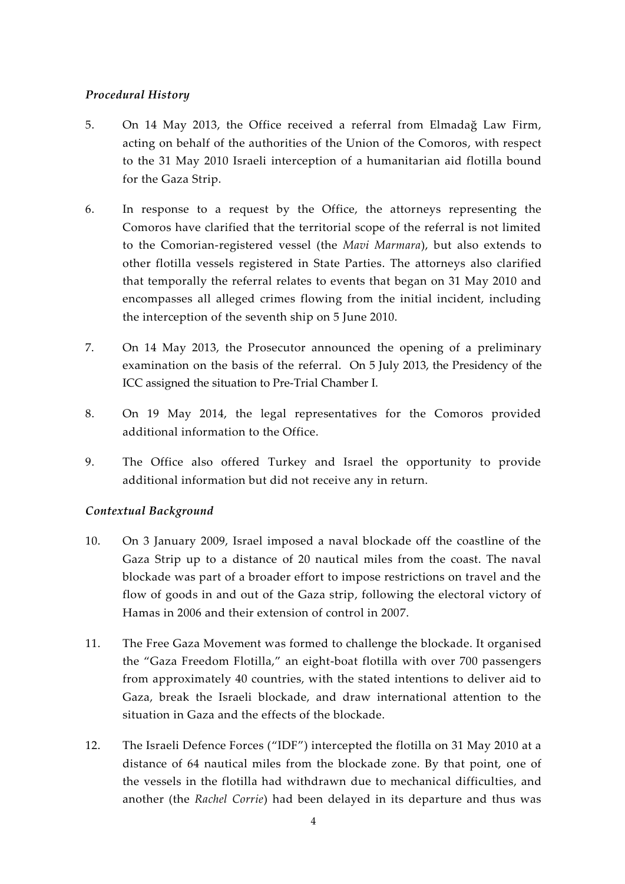## *Procedural History*

- 5. On 14 May 2013, the Office received a referral from Elmadağ Law Firm, acting on behalf of the authorities of the Union of the Comoros, with respect to the 31 May 2010 Israeli interception of a humanitarian aid flotilla bound for the Gaza Strip.
- 6. In response to a request by the Office, the attorneys representing the Comoros have clarified that the territorial scope of the referral is not limited to the Comorian-registered vessel (the *Mavi Marmara*), but also extends to other flotilla vessels registered in State Parties. The attorneys also clarified that temporally the referral relates to events that began on 31 May 2010 and encompasses all alleged crimes flowing from the initial incident, including the interception of the seventh ship on 5 June 2010.
- 7. On 14 May 2013, the Prosecutor announced the opening of a preliminary examination on the basis of the referral. On 5 July 2013, the Presidency of the ICC assigned the situation to Pre-Trial Chamber I.
- 8. On 19 May 2014, the legal representatives for the Comoros provided additional information to the Office.
- 9. The Office also offered Turkey and Israel the opportunity to provide additional information but did not receive any in return.

## *Contextual Background*

- 10. On 3 January 2009, Israel imposed a naval blockade off the coastline of the Gaza Strip up to a distance of 20 nautical miles from the coast. The naval blockade was part of a broader effort to impose restrictions on travel and the flow of goods in and out of the Gaza strip, following the electoral victory of Hamas in 2006 and their extension of control in 2007.
- 11. The Free Gaza Movement was formed to challenge the blockade. It organised the "Gaza Freedom Flotilla," an eight-boat flotilla with over 700 passengers from approximately 40 countries, with the stated intentions to deliver aid to Gaza, break the Israeli blockade, and draw international attention to the situation in Gaza and the effects of the blockade.
- 12. The Israeli Defence Forces ("IDF") intercepted the flotilla on 31 May 2010 at a distance of 64 nautical miles from the blockade zone. By that point, one of the vessels in the flotilla had withdrawn due to mechanical difficulties, and another (the *Rachel Corrie*) had been delayed in its departure and thus was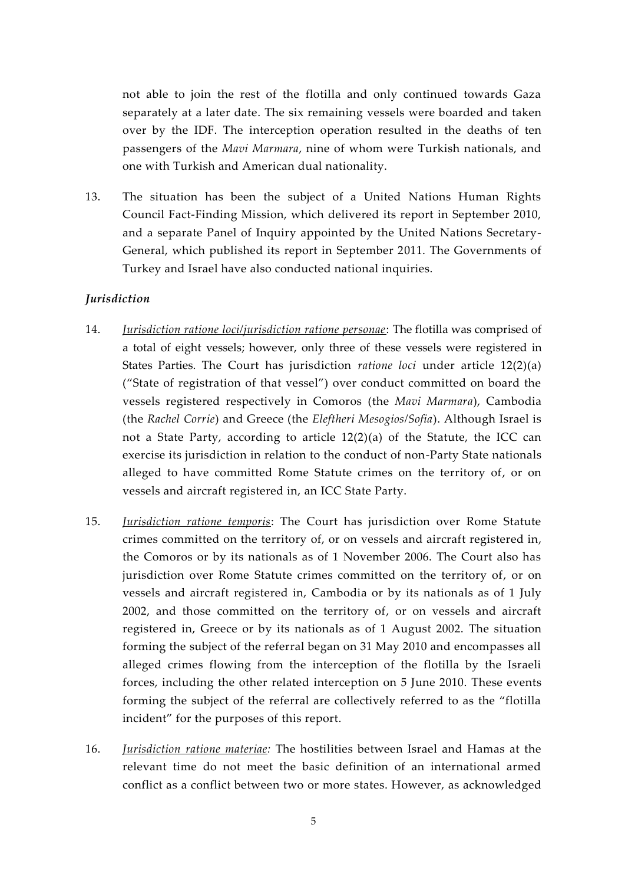not able to join the rest of the flotilla and only continued towards Gaza separately at a later date. The six remaining vessels were boarded and taken over by the IDF. The interception operation resulted in the deaths of ten passengers of the *Mavi Marmara*, nine of whom were Turkish nationals, and one with Turkish and American dual nationality.

13. The situation has been the subject of a United Nations Human Rights Council Fact-Finding Mission, which delivered its report in September 2010, and a separate Panel of Inquiry appointed by the United Nations Secretary- General, which published its report in September 2011. The Governments of Turkey and Israel have also conducted national inquiries.

## *Jurisdiction*

- 14. *Jurisdiction ratione loci/jurisdiction ratione personae*: The flotilla was comprised of a total of eight vessels; however, only three of these vessels were registered in States Parties. The Court has jurisdiction *ratione loci* under article 12(2)(a) ("State of registration of that vessel") over conduct committed on board the vessels registered respectively in Comoros (the *Mavi Marmara*), Cambodia (the *Rachel Corrie*) and Greece (the *Eleftheri Mesogios/Sofia*). Although Israel is not a State Party, according to article 12(2)(a) of the Statute, the ICC can exercise its jurisdiction in relation to the conduct of non-Party State nationals alleged to have committed Rome Statute crimes on the territory of, or on vessels and aircraft registered in, an ICC State Party.
- 15. *Jurisdiction ratione temporis*: The Court has jurisdiction over Rome Statute crimes committed on the territory of, or on vessels and aircraft registered in, the Comoros or by its nationals as of 1 November 2006. The Court also has jurisdiction over Rome Statute crimes committed on the territory of, or on vessels and aircraft registered in, Cambodia or by its nationals as of 1 July 2002, and those committed on the territory of, or on vessels and aircraft registered in, Greece or by its nationals as of 1 August 2002. The situation forming the subject of the referral began on 31 May 2010 and encompasses all alleged crimes flowing from the interception of the flotilla by the Israeli forces, including the other related interception on 5 June 2010. These events forming the subject of the referral are collectively referred to as the "flotilla incident" for the purposes of this report.
- 16. *Jurisdiction ratione materiae:* The hostilities between Israel and Hamas at the relevant time do not meet the basic definition of an international armed conflict as a conflict between two or more states. However, as acknowledged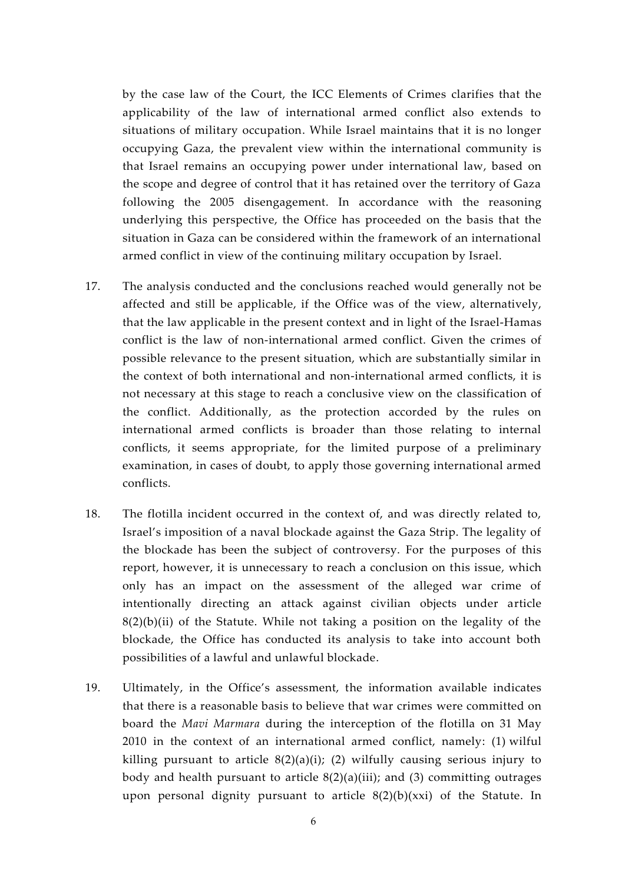by the case law of the Court, the ICC Elements of Crimes clarifies that the applicability of the law of international armed conflict also extends to situations of military occupation. While Israel maintains that it is no longer occupying Gaza, the prevalent view within the international community is that Israel remains an occupying power under international law, based on the scope and degree of control that it has retained over the territory of Gaza following the 2005 disengagement. In accordance with the reasoning underlying this perspective, the Office has proceeded on the basis that the situation in Gaza can be considered within the framework of an international armed conflict in view of the continuing military occupation by Israel.

- 17. The analysis conducted and the conclusions reached would generally not be affected and still be applicable, if the Office was of the view, alternatively, that the law applicable in the present context and in light of the Israel-Hamas conflict is the law of non-international armed conflict. Given the crimes of possible relevance to the present situation, which are substantially similar in the context of both international and non-international armed conflicts, it is not necessary at this stage to reach a conclusive view on the classification of the conflict. Additionally, as the protection accorded by the rules on international armed conflicts is broader than those relating to internal conflicts, it seems appropriate, for the limited purpose of a preliminary examination, in cases of doubt, to apply those governing international armed conflicts.
- 18. The flotilla incident occurred in the context of, and was directly related to, Israel's imposition of a naval blockade against the Gaza Strip. The legality of the blockade has been the subject of controversy. For the purposes of this report, however, it is unnecessary to reach a conclusion on this issue, which only has an impact on the assessment of the alleged war crime of intentionally directing an attack against civilian objects under article  $8(2)(b)(ii)$  of the Statute. While not taking a position on the legality of the blockade, the Office has conducted its analysis to take into account both possibilities of a lawful and unlawful blockade.
- 19. Ultimately, in the Office's assessment, the information available indicates that there is a reasonable basis to believe that war crimes were committed on board the *Mavi Marmara* during the interception of the flotilla on 31 May 2010 in the context of an international armed conflict, namely: (1) wilful killing pursuant to article  $8(2)(a)(i)$ ; (2) wilfully causing serious injury to body and health pursuant to article  $8(2)(a)(iii)$ ; and (3) committing outrages upon personal dignity pursuant to article 8(2)(b)(xxi) of the Statute. In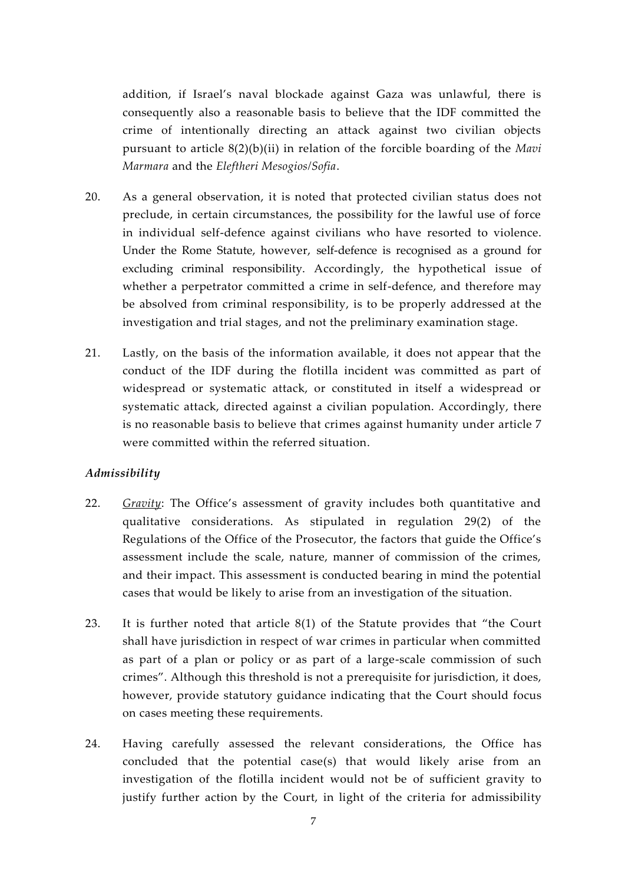addition, if Israel's naval blockade against Gaza was unlawful, there is consequently also a reasonable basis to believe that the IDF committed the crime of intentionally directing an attack against two civilian objects pursuant to article 8(2)(b)(ii) in relation of the forcible boarding of the *Mavi Marmara* and the *Eleftheri Mesogios/Sofia*.

- 20. As a general observation, it is noted that protected civilian status does not preclude, in certain circumstances, the possibility for the lawful use of force in individual self-defence against civilians who have resorted to violence. Under the Rome Statute, however, self-defence is recognised as a ground for excluding criminal responsibility. Accordingly, the hypothetical issue of whether a perpetrator committed a crime in self-defence, and therefore may be absolved from criminal responsibility, is to be properly addressed at the investigation and trial stages, and not the preliminary examination stage.
- 21. Lastly, on the basis of the information available, it does not appear that the conduct of the IDF during the flotilla incident was committed as part of widespread or systematic attack, or constituted in itself a widespread or systematic attack, directed against a civilian population. Accordingly, there is no reasonable basis to believe that crimes against humanity under article 7 were committed within the referred situation.

#### *Admissibility*

- 22. *Gravity*: The Office's assessment of gravity includes both quantitative and qualitative considerations. As stipulated in regulation 29(2) of the Regulations of the Office of the Prosecutor, the factors that guide the Office's assessment include the scale, nature, manner of commission of the crimes, and their impact. This assessment is conducted bearing in mind the potential cases that would be likely to arise from an investigation of the situation.
- 23. It is further noted that article 8(1) of the Statute provides that "the Court shall have jurisdiction in respect of war crimes in particular when committed as part of a plan or policy or as part of a large-scale commission of such crimes". Although this threshold is not a prerequisite for jurisdiction, it does, however, provide statutory guidance indicating that the Court should focus on cases meeting these requirements.
- 24. Having carefully assessed the relevant considerations, the Office has concluded that the potential case(s) that would likely arise from an investigation of the flotilla incident would not be of sufficient gravity to justify further action by the Court, in light of the criteria for admissibility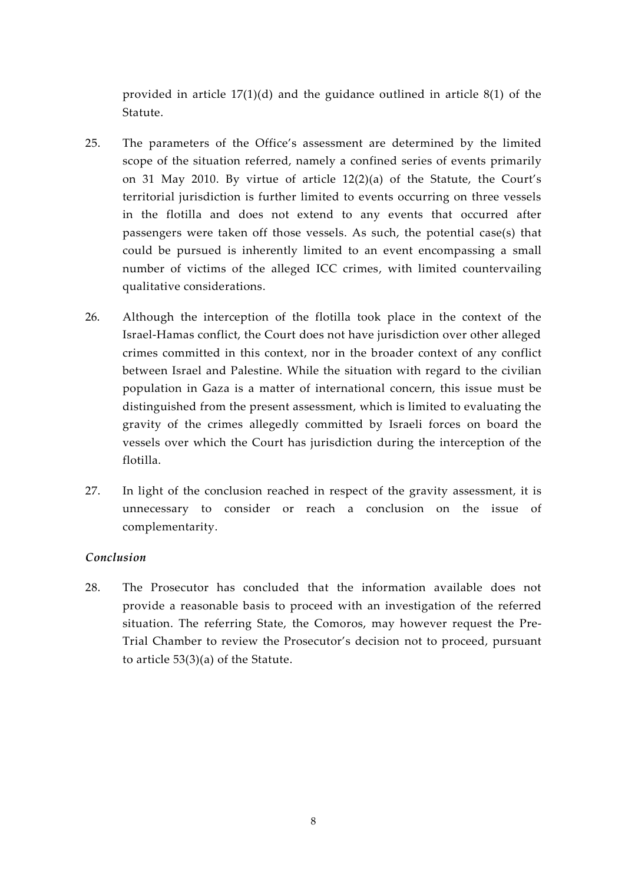provided in article 17(1)(d) and the guidance outlined in article 8(1) of the Statute.

- 25. The parameters of the Office's assessment are determined by the limited scope of the situation referred, namely a confined series of events primarily on 31 May 2010. By virtue of article 12(2)(a) of the Statute, the Court's territorial jurisdiction is further limited to events occurring on three vessels in the flotilla and does not extend to any events that occurred after passengers were taken off those vessels. As such, the potential case(s) that could be pursued is inherently limited to an event encompassing a small number of victims of the alleged ICC crimes, with limited countervailing qualitative considerations.
- 26. Although the interception of the flotilla took place in the context of the Israel-Hamas conflict, the Court does not have jurisdiction over other alleged crimes committed in this context, nor in the broader context of any conflict between Israel and Palestine. While the situation with regard to the civilian population in Gaza is a matter of international concern, this issue must be distinguished from the present assessment, which is limited to evaluating the gravity of the crimes allegedly committed by Israeli forces on board the vessels over which the Court has jurisdiction during the interception of the flotilla.
- 27. In light of the conclusion reached in respect of the gravity assessment, it is unnecessary to consider or reach a conclusion on the issue of complementarity.

#### *Conclusion*

28. The Prosecutor has concluded that the information available does not provide a reasonable basis to proceed with an investigation of the referred situation. The referring State, the Comoros, may however request the Pre- Trial Chamber to review the Prosecutor's decision not to proceed, pursuant to article 53(3)(a) of the Statute.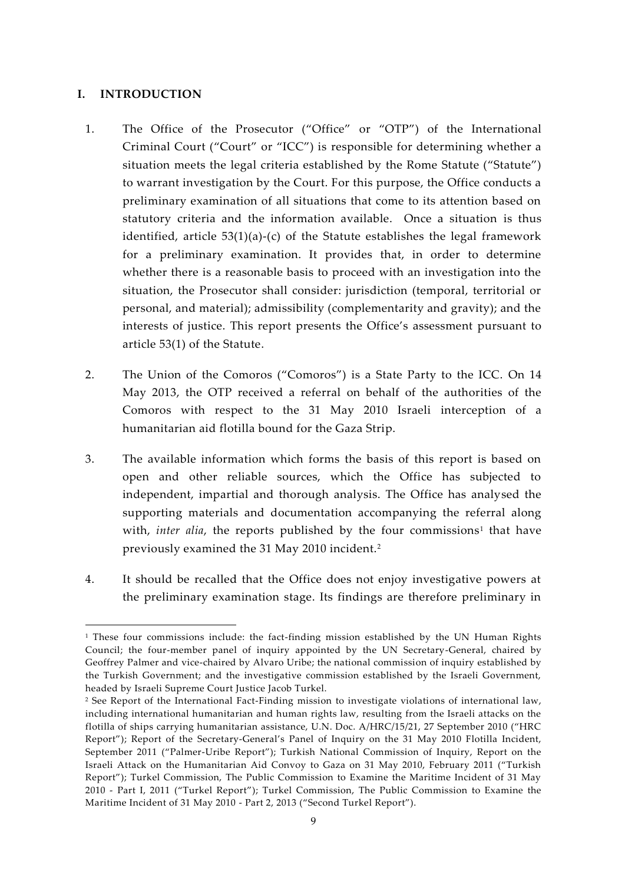#### **I. INTRODUCTION**

- 1. The Office of the Prosecutor ("Office" or "OTP") of the International Criminal Court ("Court" or "ICC") is responsible for determining whether a situation meets the legal criteria established by the Rome Statute ("Statute") to warrant investigation by the Court. For this purpose, the Office conducts a preliminary examination of all situations that come to its attention based on statutory criteria and the information available. Once a situation is thus identified, article  $53(1)(a)-(c)$  of the Statute establishes the legal framework for a preliminary examination. It provides that, in order to determine whether there is a reasonable basis to proceed with an investigation into the situation, the Prosecutor shall consider: jurisdiction (temporal, territorial or personal, and material); admissibility (complementarity and gravity); and the interests of justice. This report presents the Office's assessment pursuant to article 53(1) of the Statute.
- 2. The Union of the Comoros ("Comoros") is a State Party to the ICC. On 14 May 2013, the OTP received a referral on behalf of the authorities of the Comoros with respect to the 31 May 2010 Israeli interception of a humanitarian aid flotilla bound for the Gaza Strip.
- 3. The available information which forms the basis of this report is based on open and other reliable sources, which the Office has subjected to independent, impartial and thorough analysis. The Office has analysed the supporting materials and documentation accompanying the referral along with, *inter alia*, the reports published by the four commissions<sup>1</sup> that have previously examined the 31 May 2010 incident.<sup>2</sup>
- 4. It should be recalled that the Office does not enjoy investigative powers at the preliminary examination stage. Its findings are therefore preliminary in

 $1$  These four commissions include: the fact-finding mission established by the UN Human Rights Council; the four-member panel of inquiry appointed by the UN Secretary-General, chaired by Geoffrey Palmer and vice-chaired by Alvaro Uribe; the national commission of inquiry established by the Turkish Government; and the investigative commission established by the Israeli Government, headed by Israeli Supreme Court Justice Jacob Turkel.

<sup>&</sup>lt;sup>2</sup> See Report of the International Fact-Finding mission to investigate violations of international law, including international humanitarian and human rights law, resulting from the Israeli attacks on the flotilla of ships carrying humanitarian assistance, U.N. Doc. A/HRC/15/21, 27 September 2010 ("HRC Report"); Report of the Secretary-General's Panel of Inquiry on the 31 May 2010 Flotilla Incident, September 2011 ("Palmer-Uribe Report"); Turkish National Commission of Inquiry, Report on the Israeli Attack on the Humanitarian Aid Convoy to Gaza on 31 May 2010, February 2011 ("Turkish Report"); Turkel Commission, The Public Commission to Examine the Maritime Incident of 31 May 2010 - Part I, 2011 ("Turkel Report"); Turkel Commission, The Public Commission to Examine the Maritime Incident of 31 May 2010 - Part 2, 2013 ("Second Turkel Report").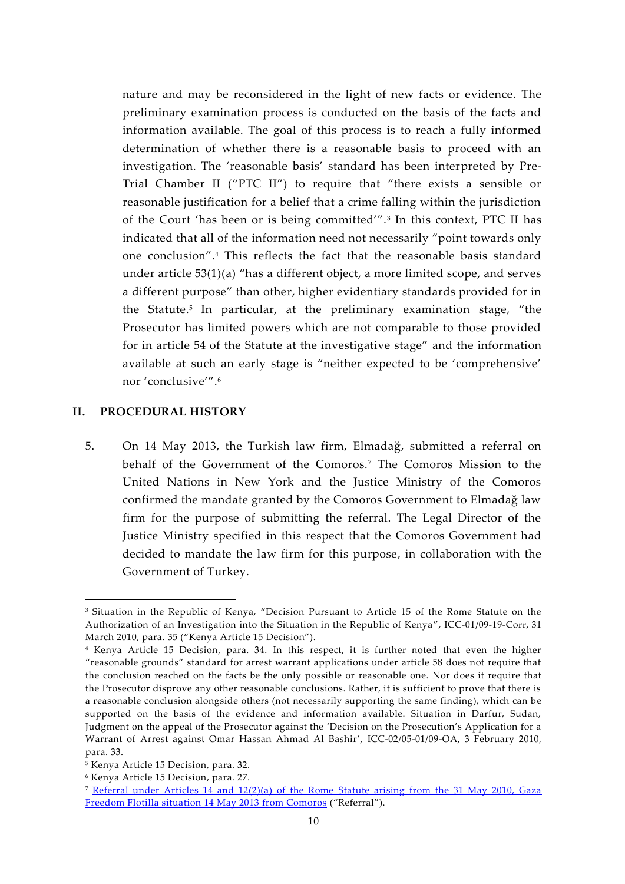nature and may be reconsidered in the light of new facts or evidence. The preliminary examination process is conducted on the basis of the facts and information available. The goal of this process is to reach a fully informed determination of whether there is a reasonable basis to proceed with an investigation. The 'reasonable basis' standard has been interpreted by Pre- Trial Chamber II ("PTC II") to require that "there exists a sensible or reasonable justification for a belief that a crime falling within the jurisdiction of the Court 'has been or is being committed'".<sup>3</sup> In this context, PTC II has indicated that all of the information need not necessarily "point towards only one conclusion".<sup>4</sup> This reflects the fact that the reasonable basis standard under article 53(1)(a) "has a different object, a more limited scope, and serves a different purpose" than other, higher evidentiary standards provided for in the Statute.<sup>5</sup> In particular, at the preliminary examination stage, "the Prosecutor has limited powers which are not comparable to those provided for in article 54 of the Statute at the investigative stage" and the information available at such an early stage is "neither expected to be 'comprehensive' nor 'conclusive'".<sup>6</sup>

#### **II. PROCEDURAL HISTORY**

5. On 14 May 2013, the Turkish law firm, Elmadağ, submitted a referral on behalf of the Government of the Comoros.<sup>7</sup> The Comoros Mission to the United Nations in New York and the Justice Ministry of the Comoros confirmed the mandate granted by the Comoros Government to Elmadağ law firm for the purpose of submitting the referral. The Legal Director of the Justice Ministry specified in this respect that the Comoros Government had decided to mandate the law firm for this purpose, in collaboration with the Government of Turkey.

<sup>&</sup>lt;sup>3</sup> Situation in the Republic of Kenya, "Decision Pursuant to Article 15 of the Rome Statute on the Authorization of an Investigation into the Situation in the Republic of Kenya", ICC-01/09-19-Corr, 31 March 2010, para. 35 ("Kenya Article 15 Decision").

<sup>4</sup> Kenya Article 15 Decision, para. 34. In this respect, it is further noted that even the higher "reasonable grounds" standard for arrest warrant applications under article 58 does not require that the conclusion reached on the facts be the only possible or reasonable one. Nor does it require that the Prosecutor disprove any other reasonable conclusions. Rather, it is sufficient to prove that there is a reasonable conclusion alongside others (not necessarily supporting the same finding), which can be supported on the basis of the evidence and information available. Situation in Darfur, Sudan, Judgment on the appeal of the Prosecutor against the 'Decision on the Prosecution's Application for a Warrant of Arrest against Omar Hassan Ahmad Al Bashir', ICC-02/05-01/09-OA, 3 February 2010, para. 33.

<sup>5</sup> Kenya Article 15 Decision, para. 32.

<sup>6</sup> Kenya Article 15 Decision, para. 27.

<sup>7</sup> Referral under Articles 14 and 12(2)(a) of the Rome Statute arising from the 31 May 2010, Gaza Freedom Flotilla situation 14 May 2013 from Comoros ("Referral").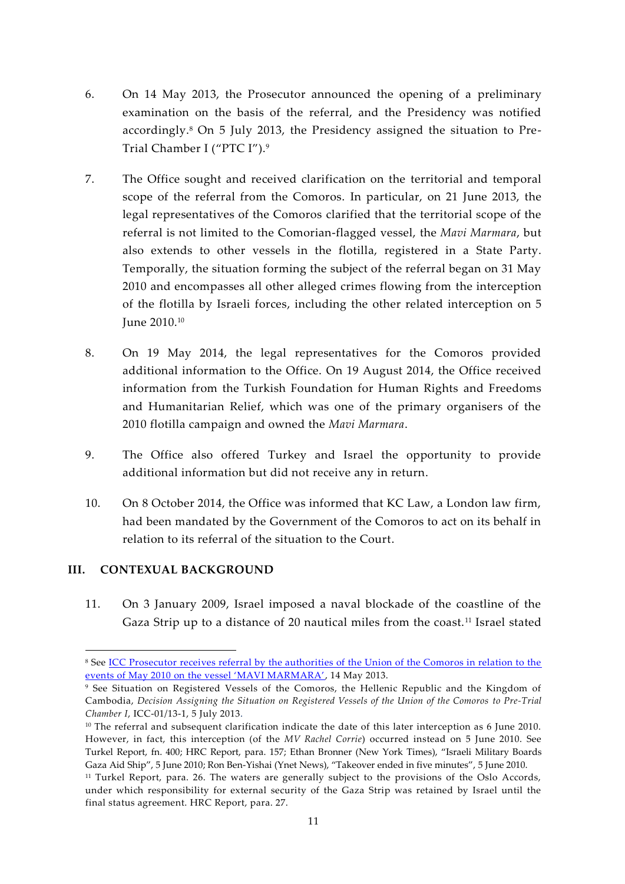- 6. On 14 May 2013, the Prosecutor announced the opening of a preliminary examination on the basis of the referral, and the Presidency was notified accordingly.<sup>8</sup> On 5 July 2013, the Presidency assigned the situation to Pre- Trial Chamber I ("PTC I").<sup>9</sup>
- 7. The Office sought and received clarification on the territorial and temporal scope of the referral from the Comoros. In particular, on 21 June 2013, the legal representatives of the Comoros clarified that the territorial scope of the referral is not limited to the Comorian-flagged vessel, the *Mavi Marmara*, but also extends to other vessels in the flotilla, registered in a State Party. Temporally, the situation forming the subject of the referral began on 31 May 2010 and encompasses all other alleged crimes flowing from the interception of the flotilla by Israeli forces, including the other related interception on 5 June 2010.<sup>10</sup>
- 8. On 19 May 2014, the legal representatives for the Comoros provided additional information to the Office. On 19 August 2014, the Office received information from the Turkish Foundation for Human Rights and Freedoms and Humanitarian Relief, which was one of the primary organisers of the 2010 flotilla campaign and owned the *Mavi Marmara*.
- 9. The Office also offered Turkey and Israel the opportunity to provide additional information but did not receive any in return.
- 10. On 8 October 2014, the Office was informed that KC Law, a London law firm, had been mandated by the Government of the Comoros to act on its behalf in relation to its referral of the situation to the Court.

## **III. CONTEXUAL BACKGROUND**

11. On 3 January 2009, Israel imposed a naval blockade of the coastline of the Gaza Strip up to a distance of 20 nautical miles from the coast.<sup>11</sup> Israel stated

<sup>8</sup> See ICC Prosecutor receives referral by the authorities of the Union of the Comoros in relation to the events of May 2010 on the vessel 'MAVI MARMARA', 14 May 2013.

<sup>9</sup> See Situation on Registered Vessels of the Comoros, the Hellenic Republic and the Kingdom of Cambodia, *Decision Assigning the Situation on Registered Vessels of the Union of the Comoros to Pre-Trial Chamber I*, ICC-01/13-1, 5 July 2013.

 $10$  The referral and subsequent clarification indicate the date of this later interception as 6 June 2010. However, in fact, this interception (of the *MV Rachel Corrie*) occurred instead on 5 June 2010. See Turkel Report, fn. 400; HRC Report, para. 157; Ethan Bronner (New York Times), "Israeli Military Boards Gaza Aid Ship", 5 June 2010; Ron Ben-Yishai (Ynet News), "Takeover ended in five minutes", 5 June 2010.

<sup>&</sup>lt;sup>11</sup> Turkel Report, para. 26. The waters are generally subject to the provisions of the Oslo Accords, under which responsibility for external security of the Gaza Strip was retained by Israel until the final status agreement. HRC Report, para. 27.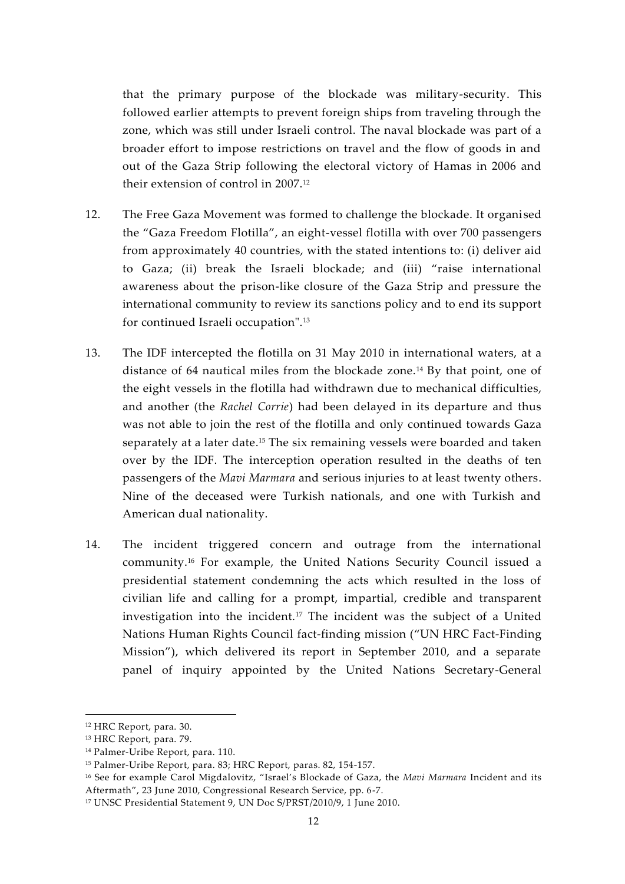that the primary purpose of the blockade was military-security. This followed earlier attempts to prevent foreign ships from traveling through the zone, which was still under Israeli control. The naval blockade was part of a broader effort to impose restrictions on travel and the flow of goods in and out of the Gaza Strip following the electoral victory of Hamas in 2006 and their extension of control in 2007.<sup>12</sup>

- 12. The Free Gaza Movement was formed to challenge the blockade. It organised the "Gaza Freedom Flotilla", an eight-vessel flotilla with over 700 passengers from approximately 40 countries, with the stated intentions to: (i) deliver aid to Gaza; (ii) break the Israeli blockade; and (iii) "raise international awareness about the prison-like closure of the Gaza Strip and pressure the international community to review its sanctions policy and to end its support for continued Israeli occupation".<sup>13</sup>
- 13. The IDF intercepted the flotilla on 31 May 2010 in international waters, at a distance of 64 nautical miles from the blockade zone.<sup>14</sup> By that point, one of the eight vessels in the flotilla had withdrawn due to mechanical difficulties, and another (the *Rachel Corrie*) had been delayed in its departure and thus was not able to join the rest of the flotilla and only continued towards Gaza separately at a later date.<sup>15</sup> The six remaining vessels were boarded and taken over by the IDF. The interception operation resulted in the deaths of ten passengers of the *Mavi Marmara* and serious injuries to at least twenty others. Nine of the deceased were Turkish nationals, and one with Turkish and American dual nationality.
- 14. The incident triggered concern and outrage from the international community.<sup>16</sup> For example, the United Nations Security Council issued a presidential statement condemning the acts which resulted in the loss of civilian life and calling for a prompt, impartial, credible and transparent investigation into the incident.<sup>17</sup> The incident was the subject of a United Nations Human Rights Council fact-finding mission ("UN HRC Fact-Finding Mission"), which delivered its report in September 2010, and a separate panel of inquiry appointed by the United Nations Secretary-General

<sup>12</sup> HRC Report, para. 30.

<sup>13</sup> HRC Report, para. 79.

<sup>14</sup> Palmer-Uribe Report, para. 110.

<sup>15</sup> Palmer-Uribe Report, para. 83; HRC Report, paras. 82, 154-157.

<sup>16</sup> See for example Carol Migdalovitz, "Israel's Blockade of Gaza, the *Mavi Marmara* Incident and its Aftermath", 23 June 2010, Congressional Research Service, pp. 6-7.

<sup>17</sup> UNSC Presidential Statement 9, UN Doc S/PRST/2010/9, 1 June 2010.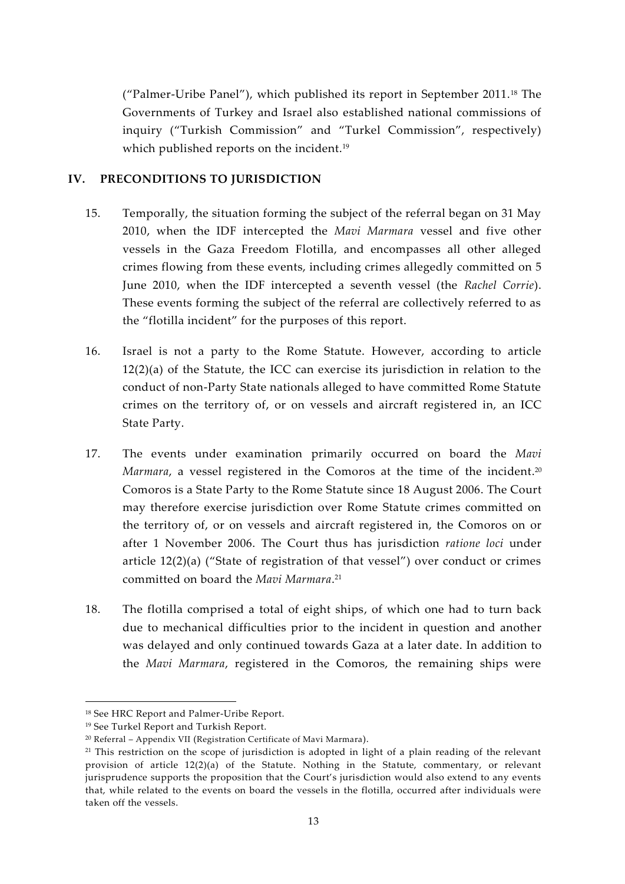("Palmer-Uribe Panel"), which published its report in September 2011.<sup>18</sup> The Governments of Turkey and Israel also established national commissions of inquiry ("Turkish Commission" and "Turkel Commission", respectively) which published reports on the incident.<sup>19</sup>

## **IV. PRECONDITIONS TO JURISDICTION**

- 15. Temporally, the situation forming the subject of the referral began on 31 May 2010, when the IDF intercepted the *Mavi Marmara* vessel and five other vessels in the Gaza Freedom Flotilla, and encompasses all other alleged crimes flowing from these events, including crimes allegedly committed on 5 June 2010, when the IDF intercepted a seventh vessel (the *Rachel Corrie*). These events forming the subject of the referral are collectively referred to as the "flotilla incident" for the purposes of this report.
- 16. Israel is not a party to the Rome Statute. However, according to article 12(2)(a) of the Statute, the ICC can exercise its jurisdiction in relation to the conduct of non-Party State nationals alleged to have committed Rome Statute crimes on the territory of, or on vessels and aircraft registered in, an ICC State Party.
- 17. The events under examination primarily occurred on board the *Mavi Marmara*, a vessel registered in the Comoros at the time of the incident.<sup>20</sup> Comoros is a State Party to the Rome Statute since 18 August 2006. The Court may therefore exercise jurisdiction over Rome Statute crimes committed on the territory of, or on vessels and aircraft registered in, the Comoros on or after 1 November 2006. The Court thus has jurisdiction *ratione loci* under article 12(2)(a) ("State of registration of that vessel") over conduct or crimes committed on board the *Mavi Marmara*.<sup>21</sup>
- 18. The flotilla comprised a total of eight ships, of which one had to turn back due to mechanical difficulties prior to the incident in question and another was delayed and only continued towards Gaza at a later date. In addition to the *Mavi Marmara*, registered in the Comoros, the remaining ships were

<sup>18</sup> See HRC Report and Palmer-Uribe Report.

<sup>19</sup> See Turkel Report and Turkish Report.

<sup>20</sup> Referral – Appendix VII (Registration Certificate of Mavi Marmara).

<sup>&</sup>lt;sup>21</sup> This restriction on the scope of jurisdiction is adopted in light of a plain reading of the relevant provision of article 12(2)(a) of the Statute. Nothing in the Statute, commentary, or relevant jurisprudence supports the proposition that the Court's jurisdiction would also extend to any events that, while related to the events on board the vessels in the flotilla, occurred after individuals were taken off the vessels.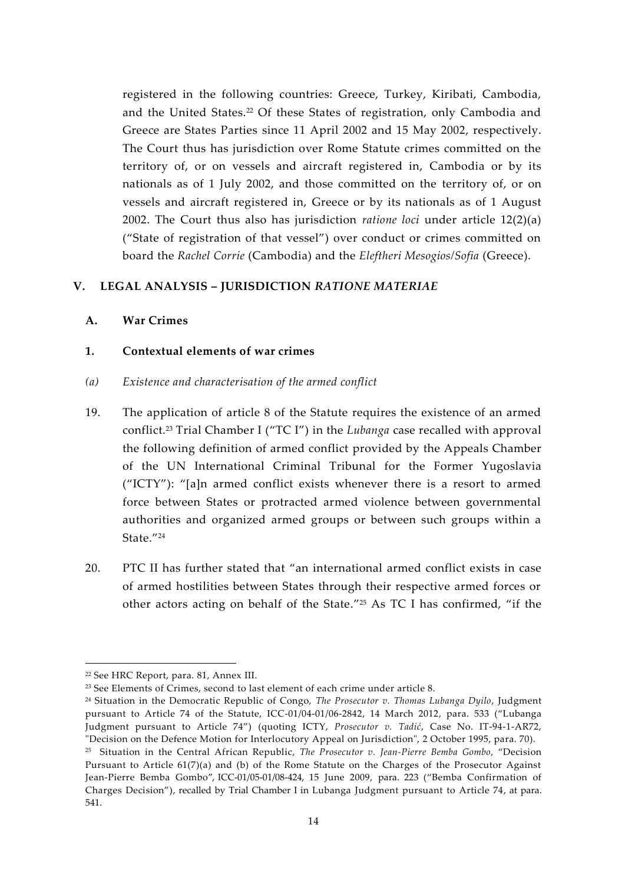registered in the following countries: Greece, Turkey, Kiribati, Cambodia, and the United States.<sup>22</sup> Of these States of registration, only Cambodia and Greece are States Parties since 11 April 2002 and 15 May 2002, respectively. The Court thus has jurisdiction over Rome Statute crimes committed on the territory of, or on vessels and aircraft registered in, Cambodia or by its nationals as of 1 July 2002, and those committed on the territory of, or on vessels and aircraft registered in, Greece or by its nationals as of 1 August 2002. The Court thus also has jurisdiction *ratione loci* under article 12(2)(a) ("State of registration of that vessel") over conduct or crimes committed on board the *Rachel Corrie* (Cambodia) and the *Eleftheri Mesogios/Sofia* (Greece).

#### **V. LEGAL ANALYSIS –JURISDICTION** *RATIONE MATERIAE*

#### **A. War Crimes**

#### **1. Contextual elements of war crimes**

#### *(a) Existence and characterisation of the armed conflict*

- 19. The application of article 8 of the Statute requires the existence of an armed conflict.<sup>23</sup> Trial Chamber I ("TC I") in the *Lubanga* case recalled with approval the following definition of armed conflict provided by the Appeals Chamber of the UN International Criminal Tribunal for the Former Yugoslavia ("ICTY"): "[a]n armed conflict exists whenever there is a resort to armed force between States or protracted armed violence between governmental authorities and organized armed groups or between such groups within a State."<sup>24</sup>
- 20. PTC II has further stated that "an international armed conflict exists in case of armed hostilities between States through their respective armed forces or other actors acting on behalf of the State."<sup>25</sup> As TC I has confirmed, "if the

<sup>22</sup> See HRC Report, para. 81, Annex III.

<sup>&</sup>lt;sup>23</sup> See Elements of Crimes, second to last element of each crime under article 8.

<sup>24</sup> Situation in the Democratic Republic of Congo, *The Prosecutor v. Thomas Lubanga Dyilo*, Judgment pursuant to Article 74 of the Statute, ICC-01/04-01/06-2842, 14 March 2012, para. 533 ("Lubanga Judgment pursuant to Article 74") (quoting ICTY, *Prosecutor v. Tadić*, Case No. IT-94-1-AR72, "Decision on the Defence Motion for Interlocutory Appeal on Jurisdiction", 2 October 1995, para. 70).

<sup>25</sup> Situation in the Central African Republic, *The Prosecutor v. Jean-Pierre Bemba Gombo*, "Decision Pursuant to Article 61(7)(a) and (b) of the Rome Statute on the Charges of the Prosecutor Against Jean-Pierre Bemba Gombo", ICC-01/05-01/08-424, 15 June 2009, para. 223 ("Bemba Confirmation of Charges Decision"), recalled by Trial Chamber I in Lubanga Judgment pursuant to Article 74, at para. 541.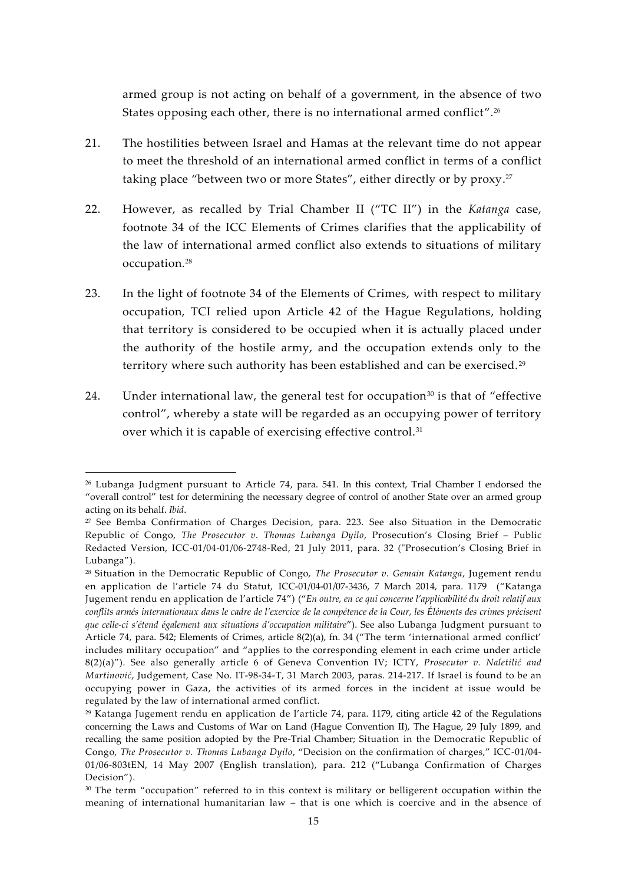armed group is not acting on behalf of a government, in the absence of two States opposing each other, there is no international armed conflict".<sup>26</sup>

- 21. The hostilities between Israel and Hamas at the relevant time do not appear to meet the threshold of an international armed conflict in terms of a conflict taking place "between two or more States", either directly or by proxy.<sup>27</sup>
- 22. However, as recalled by Trial Chamber II ("TC II") in the *Katanga* case, footnote 34 of the ICC Elements of Crimes clarifies that the applicability of the law of international armed conflict also extends to situations of military occupation.<sup>28</sup>
- 23. In the light of footnote 34 of the Elements of Crimes, with respect to military occupation, TCI relied upon Article 42 of the Hague Regulations, holding that territory is considered to be occupied when it is actually placed under the authority of the hostile army, and the occupation extends only to the territory where such authority has been established and can be exercised.<sup>29</sup>
- 24. Under international law, the general test for occupation<sup>30</sup> is that of "effective" control", whereby a state will be regarded as an occupying power of territory over which it is capable of exercising effective control.<sup>31</sup>

<sup>26</sup> Lubanga Judgment pursuant to Article 74, para. 541. In this context, Trial Chamber I endorsed the "overall control" test for determining the necessary degree of control of another State over an armed group acting on its behalf. *Ibid*.

<sup>&</sup>lt;sup>27</sup> See Bemba Confirmation of Charges Decision, para. 223. See also Situation in the Democratic Republic of Congo, *The Prosecutor v. Thomas Lubanga Dyilo*, Prosecution's Closing Brief – Public Redacted Version, ICC-01/04-01/06-2748-Red, 21 July 2011, para. 32 ("Prosecution's Closing Brief in Lubanga").

<sup>28</sup> Situation in the Democratic Republic of Congo, *The Prosecutor v. Gemain Katanga*, Jugement rendu en application de l'article 74 du Statut, ICC-01/04-01/07-3436, 7 March 2014, para. 1179 ("Katanga Jugement rendu en application de l'article 74") ("*En outre, en ce qui concerne l'applicabilité du droit relatif aux conflits armés internationaux dans le cadre de l'exercice de la compétence de la Cour, les Éléments des crimes précisent que celle-ci s'étend également aux situations d'occupation militaire*"). See also Lubanga Judgment pursuant to Article 74, para. 542; Elements of Crimes, article 8(2)(a), fn. 34 ("The term 'international armed conflict' includes military occupation" and "applies to the corresponding element in each crime under article 8(2)(a)"). See also generally article 6 of Geneva Convention IV; ICTY, *Prosecutor v. Naletilić and Martinović*, Judgement, Case No. IT-98-34-T, 31 March 2003, paras. 214-217. If Israel is found to be an occupying power in Gaza, the activities of its armed forces in the incident at issue would be regulated by the law of international armed conflict.

<sup>&</sup>lt;sup>29</sup> Katanga Jugement rendu en application de l'article 74, para. 1179, citing article 42 of the Regulations concerning the Laws and Customs of War on Land (Hague Convention II), The Hague, 29 July 1899, and recalling the same position adopted by the Pre-Trial Chamber; Situation in the Democratic Republic of Congo, *The Prosecutor v. Thomas Lubanga Dyilo*, "Decision on the confirmation of charges," ICC-01/04- 01/06-803tEN, 14 May 2007 (English translation), para. 212 ("Lubanga Confirmation of Charges Decision").

<sup>&</sup>lt;sup>30</sup> The term "occupation" referred to in this context is military or belligerent occupation within the meaning of international humanitarian law – that is one which is coercive and in the absence of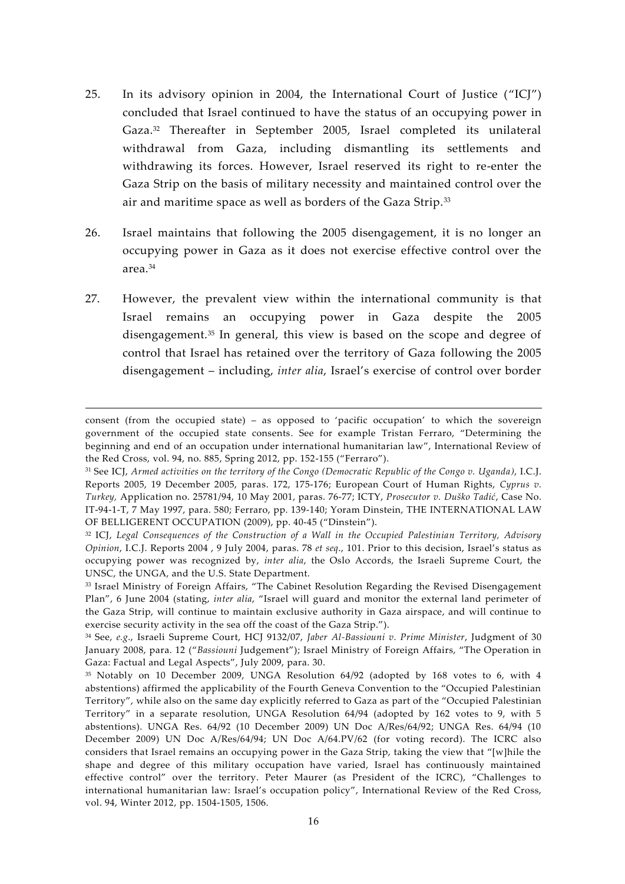- 25. In its advisory opinion in 2004, the International Court of Justice ("ICJ") concluded that Israel continued to have the status of an occupying power in Gaza.<sup>32</sup> Thereafter in September 2005, Israel completed its unilateral withdrawal from Gaza, including dismantling its settlements and withdrawing its forces. However, Israel reserved its right to re-enter the Gaza Strip on the basis of military necessity and maintained control over the air and maritime space as well as borders of the Gaza Strip.<sup>33</sup>
- 26. Israel maintains that following the 2005 disengagement, it is no longer an occupying power in Gaza as it does not exercise effective control over the area.<sup>34</sup>
- 27. However, the prevalent view within the international community is that Israel remains an occupying power in Gaza despite the 2005 disengagement.<sup>35</sup> In general, this view is based on the scope and degree of control that Israel has retained over the territory of Gaza following the 2005 disengagement – including, *inter alia*, Israel's exercise of control over border

consent (from the occupied state) – as opposed to 'pacific occupation' to which the sovereign government of the occupied state consents. See for example Tristan Ferraro, "Determining the beginning and end of an occupation under international humanitarian law", International Review of the Red Cross, vol. 94, no. 885, Spring 2012, pp. 152-155 ("Ferraro").

<sup>31</sup> See ICJ, *Armed activities on the territory of the Congo (Democratic Republic of the Congo v. Uganda)*, I.C.J. Reports 2005, 19 December 2005, paras. 172, 175-176; European Court of Human Rights, *Cyprus v. Turkey,* Application no. 25781/94, 10 May 2001, paras. 76-77; ICTY, *Prosecutor v. Duško Tadić*, Case No. IT-94-1-T, 7 May 1997, para. 580; Ferraro, pp. 139-140; Yoram Dinstein, THE INTERNATIONAL LAW OF BELLIGERENT OCCUPATION (2009), pp. 40-45 ("Dinstein").

<sup>32</sup> ICJ, *Legal Consequences of the Construction of a Wall in the Occupied Palestinian Territory, Advisory Opinion*, I.C.J. Reports 2004 , 9 July 2004, paras. 78 *et seq*., 101. Prior to this decision, Israel's status as occupying power was recognized by, *inter alia*, the Oslo Accords, the Israeli Supreme Court, the UNSC, the UNGA, and the U.S. State Department.

<sup>33</sup> Israel Ministry of Foreign Affairs, "The Cabinet Resolution Regarding the Revised Disengagement Plan", 6 June 2004 (stating, *inter alia*, "Israel will guard and monitor the external land perimeter of the Gaza Strip, will continue to maintain exclusive authority in Gaza airspace, and will continue to exercise security activity in the sea off the coast of the Gaza Strip.").

<sup>34</sup> See, *e.g*., Israeli Supreme Court, HCJ 9132/07, *Jaber Al-Bassiouni v. Prime Minister*, Judgment of 30 January 2008, para. 12 ("*Bassiouni* Judgement"); Israel Ministry of Foreign Affairs, "The Operation in Gaza: Factual and Legal Aspects", July 2009, para. 30.

<sup>&</sup>lt;sup>35</sup> Notably on 10 December 2009, UNGA Resolution 64/92 (adopted by 168 votes to 6, with 4 abstentions) affirmed the applicability of the Fourth Geneva Convention to the "Occupied Palestinian Territory", while also on the same day explicitly referred to Gaza as part of the "Occupied Palestinian Territory" in a separate resolution, UNGA Resolution 64/94 (adopted by 162 votes to 9, with 5 abstentions). UNGA Res. 64/92 (10 December 2009) UN Doc A/Res/64/92; UNGA Res. 64/94 (10 December 2009) UN Doc A/Res/64/94; UN Doc A/64.PV/62 (for voting record). The ICRC also considers that Israel remains an occupying power in the Gaza Strip, taking the view that "[w]hile the shape and degree of this military occupation have varied, Israel has continuously maintained effective control" over the territory. Peter Maurer (as President of the ICRC), "Challenges to international humanitarian law: Israel's occupation policy", International Review of the Red Cross, vol. 94, Winter 2012, pp. 1504-1505, 1506.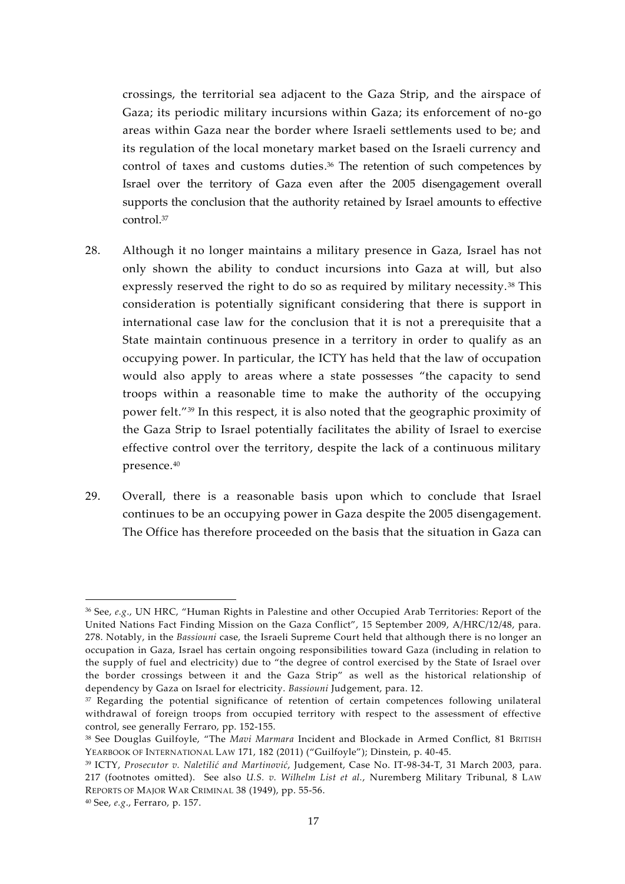crossings, the territorial sea adjacent to the Gaza Strip, and the airspace of Gaza; its periodic military incursions within Gaza; its enforcement of no-go areas within Gaza near the border where Israeli settlements used to be; and its regulation of the local monetary market based on the Israeli currency and control of taxes and customs duties.<sup>36</sup> The retention of such competences by Israel over the territory of Gaza even after the 2005 disengagement overall supports the conclusion that the authority retained by Israel amounts to effective control.<sup>37</sup>

- 28. Although it no longer maintains a military presence in Gaza, Israel has not only shown the ability to conduct incursions into Gaza at will, but also expressly reserved the right to do so as required by military necessity. <sup>38</sup> This consideration is potentially significant considering that there is support in international case law for the conclusion that it is not a prerequisite that a State maintain continuous presence in a territory in order to qualify as an occupying power. In particular, the ICTY has held that the law of occupation would also apply to areas where a state possesses "the capacity to send troops within a reasonable time to make the authority of the occupying power felt."<sup>39</sup> In this respect, it is also noted that the geographic proximity of the Gaza Strip to Israel potentially facilitates the ability of Israel to exercise effective control over the territory, despite the lack of a continuous military presence.<sup>40</sup>
- 29. Overall, there is a reasonable basis upon which to conclude that Israel continues to be an occupying power in Gaza despite the 2005 disengagement. The Office has therefore proceeded on the basis that the situation in Gaza can

<sup>36</sup> See, *e.g*., UN HRC, "Human Rights in Palestine and other Occupied Arab Territories: Report of the United Nations Fact Finding Mission on the Gaza Conflict", 15 September 2009, A/HRC/12/48, para. 278. Notably, in the *Bassiouni* case, the Israeli Supreme Court held that although there is no longer an occupation in Gaza, Israel has certain ongoing responsibilities toward Gaza (including in relation to the supply of fuel and electricity) due to "the degree of control exercised by the State of Israel over the border crossings between it and the Gaza Strip" as well as the historical relationship of dependency by Gaza on Israel for electricity. *Bassiouni* Judgement, para. 12.

<sup>&</sup>lt;sup>37</sup> Regarding the potential significance of retention of certain competences following unilateral withdrawal of foreign troops from occupied territory with respect to the assessment of effective control, see generally Ferraro, pp. 152-155.

<sup>38</sup> See Douglas Guilfoyle, "The *Mavi Marmara* Incident and Blockade in Armed Conflict, 81 BRITISH YEARBOOK OF INTERNATIONAL LAW 171, 182 (2011) ("Guilfoyle"); Dinstein, p. 40-45.

<sup>39</sup> ICTY, *Prosecutor v. Naletilić and Martinović*, Judgement, Case No. IT-98-34-T, 31 March 2003, para. 217 (footnotes omitted). See also *U.S. v. Wilhelm List et al.*, Nuremberg Military Tribunal, 8 LAW REPORTS OF MAJOR WAR CRIMINAL 38 (1949), pp. 55-56.

<sup>40</sup> See, *e.g*., Ferraro, p. 157.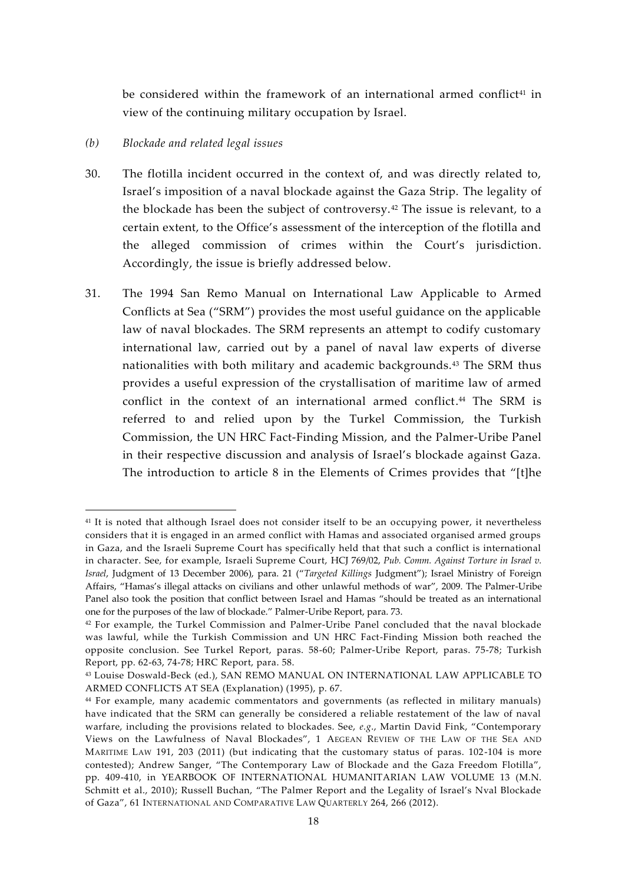be considered within the framework of an international armed conflict<sup>41</sup> in view of the continuing military occupation by Israel.

#### *(b) Blockade and related legal issues*

- 30. The flotilla incident occurred in the context of, and was directly related to, Israel's imposition of a naval blockade against the Gaza Strip. The legality of the blockade has been the subject of controversy.<sup>42</sup> The issue is relevant, to a certain extent, to the Office's assessment of the interception of the flotilla and the alleged commission of crimes within the Court's jurisdiction. Accordingly, the issue is briefly addressed below.
- 31. The 1994 San Remo Manual on International Law Applicable to Armed Conflicts at Sea ("SRM") provides the most useful guidance on the applicable law of naval blockades. The SRM represents an attempt to codify customary international law, carried out by a panel of naval law experts of diverse nationalities with both military and academic backgrounds.<sup>43</sup> The SRM thus provides a useful expression of the crystallisation of maritime law of armed conflict in the context of an international armed conflict.<sup>44</sup> The SRM is referred to and relied upon by the Turkel Commission, the Turkish Commission, the UN HRC Fact-Finding Mission, and the Palmer-Uribe Panel in their respective discussion and analysis of Israel's blockade against Gaza. The introduction to article 8 in the Elements of Crimes provides that "[t]he

<sup>&</sup>lt;sup>41</sup> It is noted that although Israel does not consider itself to be an occupying power, it nevertheless considers that it is engaged in an armed conflict with Hamas and associated organised armed groups in Gaza, and the Israeli Supreme Court has specifically held that that such a conflict is international in character. See, for example, Israeli Supreme Court, HCJ 769/02, *Pub. Comm. Against Torture in Israel v. Israel*, Judgment of 13 December 2006), para. 21 ("*Targeted Killings* Judgment"); Israel Ministry of Foreign Affairs, "Hamas's illegal attacks on civilians and other unlawful methods of war", 2009. The Palmer-Uribe Panel also took the position that conflict between Israel and Hamas "should be treated as an international one for the purposes of the law of blockade." Palmer-Uribe Report, para. 73.

 $42$  For example, the Turkel Commission and Palmer-Uribe Panel concluded that the naval blockade was lawful, while the Turkish Commission and UN HRC Fact-Finding Mission both reached the opposite conclusion. See Turkel Report, paras. 58-60; Palmer-Uribe Report, paras. 75-78; Turkish Report, pp. 62-63, 74-78; HRC Report, para. 58.

<sup>43</sup> Louise Doswald-Beck (ed.), SAN REMO MANUAL ON INTERNATIONAL LAW APPLICABLE TO ARMED CONFLICTS AT SEA (Explanation) (1995), p. 67.

<sup>44</sup> For example, many academic commentators and governments (as reflected in military manuals) have indicated that the SRM can generally be considered a reliable restatement of the law of naval warfare, including the provisions related to blockades. See, *e.g*., Martin David Fink, "Contemporary Views on the Lawfulness of Naval Blockades", 1 AEGEAN REVIEW OF THE LAW OF THE SEA AND MARITIME LAW 191, 203 (2011) (but indicating that the customary status of paras. 102-104 is more contested); Andrew Sanger, "The Contemporary Law of Blockade and the Gaza Freedom Flotilla", pp. 409-410, in YEARBOOK OF INTERNATIONAL HUMANITARIAN LAW VOLUME 13 (M.N. Schmitt et al., 2010); Russell Buchan, "The Palmer Report and the Legality of Israel's Nval Blockade of Gaza", 61 INTERNATIONAL AND COMPARATIVE LAW QUARTERLY 264, 266 (2012).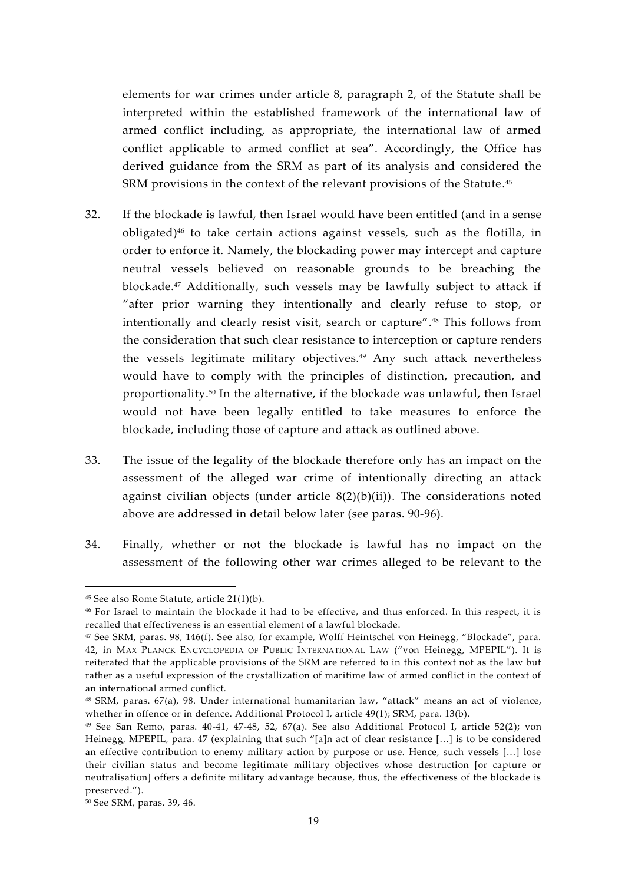elements for war crimes under article 8, paragraph 2, of the Statute shall be interpreted within the established framework of the international law of armed conflict including, as appropriate, the international law of armed conflict applicable to armed conflict at sea". Accordingly, the Office has derived guidance from the SRM as part of its analysis and considered the SRM provisions in the context of the relevant provisions of the Statute.<sup>45</sup>

- 32. If the blockade is lawful, then Israel would have been entitled (and in a sense obligated)<sup>46</sup> to take certain actions against vessels, such as the flotilla, in order to enforce it. Namely, the blockading power may intercept and capture neutral vessels believed on reasonable grounds to be breaching the blockade.<sup>47</sup> Additionally, such vessels may be lawfully subject to attack if "after prior warning they intentionally and clearly refuse to stop, or intentionally and clearly resist visit, search or capture".<sup>48</sup> This follows from the consideration that such clear resistance to interception or capture renders the vessels legitimate military objectives.<sup>49</sup> Any such attack nevertheless would have to comply with the principles of distinction, precaution, and proportionality.<sup>50</sup> In the alternative, if the blockade was unlawful, then Israel would not have been legally entitled to take measures to enforce the blockade, including those of capture and attack as outlined above.
- 33. The issue of the legality of the blockade therefore only has an impact on the assessment of the alleged war crime of intentionally directing an attack against civilian objects (under article  $8(2)(b)(ii)$ ). The considerations noted above are addressed in detail below later (see paras. 90-96).
- 34. Finally, whether or not the blockade is lawful has no impact on the assessment of the following other war crimes alleged to be relevant to the

<sup>45</sup> See also Rome Statute, article 21(1)(b).

<sup>46</sup> For Israel to maintain the blockade it had to be effective, and thus enforced. In this respect, it is recalled that effectiveness is an essential element of a lawful blockade.

<sup>47</sup> See SRM, paras. 98, 146(f). See also, for example, Wolff Heintschel von Heinegg, "Blockade", para. 42, in MAX PLANCK ENCYCLOPEDIA OF PUBLIC INTERNATIONAL LAW ("von Heinegg, MPEPIL"). It is reiterated that the applicable provisions of the SRM are referred to in this context not as the law but rather as a useful expression of the crystallization of maritime law of armed conflict in the context of an international armed conflict.

<sup>48</sup> SRM, paras. 67(a), 98. Under international humanitarian law, "attack" means an act of violence, whether in offence or in defence. Additional Protocol I, article 49(1); SRM, para. 13(b).

<sup>49</sup> See San Remo, paras. 40-41, 47-48, 52, 67(a). See also Additional Protocol I, article 52(2); von Heinegg, MPEPIL, para. 47 (explaining that such "[a]n act of clear resistance […] is to be considered an effective contribution to enemy military action by purpose or use. Hence, such vessels […] lose their civilian status and become legitimate military objectives whose destruction [or capture or neutralisation] offers a definite military advantage because, thus, the effectiveness of the blockade is preserved.").

<sup>50</sup> See SRM, paras. 39, 46.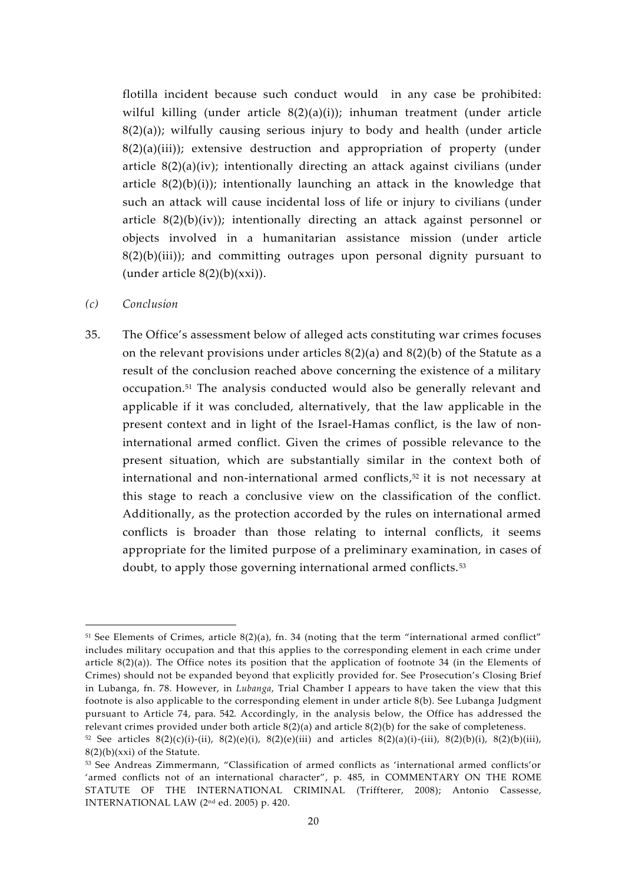flotilla incident because such conduct would in any case be prohibited: wilful killing (under article 8(2)(a)(i)); inhuman treatment (under article  $8(2)(a)$ ; wilfully causing serious injury to body and health (under article 8(2)(a)(iii)); extensive destruction and appropriation of property (under article 8(2)(a)(iv); intentionally directing an attack against civilians (under article  $8(2)(b)(i)$ ; intentionally launching an attack in the knowledge that such an attack will cause incidental loss of life or injury to civilians (under article 8(2)(b)(iv)); intentionally directing an attack against personnel or objects involved in a humanitarian assistance mission (under article  $8(2)(b)(iii)$ ; and committing outrages upon personal dignity pursuant to (under article  $8(2)(b)(xxi)$ ).

- *(c) Conclusion*
- 35. The Office's assessment below of alleged acts constituting war crimes focuses on the relevant provisions under articles 8(2)(a) and 8(2)(b) of the Statute as a result of the conclusion reached above concerning the existence of a military occupation.<sup>51</sup> The analysis conducted would also be generally relevant and applicable if it was concluded, alternatively, that the law applicable in the present context and in light of the Israel-Hamas conflict, is the law of noninternational armed conflict. Given the crimes of possible relevance to the present situation, which are substantially similar in the context both of international and non-international armed conflicts,<sup>52</sup> it is not necessary at this stage to reach a conclusive view on the classification of the conflict. Additionally, as the protection accorded by the rules on international armed conflicts is broader than those relating to internal conflicts, it seems appropriate for the limited purpose of a preliminary examination, in cases of doubt, to apply those governing international armed conflicts.<sup>53</sup>

<sup>51</sup> See Elements of Crimes, article 8(2)(a), fn. 34 (noting that the term "international armed conflict" includes military occupation and that this applies to the corresponding element in each crime under article 8(2)(a)). The Office notes its position that the application of footnote 34 (in the Elements of Crimes) should not be expanded beyond that explicitly provided for. See Prosecution's Closing Brief in Lubanga, fn. 78. However, in *Lubanga*, Trial Chamber I appears to have taken the view that this footnote is also applicable to the corresponding element in under article 8(b). See Lubanga Judgment pursuant to Article 74, para. 542. Accordingly, in the analysis below, the Office has addressed the relevant crimes provided under both article 8(2)(a) and article 8(2)(b) for the sake of completeness.

<sup>52</sup> See articles  $8(2)(c)(i)-(ii)$ ,  $8(2)(e)(i)$ ,  $8(2)(e)(iii)$  and articles  $8(2)(a)(i)-(iii)$ ,  $8(2)(b)(i)$ ,  $8(2)(b)(iii)$ ,  $8(2)(b)(xxi)$  of the Statute.

<sup>53</sup> See Andreas Zimmermann, "Classification of armed conflicts as 'international armed conflicts'or 'armed conflicts not of an international character", p. 485, in COMMENTARY ON THE ROME STATUTE OF THE INTERNATIONAL CRIMINAL (Triffterer, 2008); Antonio Cassesse, INTERNATIONAL LAW (2nd ed. 2005) p. 420.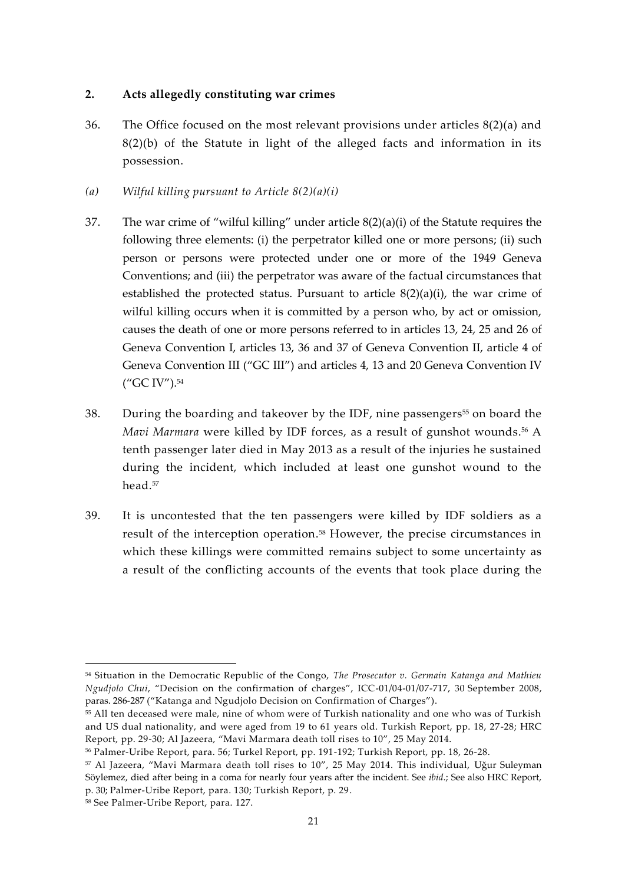### **2. Acts allegedly constituting war crimes**

- 36. The Office focused on the most relevant provisions under articles 8(2)(a) and 8(2)(b) of the Statute in light of the alleged facts and information in its possession.
- *(a) Wilful killing pursuant to Article 8(2)(a)(i)*
- 37. The war crime of "wilful killing" under article 8(2)(a)(i) of the Statute requires the following three elements: (i) the perpetrator killed one or more persons; (ii) such person or persons were protected under one or more of the 1949 Geneva Conventions; and (iii) the perpetrator was aware of the factual circumstances that established the protected status. Pursuant to article  $8(2)(a)(i)$ , the war crime of wilful killing occurs when it is committed by a person who, by act or omission, causes the death of one or more persons referred to in articles 13, 24, 25 and 26 of Geneva Convention I, articles 13, 36 and 37 of Geneva Convention II, article 4 of Geneva Convention III ("GC III") and articles 4, 13 and 20 Geneva Convention IV ("GC IV").<sup>54</sup>
- 38. During the boarding and takeover by the IDF, nine passengers<sup>55</sup> on board the *Mavi Marmara* were killed by IDF forces, as a result of gunshot wounds.<sup>56</sup> A tenth passenger later died in May 2013 as a result of the injuries he sustained during the incident, which included at least one gunshot wound to the head.<sup>57</sup>
- 39. It is uncontested that the ten passengers were killed by IDF soldiers as a result of the interception operation.<sup>58</sup> However, the precise circumstances in which these killings were committed remains subject to some uncertainty as a result of the conflicting accounts of the events that took place during the

<sup>54</sup> Situation in the Democratic Republic of the Congo, *The Prosecutor v. Germain Katanga and Mathieu Ngudjolo Chui*, "Decision on the confirmation of charges", ICC-01/04-01/07-717, 30 September 2008, paras. 286-287 ("Katanga and Ngudjolo Decision on Confirmation of Charges").

<sup>55</sup> All ten deceased were male, nine of whom were of Turkish nationality and one who was of Turkish and US dual nationality, and were aged from 19 to 61 years old. Turkish Report, pp. 18, 27-28; HRC Report, pp. 29-30; Al Jazeera, "Mavi Marmara death toll rises to 10", 25 May 2014.

<sup>56</sup> Palmer-Uribe Report, para. 56; Turkel Report, pp. 191-192; Turkish Report, pp. 18, 26-28.

<sup>57</sup> Al Jazeera, "Mavi Marmara death toll rises to 10", 25 May 2014. This individual, Uğur Suleyman Söylemez, died after being in a coma for nearly four years after the incident. See *ibid*.; See also HRC Report, p. 30; Palmer-Uribe Report, para. 130; Turkish Report, p. 29.

<sup>58</sup> See Palmer-Uribe Report, para. 127.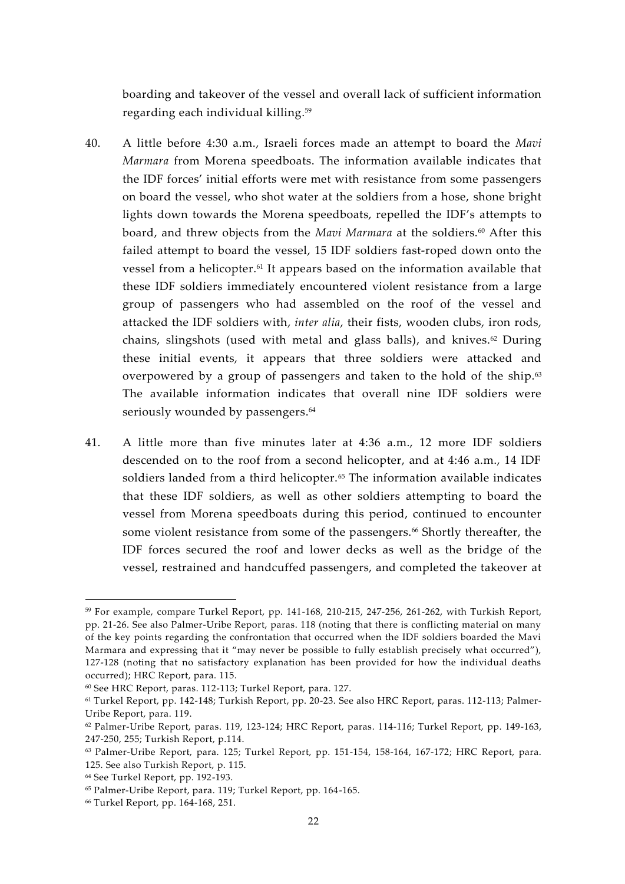boarding and takeover of the vessel and overall lack of sufficient information regarding each individual killing.<sup>59</sup>

- 40. A little before 4:30 a.m., Israeli forces made an attempt to board the *Mavi Marmara* from Morena speedboats. The information available indicates that the IDF forces' initial efforts were met with resistance from some passengers on board the vessel, who shot water at the soldiers from a hose, shone bright lights down towards the Morena speedboats, repelled the IDF's attempts to board, and threw objects from the *Mavi Marmara* at the soldiers.<sup>60</sup> After this failed attempt to board the vessel, 15 IDF soldiers fast-roped down onto the vessel from a helicopter.<sup>61</sup> It appears based on the information available that these IDF soldiers immediately encountered violent resistance from a large group of passengers who had assembled on the roof of the vessel and attacked the IDF soldiers with, *inter alia*, their fists, wooden clubs, iron rods, chains, slingshots (used with metal and glass balls), and knives.<sup>62</sup> During these initial events, it appears that three soldiers were attacked and overpowered by a group of passengers and taken to the hold of the ship.<sup>63</sup> The available information indicates that overall nine IDF soldiers were seriously wounded by passengers.<sup>64</sup>
- 41. A little more than five minutes later at 4:36 a.m., 12 more IDF soldiers descended on to the roof from a second helicopter, and at 4:46 a.m., 14 IDF soldiers landed from a third helicopter.<sup>65</sup> The information available indicates that these IDF soldiers, as well as other soldiers attempting to board the vessel from Morena speedboats during this period, continued to encounter some violent resistance from some of the passengers.<sup>66</sup> Shortly thereafter, the IDF forces secured the roof and lower decks as well as the bridge of the vessel, restrained and handcuffed passengers, and completed the takeover at

<sup>59</sup> For example, compare Turkel Report, pp. 141-168, 210-215, 247-256, 261-262, with Turkish Report, pp. 21-26. See also Palmer-Uribe Report, paras. 118 (noting that there is conflicting material on many of the key points regarding the confrontation that occurred when the IDF soldiers boarded the Mavi Marmara and expressing that it "may never be possible to fully establish precisely what occurred"), 127-128 (noting that no satisfactory explanation has been provided for how the individual deaths occurred); HRC Report, para. 115.

<sup>60</sup> See HRC Report, paras. 112-113; Turkel Report, para. 127.

<sup>61</sup> Turkel Report, pp. 142-148; Turkish Report, pp. 20-23. See also HRC Report, paras. 112-113; Palmer- Uribe Report, para. 119.

<sup>62</sup> Palmer-Uribe Report, paras. 119, 123-124; HRC Report, paras. 114-116; Turkel Report, pp. 149-163, 247-250, 255; Turkish Report, p.114.

<sup>63</sup> Palmer-Uribe Report, para. 125; Turkel Report, pp. 151-154, 158-164, 167-172; HRC Report, para. 125. See also Turkish Report, p. 115.

<sup>64</sup> See Turkel Report, pp. 192-193.

<sup>65</sup> Palmer-Uribe Report, para. 119; Turkel Report, pp. 164-165.

<sup>66</sup> Turkel Report, pp. 164-168, 251.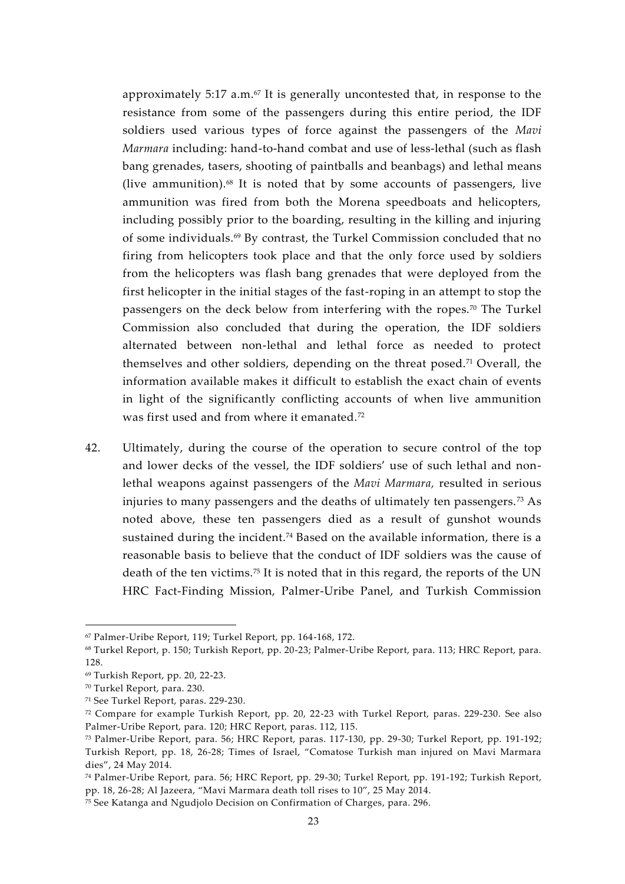approximately 5:17 a.m. $67$  It is generally uncontested that, in response to the resistance from some of the passengers during this entire period, the IDF soldiers used various types of force against the passengers of the *Mavi Marmara* including: hand-to-hand combat and use of less-lethal (such as flash bang grenades, tasers, shooting of paintballs and beanbags) and lethal means (live ammunition). $68$  It is noted that by some accounts of passengers, live ammunition was fired from both the Morena speedboats and helicopters, including possibly prior to the boarding, resulting in the killing and injuring of some individuals.<sup>69</sup> By contrast, the Turkel Commission concluded that no firing from helicopters took place and that the only force used by soldiers from the helicopters was flash bang grenades that were deployed from the first helicopter in the initial stages of the fast-roping in an attempt to stop the passengers on the deck below from interfering with the ropes.<sup>70</sup> The Turkel Commission also concluded that during the operation, the IDF soldiers alternated between non-lethal and lethal force as needed to protect themselves and other soldiers, depending on the threat posed.<sup>71</sup> Overall, the information available makes it difficult to establish the exact chain of events in light of the significantly conflicting accounts of when live ammunition was first used and from where it emanated.<sup>72</sup>

42. Ultimately, during the course of the operation to secure control of the top and lower decks of the vessel, the IDF soldiers' use of such lethal and nonlethal weapons against passengers of the *Mavi Marmara,* resulted in serious injuries to many passengers and the deaths of ultimately ten passengers. <sup>73</sup> As noted above, these ten passengers died as a result of gunshot wounds sustained during the incident.<sup>74</sup> Based on the available information, there is a reasonable basis to believe that the conduct of IDF soldiers was the cause of death of the ten victims.<sup>75</sup> It is noted that in this regard, the reports of the UN HRC Fact-Finding Mission, Palmer-Uribe Panel, and Turkish Commission

<sup>67</sup> Palmer-Uribe Report, 119; Turkel Report, pp. 164-168, 172.

<sup>68</sup> Turkel Report, p. 150; Turkish Report, pp. 20-23; Palmer-Uribe Report, para. 113; HRC Report, para. 128.

<sup>69</sup> Turkish Report, pp. 20, 22-23.

<sup>70</sup> Turkel Report, para. 230.

<sup>71</sup> See Turkel Report, paras. 229-230.

<sup>72</sup> Compare for example Turkish Report, pp. 20, 22-23 with Turkel Report, paras. 229-230. See also Palmer-Uribe Report, para. 120; HRC Report, paras. 112, 115.

<sup>73</sup> Palmer-Uribe Report, para. 56; HRC Report, paras. 117-130, pp. 29-30; Turkel Report, pp. 191-192; Turkish Report, pp. 18, 26-28; Times of Israel, "Comatose Turkish man injured on Mavi Marmara dies", 24 May 2014.

<sup>74</sup> Palmer-Uribe Report, para. 56; HRC Report, pp. 29-30; Turkel Report, pp. 191-192; Turkish Report, pp. 18, 26-28; Al Jazeera, "Mavi Marmara death toll rises to 10", 25 May 2014.

<sup>75</sup> See Katanga and Ngudjolo Decision on Confirmation of Charges, para. 296.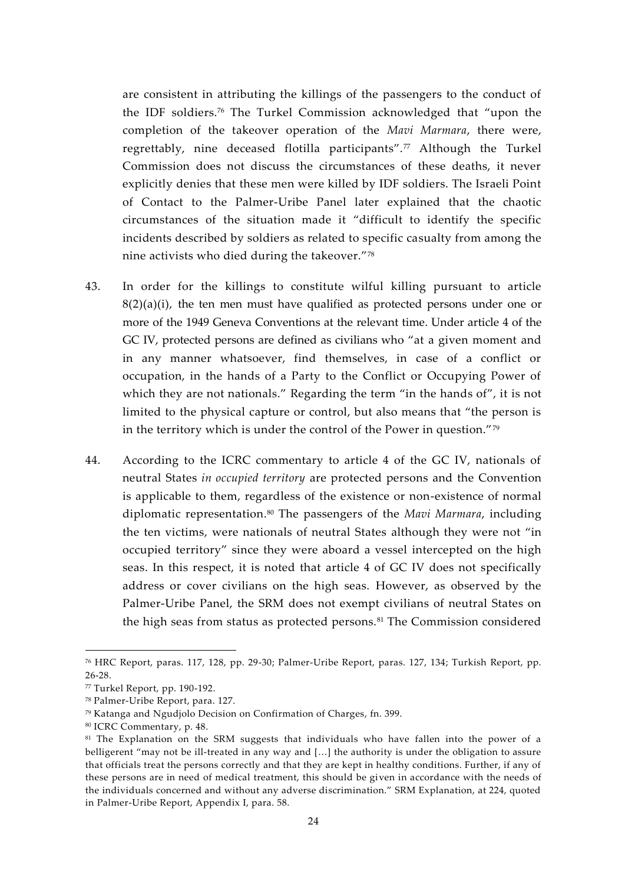are consistent in attributing the killings of the passengers to the conduct of the IDF soldiers.<sup>76</sup> The Turkel Commission acknowledged that "upon the completion of the takeover operation of the *Mavi Marmara*, there were, regrettably, nine deceased flotilla participants".<sup>77</sup> Although the Turkel Commission does not discuss the circumstances of these deaths, it never explicitly denies that these men were killed by IDF soldiers. The Israeli Point of Contact to the Palmer-Uribe Panel later explained that the chaotic circumstances of the situation made it "difficult to identify the specific incidents described by soldiers as related to specific casualty from among the nine activists who died during the takeover."<sup>78</sup>

- 43. In order for the killings to constitute wilful killing pursuant to article  $8(2)(a)(i)$ , the ten men must have qualified as protected persons under one or more of the 1949 Geneva Conventions at the relevant time. Under article 4 of the GC IV, protected persons are defined as civilians who "at a given moment and in any manner whatsoever, find themselves, in case of a conflict or occupation, in the hands of a Party to the Conflict or Occupying Power of which they are not nationals." Regarding the term "in the hands of", it is not limited to the physical capture or control, but also means that "the person is in the territory which is under the control of the Power in question."<sup>79</sup>
- 44. According to the ICRC commentary to article 4 of the GC IV, nationals of neutral States *in occupied territory* are protected persons and the Convention is applicable to them, regardless of the existence or non-existence of normal diplomatic representation.<sup>80</sup> The passengers of the *Mavi Marmara*, including the ten victims, were nationals of neutral States although they were not "in occupied territory" since they were aboard a vessel intercepted on the high seas. In this respect, it is noted that article 4 of GC IV does not specifically address or cover civilians on the high seas. However, as observed by the Palmer-Uribe Panel, the SRM does not exempt civilians of neutral States on the high seas from status as protected persons.<sup>81</sup> The Commission considered

<sup>76</sup> HRC Report, paras. 117, 128, pp. 29-30; Palmer-Uribe Report, paras. 127, 134; Turkish Report, pp. 26-28.

<sup>77</sup> Turkel Report, pp. 190-192.

<sup>78</sup> Palmer-Uribe Report, para. 127.

<sup>79</sup> Katanga and Ngudjolo Decision on Confirmation of Charges, fn. 399.

<sup>80</sup> ICRC Commentary, p. 48.

<sup>&</sup>lt;sup>81</sup> The Explanation on the SRM suggests that individuals who have fallen into the power of a belligerent "may not be ill-treated in any way and […] the authority is under the obligation to assure that officials treat the persons correctly and that they are kept in healthy conditions. Further, if any of these persons are in need of medical treatment, this should be given in accordance with the needs of the individuals concerned and without any adverse discrimination." SRM Explanation, at 224, quoted in Palmer-Uribe Report, Appendix I, para. 58.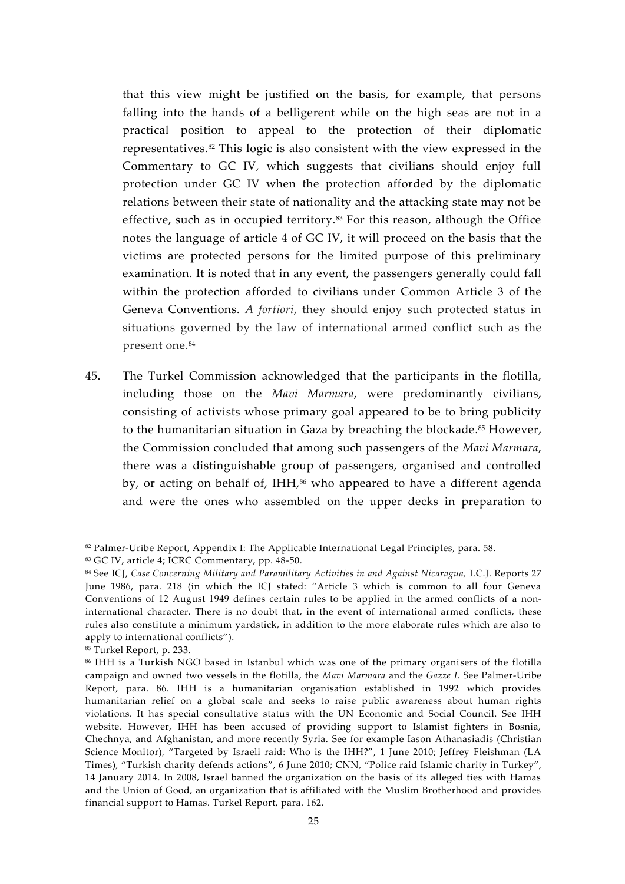that this view might be justified on the basis, for example, that persons falling into the hands of a belligerent while on the high seas are not in a practical position to appeal to the protection of their diplomatic representatives.<sup>82</sup> This logic is also consistent with the view expressed in the Commentary to GC IV, which suggests that civilians should enjoy full protection under GC IV when the protection afforded by the diplomatic relations between their state of nationality and the attacking state may not be effective, such as in occupied territory.<sup>83</sup> For this reason, although the Office notes the language of article 4 of GC IV, it will proceed on the basis that the victims are protected persons for the limited purpose of this preliminary examination. It is noted that in any event, the passengers generally could fall within the protection afforded to civilians under Common Article 3 of the Geneva Conventions. *A fortiori*, they should enjoy such protected status in situations governed by the law of international armed conflict such as the present one.<sup>84</sup>

45. The Turkel Commission acknowledged that the participants in the flotilla, including those on the *Mavi Marmara*, were predominantly civilians, consisting of activists whose primary goal appeared to be to bring publicity to the humanitarian situation in Gaza by breaching the blockade.<sup>85</sup> However, the Commission concluded that among such passengers of the *Mavi Marmara*, there was a distinguishable group of passengers, organised and controlled by, or acting on behalf of, IHH,<sup>86</sup> who appeared to have a different agenda and were the ones who assembled on the upper decks in preparation to

 $82$  Palmer-Uribe Report, Appendix I: The Applicable International Legal Principles, para. 58.

<sup>83</sup> GC IV, article 4; ICRC Commentary, pp. 48-50.

<sup>84</sup> See ICJ, *Case Concerning Military and Paramilitary Activities in and Against Nicaragua,* I.C.J. Reports 27 June 1986, para. 218 (in which the ICJ stated: "Article 3 which is common to all four Geneva Conventions of 12 August 1949 defines certain rules to be applied in the armed conflicts of a noninternational character. There is no doubt that, in the event of international armed conflicts, these rules also constitute a minimum yardstick, in addition to the more elaborate rules which are also to apply to international conflicts").

<sup>85</sup> Turkel Report, p. 233.

<sup>86</sup> IHH is a Turkish NGO based in Istanbul which was one of the primary organisers of the flotilla campaign and owned two vessels in the flotilla, the *Mavi Marmara* and the *Gazze I*. See Palmer-Uribe Report, para. 86. IHH is a humanitarian organisation established in 1992 which provides humanitarian relief on a global scale and seeks to raise public awareness about human rights violations. It has special consultative status with the UN Economic and Social Council. See IHH website. However, IHH has been accused of providing support to Islamist fighters in Bosnia, Chechnya, and Afghanistan, and more recently Syria. See for example Iason Athanasiadis (Christian Science Monitor), "Targeted by Israeli raid: Who is the IHH?", 1 June 2010; Jeffrey Fleishman (LA Times), "Turkish charity defends actions", 6 June 2010; CNN, "Police raid Islamic charity in Turkey", 14 January 2014. In 2008, Israel banned the organization on the basis of its alleged ties with Hamas and the Union of Good, an organization that is affiliated with the Muslim Brotherhood and provides financial support to Hamas. Turkel Report, para. 162.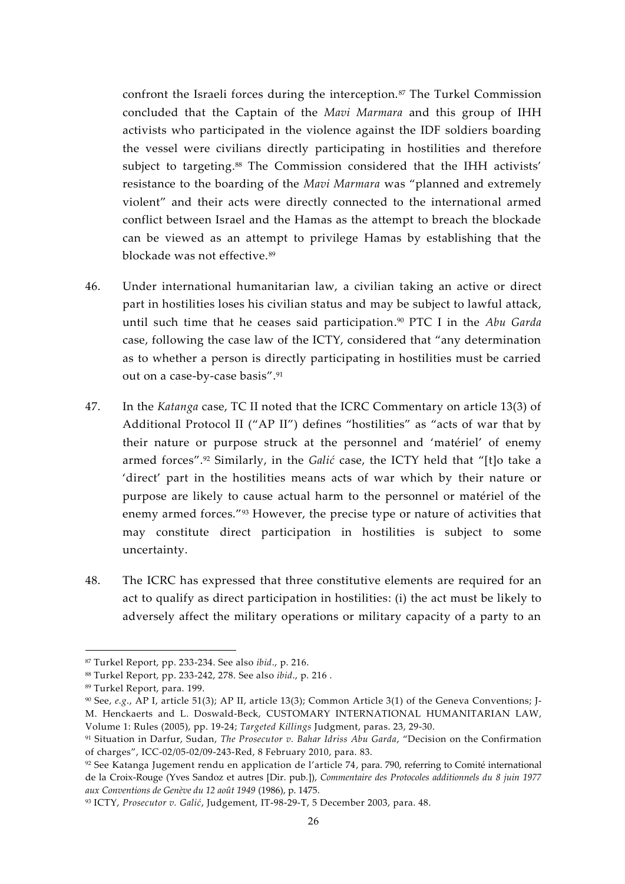confront the Israeli forces during the interception.<sup>87</sup> The Turkel Commission concluded that the Captain of the *Mavi Marmara* and this group of IHH activists who participated in the violence against the IDF soldiers boarding the vessel were civilians directly participating in hostilities and therefore subject to targeting.<sup>88</sup> The Commission considered that the IHH activists' resistance to the boarding of the *Mavi Marmara* was "planned and extremely violent" and their acts were directly connected to the international armed conflict between Israel and the Hamas as the attempt to breach the blockade can be viewed as an attempt to privilege Hamas by establishing that the blockade was not effective.<sup>89</sup>

- 46. Under international humanitarian law, a civilian taking an active or direct part in hostilities loses his civilian status and may be subject to lawful attack, until such time that he ceases said participation.<sup>90</sup> PTC I in the *Abu Garda* case, following the case law of the ICTY, considered that "any determination as to whether a person is directly participating in hostilities must be carried out on a case-by-case basis".<sup>91</sup>
- 47. In the *Katanga* case, TC II noted that the ICRC Commentary on article 13(3) of Additional Protocol II ("AP II") defines "hostilities" as "acts of war that by their nature or purpose struck at the personnel and 'matériel' of enemy armed forces".<sup>92</sup> Similarly, in the *Galić* case, the ICTY held that "[t]o take a 'direct' part in the hostilities means acts of war which by their nature or purpose are likely to cause actual harm to the personnel or matériel of the enemy armed forces."<sup>93</sup> However, the precise type or nature of activities that may constitute direct participation in hostilities is subject to some uncertainty.
- 48. The ICRC has expressed that three constitutive elements are required for an act to qualify as direct participation in hostilities: (i) the act must be likely to adversely affect the military operations or military capacity of a party to an

<sup>87</sup> Turkel Report, pp. 233-234. See also *ibid*., p. 216.

<sup>88</sup> Turkel Report, pp. 233-242, 278. See also *ibid*., p. 216 .

<sup>89</sup> Turkel Report, para. 199.

<sup>90</sup> See, *e.g*., AP I, article 51(3); AP II, article 13(3); Common Article 3(1) of the Geneva Conventions; J- M. Henckaerts and L. Doswald-Beck, CUSTOMARY INTERNATIONAL HUMANITARIAN LAW, Volume 1: Rules (2005), pp. 19-24; *Targeted Killings* Judgment, paras. 23, 29-30.

<sup>91</sup> Situation in Darfur, Sudan, *The Prosecutor v. Bahar Idriss Abu Garda*, "Decision on the Confirmation of charges", ICC-02/05-02/09-243-Red, 8 February 2010, para. 83.

 $92$  See Katanga Jugement rendu en application de l'article 74, para. 790, referring to Comité international de la Croix-Rouge (Yves Sandoz et autres [Dir. pub*.*]), *Commentaire des Protocoles additionnels du 8 juin 1977 aux Conventions de Genève du 12 août 1949* (1986), p. 1475.

<sup>93</sup> ICTY, *Prosecutor v. Galić*, Judgement, IT-98-29-T, 5 December 2003, para. 48.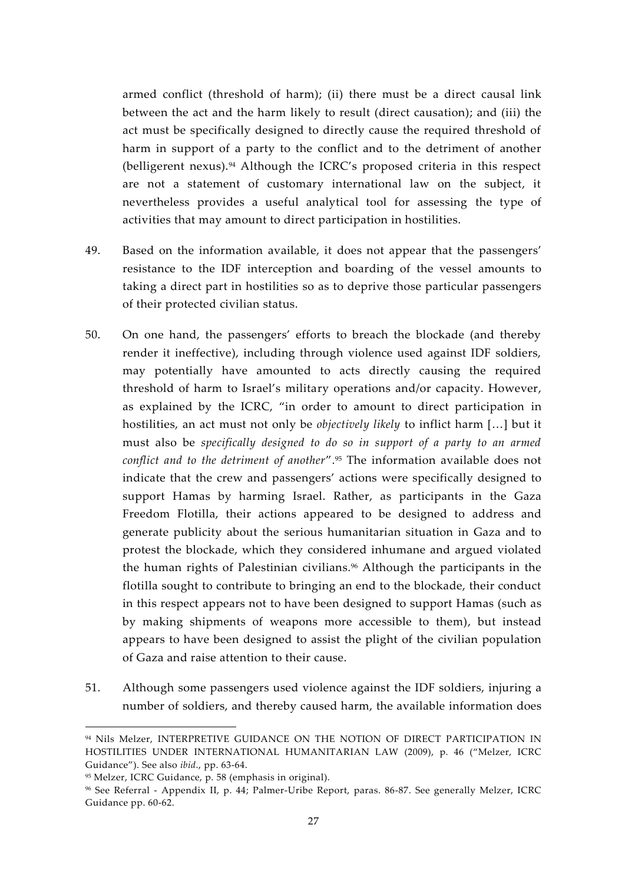armed conflict (threshold of harm); (ii) there must be a direct causal link between the act and the harm likely to result (direct causation); and (iii) the act must be specifically designed to directly cause the required threshold of harm in support of a party to the conflict and to the detriment of another (belligerent nexus).<sup>94</sup> Although the ICRC's proposed criteria in this respect are not a statement of customary international law on the subject, it nevertheless provides a useful analytical tool for assessing the type of activities that may amount to direct participation in hostilities.

- 49. Based on the information available, it does not appear that the passengers' resistance to the IDF interception and boarding of the vessel amounts to taking a direct part in hostilities so as to deprive those particular passengers of their protected civilian status.
- 50. On one hand, the passengers' efforts to breach the blockade (and thereby render it ineffective), including through violence used against IDF soldiers, may potentially have amounted to acts directly causing the required threshold of harm to Israel's military operations and/or capacity. However, as explained by the ICRC, "in order to amount to direct participation in hostilities, an act must not only be *objectively likely* to inflict harm […] but it must also be *specifically designed to do so in support of a party to an armed conflict and to the detriment of another*".<sup>95</sup> The information available does not indicate that the crew and passengers' actions were specifically designed to support Hamas by harming Israel. Rather, as participants in the Gaza Freedom Flotilla, their actions appeared to be designed to address and generate publicity about the serious humanitarian situation in Gaza and to protest the blockade, which they considered inhumane and argued violated the human rights of Palestinian civilians.<sup>96</sup> Although the participants in the flotilla sought to contribute to bringing an end to the blockade, their conduct in this respect appears not to have been designed to support Hamas (such as by making shipments of weapons more accessible to them), but instead appears to have been designed to assist the plight of the civilian population of Gaza and raise attention to their cause.
- 51. Although some passengers used violence against the IDF soldiers, injuring a number of soldiers, and thereby caused harm, the available information does

<sup>94</sup> Nils Melzer, INTERPRETIVE GUIDANCE ON THE NOTION OF DIRECT PARTICIPATION IN HOSTILITIES UNDER INTERNATIONAL HUMANITARIAN LAW (2009), p. 46 ("Melzer, ICRC Guidance"). See also *ibid*., pp. 63-64.

<sup>95</sup> Melzer, ICRC Guidance, p. 58 (emphasis in original).

<sup>96</sup> See Referral - Appendix II, p. 44; Palmer-Uribe Report, paras. 86-87. See generally Melzer, ICRC Guidance pp. 60-62.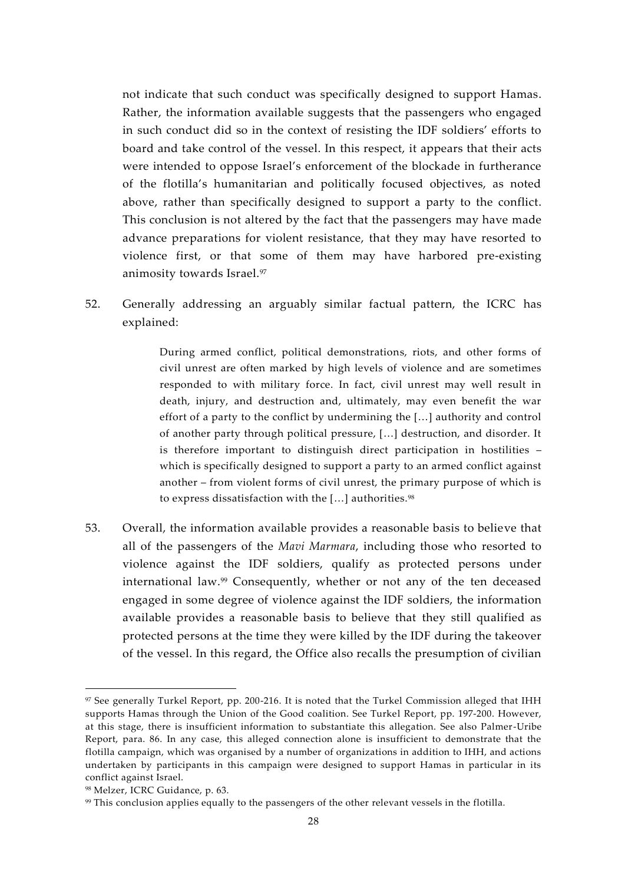not indicate that such conduct was specifically designed to support Hamas. Rather, the information available suggests that the passengers who engaged in such conduct did so in the context of resisting the IDF soldiers' efforts to board and take control of the vessel. In this respect, it appears that their acts were intended to oppose Israel's enforcement of the blockade in furtherance of the flotilla's humanitarian and politically focused objectives, as noted above, rather than specifically designed to support a party to the conflict. This conclusion is not altered by the fact that the passengers may have made advance preparations for violent resistance, that they may have resorted to violence first, or that some of them may have harbored pre-existing animosity towards Israel.<sup>97</sup>

52. Generally addressing an arguably similar factual pattern, the ICRC has explained:

> During armed conflict, political demonstrations, riots, and other forms of civil unrest are often marked by high levels of violence and are sometimes responded to with military force. In fact, civil unrest may well result in death, injury, and destruction and, ultimately, may even benefit the war effort of a party to the conflict by undermining the […] authority and control of another party through political pressure, […] destruction, and disorder. It is therefore important to distinguish direct participation in hostilities – which is specifically designed to support a party to an armed conflict against another – from violent forms of civil unrest, the primary purpose of which is to express dissatisfaction with the [...] authorities.<sup>98</sup>

53. Overall, the information available provides a reasonable basis to believe that all of the passengers of the *Mavi Marmara*, including those who resorted to violence against the IDF soldiers, qualify as protected persons under international law.<sup>99</sup> Consequently, whether or not any of the ten deceased engaged in some degree of violence against the IDF soldiers, the information available provides a reasonable basis to believe that they still qualified as protected persons at the time they were killed by the IDF during the takeover of the vessel. In this regard, the Office also recalls the presumption of civilian

<sup>97</sup> See generally Turkel Report, pp. 200-216. It is noted that the Turkel Commission alleged that IHH supports Hamas through the Union of the Good coalition. See Turkel Report, pp. 197-200. However, at this stage, there is insufficient information to substantiate this allegation. See also Palmer-Uribe Report, para. 86. In any case, this alleged connection alone is insufficient to demonstrate that the flotilla campaign, which was organised by a number of organizations in addition to IHH, and actions undertaken by participants in this campaign were designed to support Hamas in particular in its conflict against Israel.

<sup>98</sup> Melzer, ICRC Guidance, p. 63.

<sup>99</sup> This conclusion applies equally to the passengers of the other relevant vessels in the flotilla.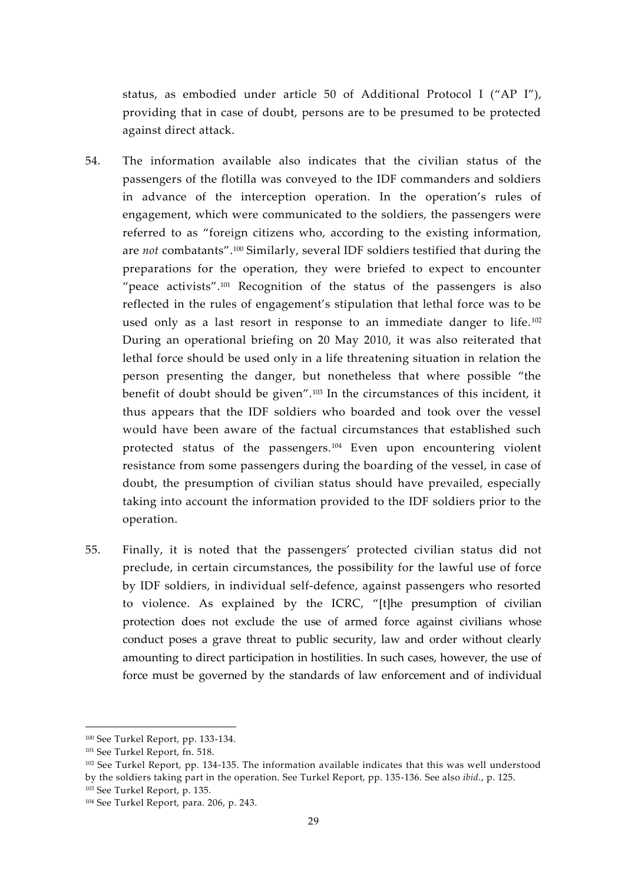status, as embodied under article 50 of Additional Protocol I ("AP I"), providing that in case of doubt, persons are to be presumed to be protected against direct attack.

- 54. The information available also indicates that the civilian status of the passengers of the flotilla was conveyed to the IDF commanders and soldiers in advance of the interception operation. In the operation's rules of engagement, which were communicated to the soldiers, the passengers were referred to as "foreign citizens who, according to the existing information, are *not* combatants".<sup>100</sup> Similarly, several IDF soldiers testified that during the preparations for the operation, they were briefed to expect to encounter "peace activists".<sup>101</sup> Recognition of the status of the passengers is also reflected in the rules of engagement's stipulation that lethal force was to be used only as a last resort in response to an immediate danger to life.<sup>102</sup> During an operational briefing on 20 May 2010, it was also reiterated that lethal force should be used only in a life threatening situation in relation the person presenting the danger, but nonetheless that where possible "the benefit of doubt should be given".<sup>103</sup> In the circumstances of this incident, it thus appears that the IDF soldiers who boarded and took over the vessel would have been aware of the factual circumstances that established such protected status of the passengers.<sup>104</sup> Even upon encountering violent resistance from some passengers during the boarding of the vessel, in case of doubt, the presumption of civilian status should have prevailed, especially taking into account the information provided to the IDF soldiers prior to the operation.
- 55. Finally, it is noted that the passengers' protected civilian status did not preclude, in certain circumstances, the possibility for the lawful use of force by IDF soldiers, in individual self-defence, against passengers who resorted to violence. As explained by the ICRC, "[t]he presumption of civilian protection does not exclude the use of armed force against civilians whose conduct poses a grave threat to public security, law and order without clearly amounting to direct participation in hostilities. In such cases, however, the use of force must be governed by the standards of law enforcement and of individual

<sup>100</sup> See Turkel Report, pp. 133-134.

<sup>101</sup> See Turkel Report, fn. 518.

<sup>102</sup> See Turkel Report, pp. 134-135. The information available indicates that this was well understood by the soldiers taking part in the operation. See Turkel Report, pp. 135-136. See also *ibid*., p. 125.

<sup>103</sup> See Turkel Report, p. 135.

<sup>104</sup> See Turkel Report, para. 206, p. 243.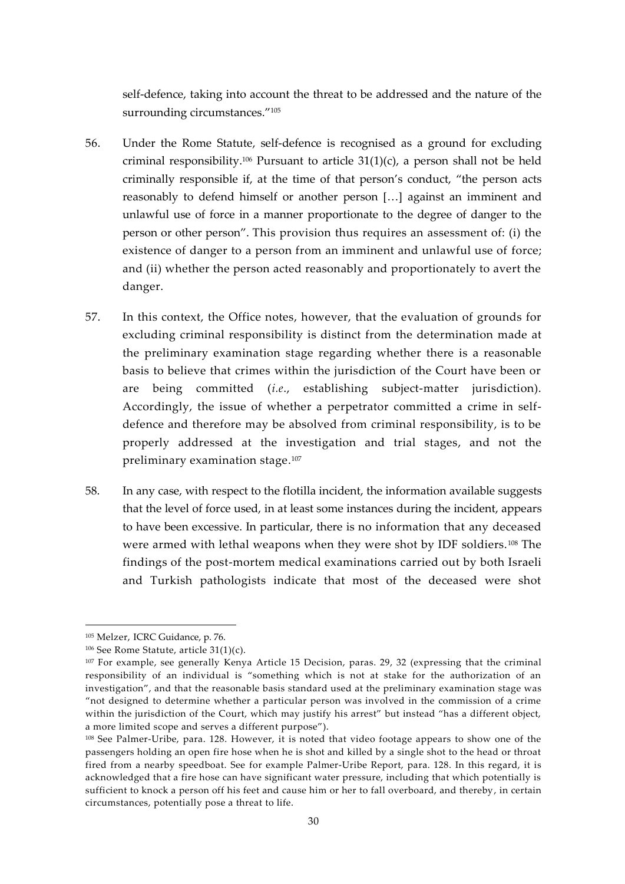self-defence, taking into account the threat to be addressed and the nature of the surrounding circumstances."<sup>105</sup>

- 56. Under the Rome Statute, self-defence is recognised as a ground for excluding criminal responsibility.<sup>106</sup> Pursuant to article  $31(1)(c)$ , a person shall not be held criminally responsible if, at the time of that person's conduct, "the person acts reasonably to defend himself or another person […] against an imminent and unlawful use of force in a manner proportionate to the degree of danger to the person or other person". This provision thus requires an assessment of: (i) the existence of danger to a person from an imminent and unlawful use of force; and (ii) whether the person acted reasonably and proportionately to avert the danger.
- 57. In this context, the Office notes, however, that the evaluation of grounds for excluding criminal responsibility is distinct from the determination made at the preliminary examination stage regarding whether there is a reasonable basis to believe that crimes within the jurisdiction of the Court have been or are being committed (*i.e*., establishing subject-matter jurisdiction). Accordingly, the issue of whether a perpetrator committed a crime in self defence and therefore may be absolved from criminal responsibility, is to be properly addressed at the investigation and trial stages, and not the preliminary examination stage.<sup>107</sup>
- 58. In any case, with respect to the flotilla incident, the information available suggests that the level of force used, in at least some instances during the incident, appears to have been excessive. In particular, there is no information that any deceased were armed with lethal weapons when they were shot by IDF soldiers.<sup>108</sup> The findings of the post-mortem medical examinations carried out by both Israeli and Turkish pathologists indicate that most of the deceased were shot

<sup>105</sup> Melzer, ICRC Guidance, p. 76.

 $106$  See Rome Statute, article 31(1)(c).

<sup>&</sup>lt;sup>107</sup> For example, see generally Kenya Article 15 Decision, paras. 29, 32 (expressing that the criminal responsibility of an individual is "something which is not at stake for the authorization of an investigation", and that the reasonable basis standard used at the preliminary examination stage was "not designed to determine whether a particular person was involved in the commission of a crime within the jurisdiction of the Court, which may justify his arrest" but instead "has a different object, a more limited scope and serves a different purpose").

<sup>108</sup> See Palmer-Uribe, para. 128. However, it is noted that video footage appears to show one of the passengers holding an open fire hose when he is shot and killed by a single shot to the head or throat fired from a nearby speedboat. See for example Palmer-Uribe Report, para. 128. In this regard, it is acknowledged that a fire hose can have significant water pressure, including that which potentially is sufficient to knock a person off his feet and cause him or her to fall overboard, and thereby, in certain circumstances, potentially pose a threat to life.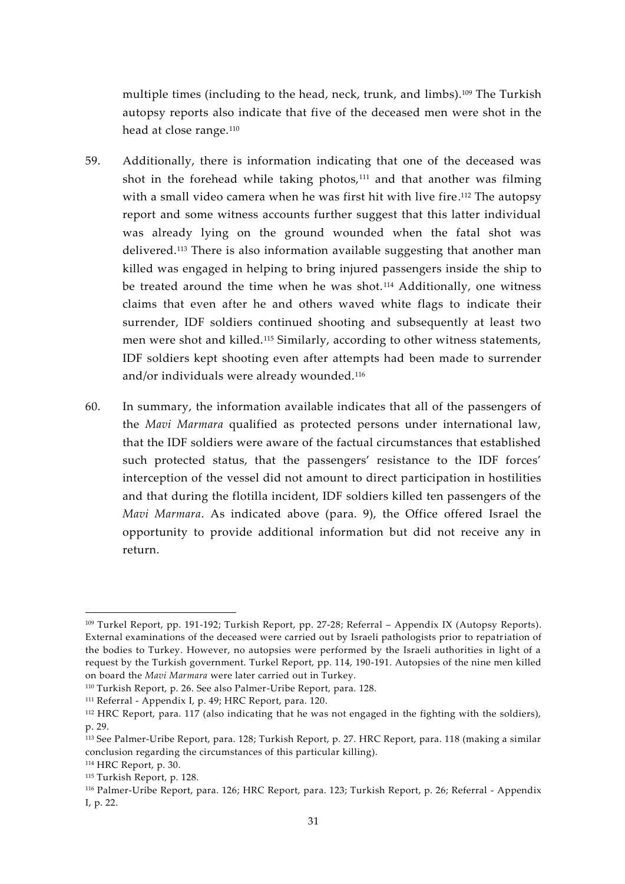multiple times (including to the head, neck, trunk, and limbs).<sup>109</sup> The Turkish autopsy reports also indicate that five of the deceased men were shot in the head at close range.<sup>110</sup>

- 59. Additionally, there is information indicating that one of the deceased was shot in the forehead while taking photos, $111$  and that another was filming with a small video camera when he was first hit with live fire.<sup>112</sup> The autopsy report and some witness accounts further suggest that this latter individual was already lying on the ground wounded when the fatal shot was delivered.<sup>113</sup> There is also information available suggesting that another man killed was engaged in helping to bring injured passengers inside the ship to be treated around the time when he was shot.<sup>114</sup> Additionally, one witness claims that even after he and others waved white flags to indicate their surrender, IDF soldiers continued shooting and subsequently at least two men were shot and killed.<sup>115</sup> Similarly, according to other witness statements, IDF soldiers kept shooting even after attempts had been made to surrender and/or individuals were already wounded.<sup>116</sup>
- 60. In summary, the information available indicates that all of the passengers of the *Mavi Marmara* qualified as protected persons under international law, that the IDF soldiers were aware of the factual circumstances that established such protected status, that the passengers' resistance to the IDF forces' interception of the vessel did not amount to direct participation in hostilities and that during the flotilla incident, IDF soldiers killed ten passengers of the *Mavi Marmara*. As indicated above (para. 9), the Office offered Israel the opportunity to provide additional information but did not receive any in return.

<sup>109</sup> Turkel Report, pp. 191-192; Turkish Report, pp. 27-28; Referral – Appendix IX (Autopsy Reports). External examinations of the deceased were carried out by Israeli pathologists prior to repatriation of the bodies to Turkey. However, no autopsies were performed by the Israeli authorities in light of a request by the Turkish government. Turkel Report, pp. 114, 190-191. Autopsies of the nine men killed on board the *Mavi Marmara* were later carried out in Turkey.

<sup>110</sup> Turkish Report, p. 26. See also Palmer-Uribe Report, para. 128.

<sup>111</sup> Referral - Appendix I, p. 49; HRC Report, para. 120.

<sup>112</sup> HRC Report, para. 117 (also indicating that he was not engaged in the fighting with the soldiers), p. 29.

<sup>113</sup> See Palmer-Uribe Report, para. 128; Turkish Report, p. 27. HRC Report, para. 118 (making a similar conclusion regarding the circumstances of this particular killing).

<sup>114</sup> HRC Report, p. 30.

<sup>115</sup> Turkish Report, p. 128.

<sup>116</sup> Palmer-Uribe Report, para. 126; HRC Report, para. 123; Turkish Report, p. 26; Referral - Appendix I, p. 22.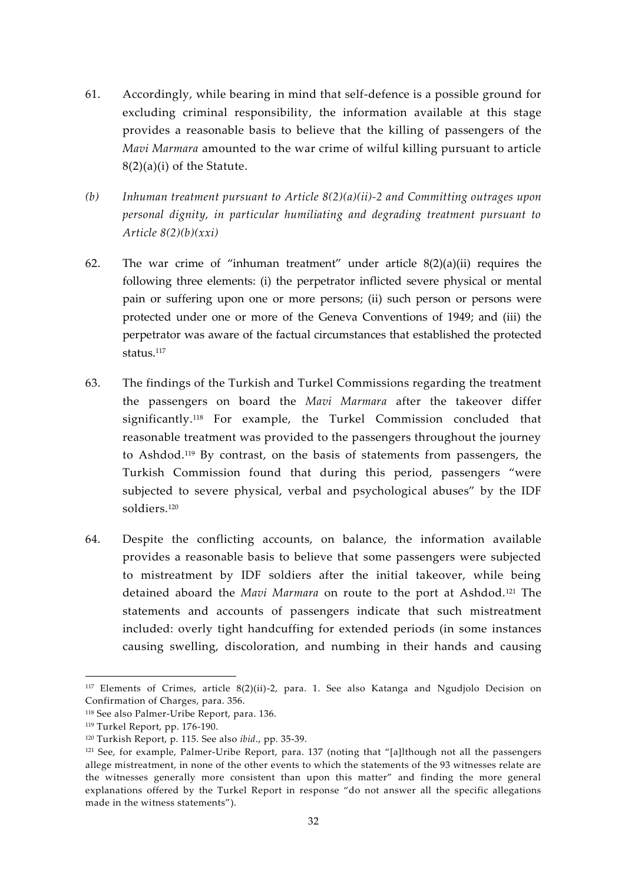- 61. Accordingly, while bearing in mind that self-defence is a possible ground for excluding criminal responsibility, the information available at this stage provides a reasonable basis to believe that the killing of passengers of the *Mavi Marmara* amounted to the war crime of wilful killing pursuant to article 8(2)(a)(i) of the Statute.
- *(b) Inhuman treatment pursuant to Article 8(2)(a)(ii)-2 and Committing outrages upon personal dignity, in particular humiliating and degrading treatment pursuant to Article 8(2)(b)(xxi)*
- 62. The war crime of "inhuman treatment" under article  $8(2)(a)(ii)$  requires the following three elements: (i) the perpetrator inflicted severe physical or mental pain or suffering upon one or more persons; (ii) such person or persons were protected under one or more of the Geneva Conventions of 1949; and (iii) the perpetrator was aware of the factual circumstances that established the protected status. $117$
- 63. The findings of the Turkish and Turkel Commissions regarding the treatment the passengers on board the *Mavi Marmara* after the takeover differ significantly.<sup>118</sup> For example, the Turkel Commission concluded that reasonable treatment was provided to the passengers throughout the journey to Ashdod.<sup>119</sup> By contrast, on the basis of statements from passengers, the Turkish Commission found that during this period, passengers "were subjected to severe physical, verbal and psychological abuses" by the IDF soldiers.<sup>120</sup>
- 64. Despite the conflicting accounts, on balance, the information available provides a reasonable basis to believe that some passengers were subjected to mistreatment by IDF soldiers after the initial takeover, while being detained aboard the *Mavi Marmara* on route to the port at Ashdod.<sup>121</sup> The statements and accounts of passengers indicate that such mistreatment included: overly tight handcuffing for extended periods (in some instances causing swelling, discoloration, and numbing in their hands and causing

<sup>117</sup> Elements of Crimes, article 8(2)(ii)-2, para. 1. See also Katanga and Ngudjolo Decision on Confirmation of Charges, para. 356.

<sup>118</sup> See also Palmer-Uribe Report, para. 136.

<sup>119</sup> Turkel Report, pp. 176-190.

<sup>120</sup> Turkish Report, p. 115. See also *ibid*., pp. 35-39.

<sup>&</sup>lt;sup>121</sup> See, for example, Palmer-Uribe Report, para. 137 (noting that "[a]lthough not all the passengers allege mistreatment, in none of the other events to which the statements of the 93 witnesses relate are the witnesses generally more consistent than upon this matter" and finding the more general explanations offered by the Turkel Report in response "do not answer all the specific allegations made in the witness statements").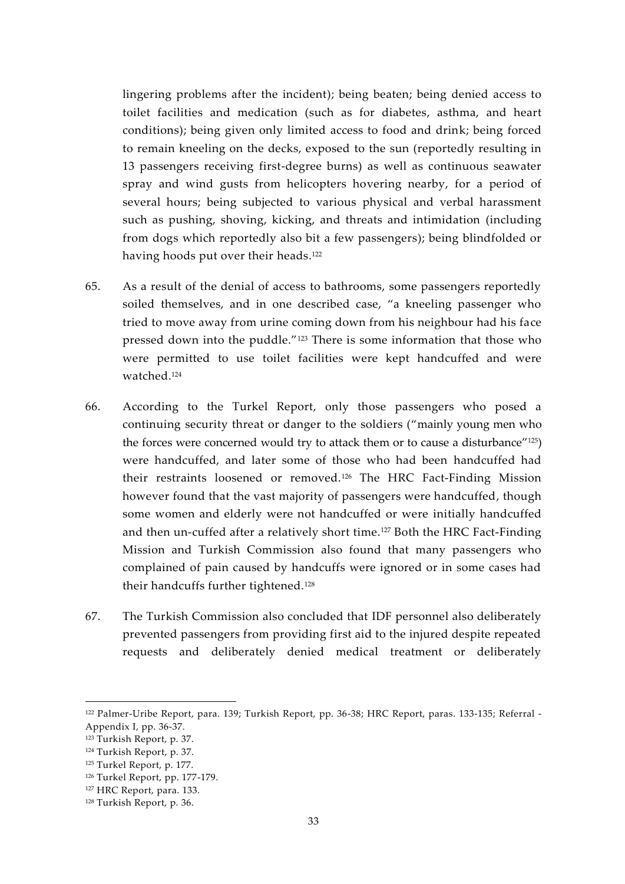lingering problems after the incident); being beaten; being denied access to toilet facilities and medication (such as for diabetes, asthma, and heart conditions); being given only limited access to food and drink; being forced to remain kneeling on the decks, exposed to the sun (reportedly resulting in 13 passengers receiving first-degree burns) as well as continuous seawater spray and wind gusts from helicopters hovering nearby, for a period of several hours; being subjected to various physical and verbal harassment such as pushing, shoving, kicking, and threats and intimidation (including from dogs which reportedly also bit a few passengers); being blindfolded or having hoods put over their heads.<sup>122</sup>

- 65. As a result of the denial of access to bathrooms, some passengers reportedly soiled themselves, and in one described case, "a kneeling passenger who tried to move away from urine coming down from his neighbour had his face pressed down into the puddle."<sup>123</sup> There is some information that those who were permitted to use toilet facilities were kept handcuffed and were watched<sup>124</sup>
- 66. According to the Turkel Report, only those passengers who posed a continuing security threat or danger to the soldiers ("mainly young men who the forces were concerned would try to attack them or to cause a disturbance"<sup>125</sup>) were handcuffed, and later some of those who had been handcuffed had their restraints loosened or removed.<sup>126</sup> The HRC Fact-Finding Mission however found that the vast majority of passengers were handcuffed, though some women and elderly were not handcuffed or were initially handcuffed and then un-cuffed after a relatively short time.<sup>127</sup> Both the HRC Fact-Finding Mission and Turkish Commission also found that many passengers who complained of pain caused by handcuffs were ignored or in some cases had their handcuffs further tightened.<sup>128</sup>
- 67. The Turkish Commission also concluded that IDF personnel also deliberately prevented passengers from providing first aid to the injured despite repeated requests and deliberately denied medical treatment or deliberately

<sup>122</sup> Palmer-Uribe Report, para. 139; Turkish Report, pp. 36-38; HRC Report, paras. 133-135; Referral - Appendix I, pp. 36-37.

<sup>123</sup> Turkish Report, p. 37.

<sup>124</sup> Turkish Report, p. 37.

<sup>125</sup> Turkel Report, p. 177.

<sup>126</sup> Turkel Report, pp. 177-179.

<sup>127</sup> HRC Report, para. 133.

<sup>128</sup> Turkish Report, p. 36.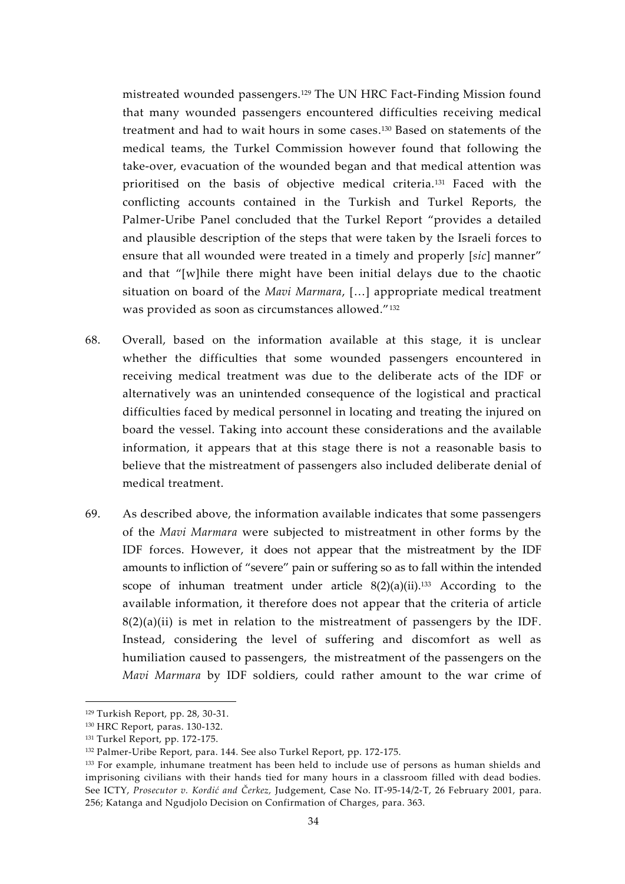mistreated wounded passengers.<sup>129</sup> The UN HRC Fact-Finding Mission found that many wounded passengers encountered difficulties receiving medical treatment and had to wait hours in some cases.<sup>130</sup> Based on statements of the medical teams, the Turkel Commission however found that following the take-over, evacuation of the wounded began and that medical attention was prioritised on the basis of objective medical criteria.<sup>131</sup> Faced with the conflicting accounts contained in the Turkish and Turkel Reports, the Palmer-Uribe Panel concluded that the Turkel Report "provides a detailed and plausible description of the steps that were taken by the Israeli forces to ensure that all wounded were treated in a timely and properly [*sic*] manner" and that "[w]hile there might have been initial delays due to the chaotic situation on board of the *Mavi Marmara*, […] appropriate medical treatment was provided as soon as circumstances allowed."<sup>132</sup>

- 68. Overall, based on the information available at this stage, it is unclear whether the difficulties that some wounded passengers encountered in receiving medical treatment was due to the deliberate acts of the IDF or alternatively was an unintended consequence of the logistical and practical difficulties faced by medical personnel in locating and treating the injured on board the vessel. Taking into account these considerations and the available information, it appears that at this stage there is not a reasonable basis to believe that the mistreatment of passengers also included deliberate denial of medical treatment.
- 69. As described above, the information available indicates that some passengers of the *Mavi Marmara* were subjected to mistreatment in other forms by the IDF forces. However, it does not appear that the mistreatment by the IDF amounts to infliction of "severe" pain or suffering so as to fall within the intended scope of inhuman treatment under article  $8(2)(a)(ii)$ .<sup>133</sup> According to the available information, it therefore does not appear that the criteria of article  $8(2)(a)(ii)$  is met in relation to the mistreatment of passengers by the IDF. Instead, considering the level of suffering and discomfort as well as humiliation caused to passengers, the mistreatment of the passengers on the *Mavi Marmara* by IDF soldiers, could rather amount to the war crime of

<sup>129</sup> Turkish Report, pp. 28, 30-31.

<sup>130</sup> HRC Report, paras. 130-132.

<sup>131</sup> Turkel Report, pp. 172-175.

<sup>132</sup> Palmer-Uribe Report, para. 144. See also Turkel Report, pp. 172-175.

<sup>&</sup>lt;sup>133</sup> For example, inhumane treatment has been held to include use of persons as human shields and imprisoning civilians with their hands tied for many hours in a classroom filled with dead bodies. See ICTY, *Prosecutor v. Kordić and Čerkez,* Judgement, Case No. IT-95-14/2-T, 26 February 2001, para. 256; Katanga and Ngudjolo Decision on Confirmation of Charges, para. 363.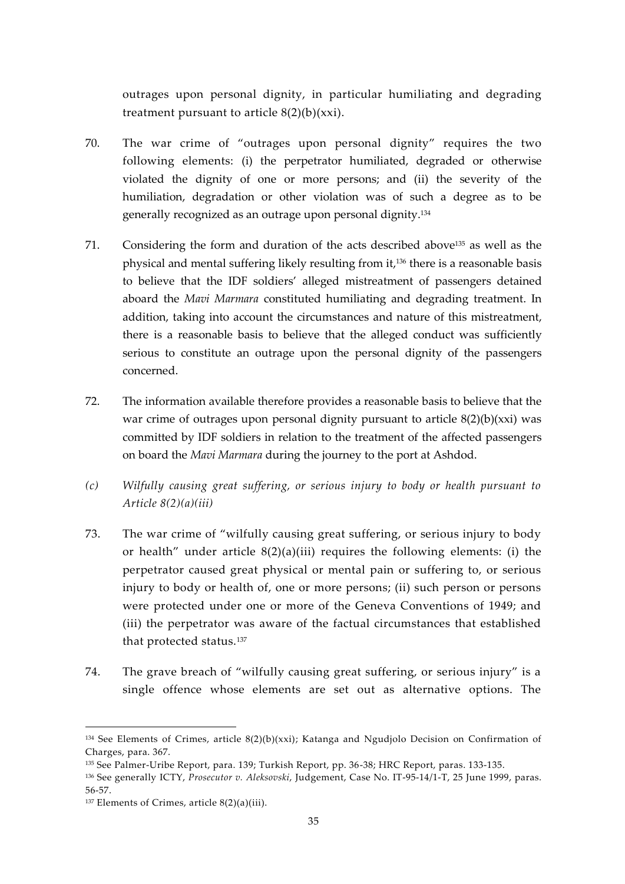outrages upon personal dignity, in particular humiliating and degrading treatment pursuant to article  $8(2)(b)(xxi)$ .

- 70. The war crime of "outrages upon personal dignity" requires the two following elements: (i) the perpetrator humiliated, degraded or otherwise violated the dignity of one or more persons; and (ii) the severity of the humiliation, degradation or other violation was of such a degree as to be generally recognized as an outrage upon personal dignity.<sup>134</sup>
- 71. Considering the form and duration of the acts described above<sup>135</sup> as well as the physical and mental suffering likely resulting from it,<sup>136</sup> there is a reasonable basis to believe that the IDF soldiers' alleged mistreatment of passengers detained aboard the *Mavi Marmara* constituted humiliating and degrading treatment. In addition, taking into account the circumstances and nature of this mistreatment, there is a reasonable basis to believe that the alleged conduct was sufficiently serious to constitute an outrage upon the personal dignity of the passengers concerned.
- 72. The information available therefore provides a reasonable basis to believe that the war crime of outrages upon personal dignity pursuant to article  $8(2)(b)(xxi)$  was committed by IDF soldiers in relation to the treatment of the affected passengers on board the *Mavi Marmara* during the journey to the port at Ashdod.
- *(c) Wilfully causing great suffering, or serious injury to body or health pursuant to Article 8(2)(a)(iii)*
- 73. The war crime of "wilfully causing great suffering, or serious injury to body or health" under article  $8(2)(a)(iii)$  requires the following elements: (i) the perpetrator caused great physical or mental pain or suffering to, or serious injury to body or health of, one or more persons; (ii) such person or persons were protected under one or more of the Geneva Conventions of 1949; and (iii) the perpetrator was aware of the factual circumstances that established that protected status.<sup>137</sup>
- 74. The grave breach of "wilfully causing great suffering, or serious injury" is a single offence whose elements are set out as alternative options. The

 $134$  See Elements of Crimes, article  $8(2)(b)(xxi)$ ; Katanga and Ngudjolo Decision on Confirmation of Charges, para. 367.

<sup>135</sup> See Palmer-Uribe Report, para. 139; Turkish Report, pp. 36-38; HRC Report, paras. 133-135.

<sup>136</sup> See generally ICTY, *Prosecutor v. Aleksovski*, Judgement, Case No. IT-95-14/1-T, 25 June 1999, paras. 56-57.

 $137$  Elements of Crimes, article  $8(2)(a)(iii)$ .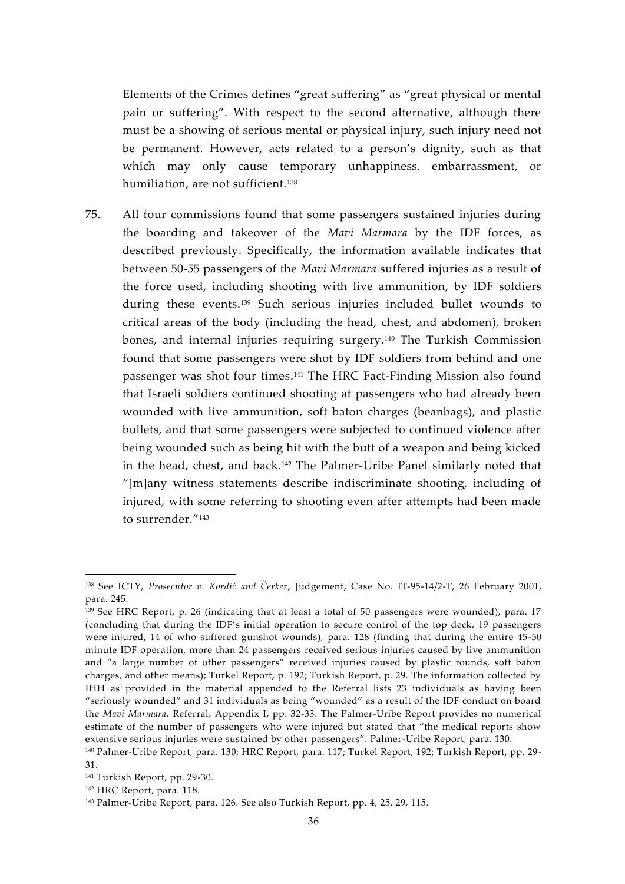Elements of the Crimes defines "great suffering" as "great physical or mental pain or suffering". With respect to the second alternative, although there must be a showing of serious mental or physical injury, such injury need not be permanent. However, acts related to a person's dignity, such as that which may only cause temporary unhappiness, embarrassment, or humiliation, are not sufficient.<sup>138</sup>

75. All four commissions found that some passengers sustained injuries during the boarding and takeover of the *Mavi Marmara* by the IDF forces, as described previously. Specifically, the information available indicates that between 50-55 passengers of the *Mavi Marmara* suffered injuries as a result of the force used, including shooting with live ammunition, by IDF soldiers during these events.<sup>139</sup> Such serious injuries included bullet wounds to critical areas of the body (including the head, chest, and abdomen), broken bones, and internal injuries requiring surgery.<sup>140</sup> The Turkish Commission found that some passengers were shot by IDF soldiers from behind and one passenger was shot four times.<sup>141</sup> The HRC Fact-Finding Mission also found that Israeli soldiers continued shooting at passengers who had already been wounded with live ammunition, soft baton charges (beanbags), and plastic bullets, and that some passengers were subjected to continued violence after being wounded such as being hit with the butt of a weapon and being kicked in the head, chest, and back.<sup>142</sup> The Palmer-Uribe Panel similarly noted that "[m]any witness statements describe indiscriminate shooting, including of injured, with some referring to shooting even after attempts had been made to surrender."<sup>143</sup>

<sup>138</sup> See ICTY, *Prosecutor v. Kordić and Čerkez,* Judgement, Case No. IT-95-14/2-T, 26 February 2001, para. 245.

<sup>139</sup> See HRC Report, p. 26 (indicating that at least a total of 50 passengers were wounded), para. 17 (concluding that during the IDF's initial operation to secure control of the top deck, 19 passengers were injured, 14 of who suffered gunshot wounds), para. 128 (finding that during the entire 45-50 minute IDF operation, more than 24 passengers received serious injuries caused by live ammunition and "a large number of other passengers" received injuries caused by plastic rounds, soft baton charges, and other means); Turkel Report, p. 192; Turkish Report, p. 29. The information collected by IHH as provided in the material appended to the Referral lists 23 individuals as having been "seriously wounded" and 31 individuals as being "wounded" as a result of the IDF conduct on board the *Mavi Marmara*. Referral, Appendix I, pp. 32-33. The Palmer-Uribe Report provides no numerical estimate of the number of passengers who were injured but stated that "the medical reports show extensive serious injuries were sustained by other passengers". Palmer-Uribe Report, para. 130.

<sup>140</sup> Palmer-Uribe Report, para. 130; HRC Report, para. 117; Turkel Report, 192; Turkish Report, pp. 29- 31.

<sup>141</sup> Turkish Report, pp. 29-30.

<sup>142</sup> HRC Report, para. 118.

<sup>143</sup> Palmer-Uribe Report, para. 126. See also Turkish Report, pp. 4, 25, 29, 115.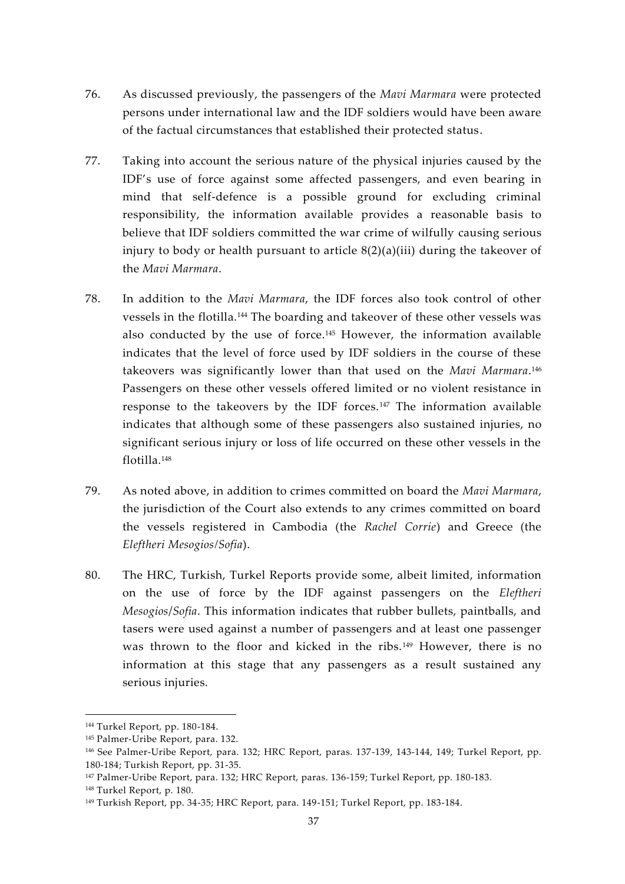- 76. As discussed previously, the passengers of the *Mavi Marmara* were protected persons under international law and the IDF soldiers would have been aware of the factual circumstances that established their protected status.
- 77. Taking into account the serious nature of the physical injuries caused by the IDF's use of force against some affected passengers, and even bearing in mind that self-defence is a possible ground for excluding criminal responsibility, the information available provides a reasonable basis to believe that IDF soldiers committed the war crime of wilfully causing serious injury to body or health pursuant to article 8(2)(a)(iii) during the takeover of the *Mavi Marmara*.
- 78. In addition to the *Mavi Marmara*, the IDF forces also took control of other vessels in the flotilla.<sup>144</sup> The boarding and takeover of these other vessels was also conducted by the use of force.<sup>145</sup> However, the information available indicates that the level of force used by IDF soldiers in the course of these takeovers was significantly lower than that used on the *Mavi Marmara*.<sup>146</sup> Passengers on these other vessels offered limited or no violent resistance in response to the takeovers by the IDF forces.<sup>147</sup> The information available indicates that although some of these passengers also sustained injuries, no significant serious injury or loss of life occurred on these other vessels in the flotilla.<sup>148</sup>
- 79. As noted above, in addition to crimes committed on board the *Mavi Marmara*, the jurisdiction of the Court also extends to any crimes committed on board the vessels registered in Cambodia (the *Rachel Corrie*) and Greece (the *Eleftheri Mesogios/Sofia*).
- 80. The HRC, Turkish, Turkel Reports provide some, albeit limited, information on the use of force by the IDF against passengers on the *Eleftheri Mesogios*/*Sofia*. This information indicates that rubber bullets, paintballs, and tasers were used against a number of passengers and at least one passenger was thrown to the floor and kicked in the ribs.<sup>149</sup> However, there is no information at this stage that any passengers as a result sustained any serious injuries.

<sup>144</sup> Turkel Report, pp. 180-184.

<sup>145</sup> Palmer-Uribe Report, para. 132.

<sup>146</sup> See Palmer-Uribe Report, para. 132; HRC Report, paras. 137-139, 143-144, 149; Turkel Report, pp. 180-184; Turkish Report, pp. 31-35.

<sup>147</sup> Palmer-Uribe Report, para. 132; HRC Report, paras. 136-159; Turkel Report, pp. 180-183.

<sup>148</sup> Turkel Report, p. 180.

<sup>149</sup> Turkish Report, pp. 34-35; HRC Report, para. 149-151; Turkel Report, pp. 183-184.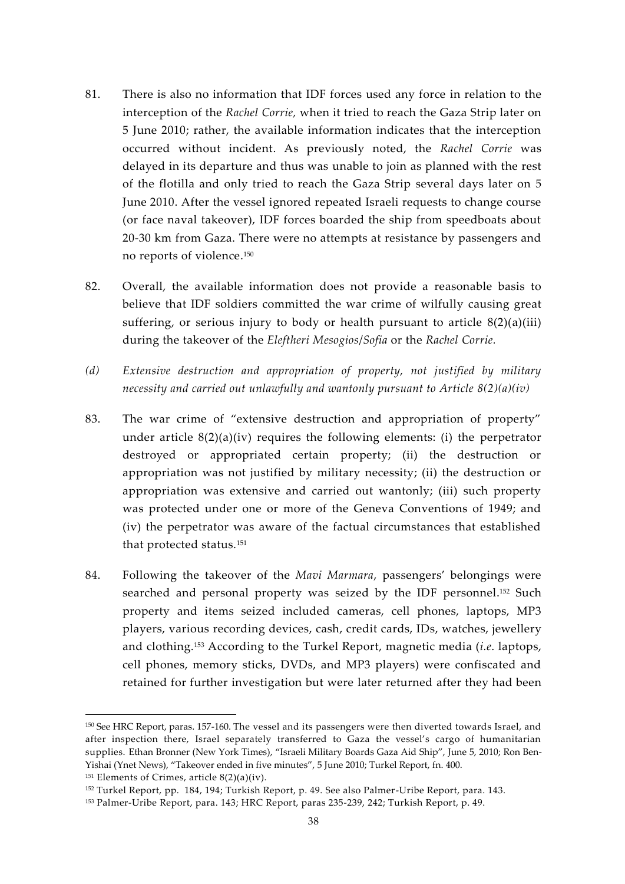- 81. There is also no information that IDF forces used any force in relation to the interception of the *Rachel Corrie,* when it tried to reach the Gaza Strip later on 5 June 2010; rather, the available information indicates that the interception occurred without incident. As previously noted, the *Rachel Corrie* was delayed in its departure and thus was unable to join as planned with the rest of the flotilla and only tried to reach the Gaza Strip several days later on 5 June 2010. After the vessel ignored repeated Israeli requests to change course (or face naval takeover), IDF forces boarded the ship from speedboats about 20-30 km from Gaza. There were no attempts at resistance by passengers and no reports of violence.<sup>150</sup>
- 82. Overall, the available information does not provide a reasonable basis to believe that IDF soldiers committed the war crime of wilfully causing great suffering, or serious injury to body or health pursuant to article  $8(2)(a)(iii)$ during the takeover of the *Eleftheri Mesogios*/*Sofia* or the *Rachel Corrie.*
- *(d) Extensive destruction and appropriation of property, not justified by military necessity and carried out unlawfully and wantonly pursuant to Article 8(2)(a)(iv)*
- 83. The war crime of "extensive destruction and appropriation of property" under article 8(2)(a)(iv) requires the following elements: (i) the perpetrator destroyed or appropriated certain property; (ii) the destruction or appropriation was not justified by military necessity; (ii) the destruction or appropriation was extensive and carried out wantonly; (iii) such property was protected under one or more of the Geneva Conventions of 1949; and (iv) the perpetrator was aware of the factual circumstances that established that protected status.<sup>151</sup>
- 84. Following the takeover of the *Mavi Marmara*, passengers' belongings were searched and personal property was seized by the IDF personnel.<sup>152</sup> Such property and items seized included cameras, cell phones, laptops, MP3 players, various recording devices, cash, credit cards, IDs, watches, jewellery and clothing.<sup>153</sup> According to the Turkel Report, magnetic media (*i.e*. laptops, cell phones, memory sticks, DVDs, and MP3 players) were confiscated and retained for further investigation but were later returned after they had been

<sup>150</sup> See HRC Report, paras. 157-160. The vessel and its passengers were then diverted towards Israel, and after inspection there, Israel separately transferred to Gaza the vessel's cargo of humanitarian supplies. Ethan Bronner (New York Times), "Israeli Military Boards Gaza Aid Ship", June 5, 2010; Ron Ben- Yishai (Ynet News), "Takeover ended in five minutes", 5 June 2010; Turkel Report, fn. 400.

 $151$  Elements of Crimes, article  $8(2)(a)(iv)$ .

<sup>152</sup> Turkel Report, pp. 184, 194; Turkish Report, p. 49. See also Palmer-Uribe Report, para. 143.

<sup>153</sup> Palmer-Uribe Report, para. 143; HRC Report, paras 235-239, 242; Turkish Report, p. 49.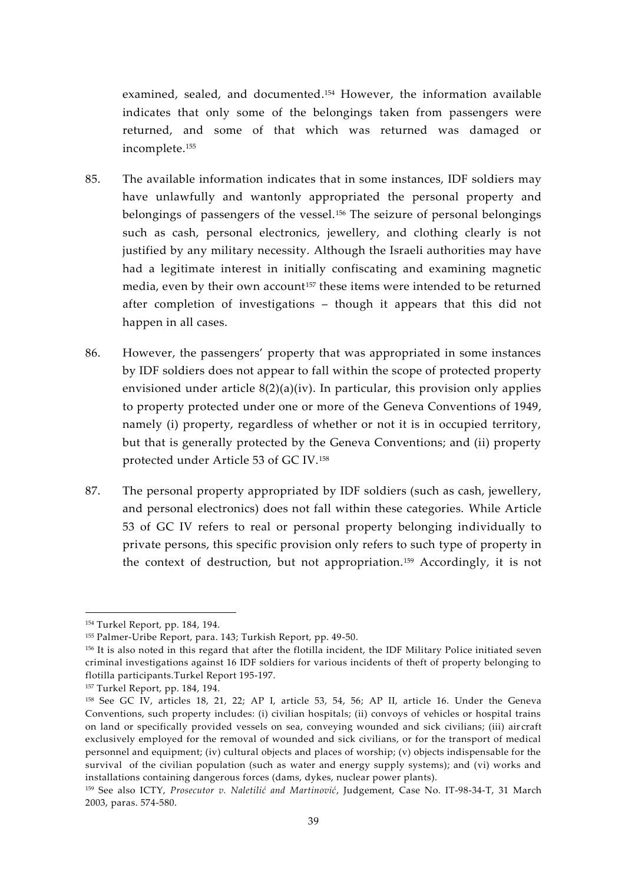examined, sealed, and documented.<sup>154</sup> However, the information available indicates that only some of the belongings taken from passengers were returned, and some of that which was returned was damaged or incomplete.<sup>155</sup>

- 85. The available information indicates that in some instances, IDF soldiers may have unlawfully and wantonly appropriated the personal property and belongings of passengers of the vessel.<sup>156</sup> The seizure of personal belongings such as cash, personal electronics, jewellery, and clothing clearly is not justified by any military necessity. Although the Israeli authorities may have had a legitimate interest in initially confiscating and examining magnetic media, even by their own account<sup>157</sup> these items were intended to be returned after completion of investigations – though it appears that this did not happen in all cases.
- 86. However, the passengers' property that was appropriated in some instances by IDF soldiers does not appear to fall within the scope of protected property envisioned under article  $8(2)(a)(iv)$ . In particular, this provision only applies to property protected under one or more of the Geneva Conventions of 1949, namely (i) property, regardless of whether or not it is in occupied territory, but that is generally protected by the Geneva Conventions; and (ii) property protected under Article 53 of GC IV.<sup>158</sup>
- 87. The personal property appropriated by IDF soldiers (such as cash, jewellery, and personal electronics) does not fall within these categories. While Article 53 of GC IV refers to real or personal property belonging individually to private persons, this specific provision only refers to such type of property in the context of destruction, but not appropriation.<sup>159</sup> Accordingly, it is not

<sup>154</sup> Turkel Report, pp. 184, 194.

<sup>155</sup> Palmer-Uribe Report, para. 143; Turkish Report, pp. 49-50.

<sup>156</sup> It is also noted in this regard that after the flotilla incident, the IDF Military Police initiated seven criminal investigations against 16 IDF soldiers for various incidents of theft of property belonging to flotilla participants.Turkel Report 195-197.

<sup>157</sup> Turkel Report, pp. 184, 194.

<sup>158</sup> See GC IV, articles 18, 21, 22; AP I, article 53, 54, 56; AP II, article 16. Under the Geneva Conventions, such property includes: (i) civilian hospitals; (ii) convoys of vehicles or hospital trains on land or specifically provided vessels on sea, conveying wounded and sick civilians; (iii) air craft exclusively employed for the removal of wounded and sick civilians, or for the transport of medical personnel and equipment; (iv) cultural objects and places of worship; (v) objects indispensable for the survival of the civilian population (such as water and energy supply systems); and (vi) works and installations containing dangerous forces (dams, dykes, nuclear power plants).

<sup>159</sup> See also ICTY, *Prosecutor v. Naletilić and Martinović*, Judgement, Case No. IT-98-34-T, 31 March 2003, paras. 574-580.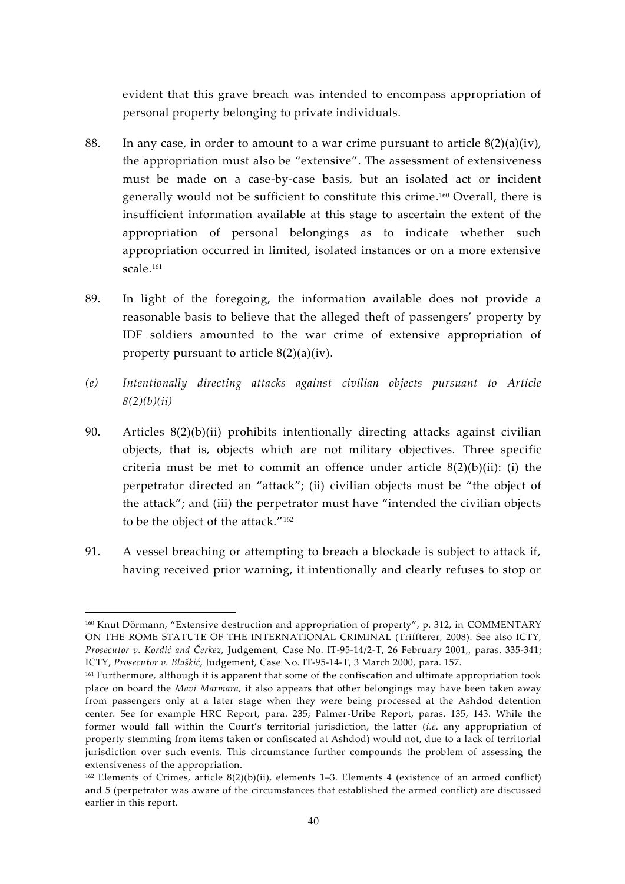evident that this grave breach was intended to encompass appropriation of personal property belonging to private individuals.

- 88. In any case, in order to amount to a war crime pursuant to article  $8(2)(a)(iv)$ , the appropriation must also be "extensive". The assessment of extensiveness must be made on a case-by-case basis, but an isolated act or incident generally would not be sufficient to constitute this crime.<sup>160</sup> Overall, there is insufficient information available at this stage to ascertain the extent of the appropriation of personal belongings as to indicate whether such appropriation occurred in limited, isolated instances or on a more extensive scale.<sup>161</sup>
- 89. In light of the foregoing, the information available does not provide a reasonable basis to believe that the alleged theft of passengers' property by IDF soldiers amounted to the war crime of extensive appropriation of property pursuant to article 8(2)(a)(iv).
- *(e) Intentionally directing attacks against civilian objects pursuant to Article 8(2)(b)(ii)*
- 90. Articles 8(2)(b)(ii) prohibits intentionally directing attacks against civilian objects, that is, objects which are not military objectives. Three specific criteria must be met to commit an offence under article  $8(2)(b)(ii)$ : (i) the perpetrator directed an "attack"; (ii) civilian objects must be "the object of the attack"; and (iii) the perpetrator must have "intended the civilian objects to be the object of the attack."<sup>162</sup>
- 91. A vessel breaching or attempting to breach a blockade is subject to attack if, having received prior warning, it intentionally and clearly refuses to stop or

<sup>160</sup> Knut Dörmann, "Extensive destruction and appropriation of property", p. 312, in COMMENTARY ON THE ROME STATUTE OF THE INTERNATIONAL CRIMINAL (Triffterer, 2008). See also ICTY, *Prosecutor v. Kordić and Čerkez,* Judgement, Case No. IT-95-14/2-T, 26 February 2001,, paras. 335-341; ICTY, *Prosecutor v. Blaškić,* Judgement, Case No. IT-95-14-T, 3 March 2000, para. 157.

<sup>&</sup>lt;sup>161</sup> Furthermore, although it is apparent that some of the confiscation and ultimate appropriation took place on board the *Mavi Marmara*, it also appears that other belongings may have been taken away from passengers only at a later stage when they were being processed at the Ashdod detention center. See for example HRC Report, para. 235; Palmer-Uribe Report, paras. 135, 143. While the former would fall within the Court's territorial jurisdiction, the latter (*i.e*. any appropriation of property stemming from items taken or confiscated at Ashdod) would not, due to a lack of territorial jurisdiction over such events. This circumstance further compounds the problem of assessing the extensiveness of the appropriation.

 $162$  Elements of Crimes, article  $8(2)(b)(ii)$ , elements 1–3. Elements 4 (existence of an armed conflict) and 5 (perpetrator was aware of the circumstances that established the armed conflict) are discussed earlier in this report.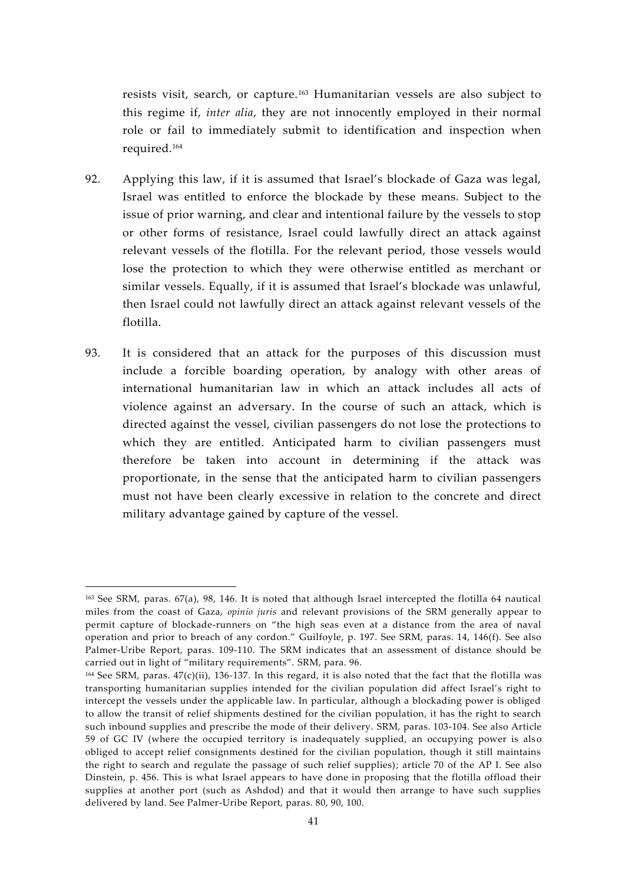resists visit, search, or capture.<sup>163</sup> Humanitarian vessels are also subject to this regime if, *inter alia*, they are not innocently employed in their normal role or fail to immediately submit to identification and inspection when required.<sup>164</sup>

- 92. Applying this law, if it is assumed that Israel's blockade of Gaza was legal, Israel was entitled to enforce the blockade by these means. Subject to the issue of prior warning, and clear and intentional failure by the vessels to stop or other forms of resistance, Israel could lawfully direct an attack against relevant vessels of the flotilla. For the relevant period, those vessels would lose the protection to which they were otherwise entitled as merchant or similar vessels. Equally, if it is assumed that Israel's blockade was unlawful, then Israel could not lawfully direct an attack against relevant vessels of the flotilla.
- 93. It is considered that an attack for the purposes of this discussion must include a forcible boarding operation, by analogy with other areas of international humanitarian law in which an attack includes all acts of violence against an adversary. In the course of such an attack, which is directed against the vessel, civilian passengers do not lose the protections to which they are entitled. Anticipated harm to civilian passengers must therefore be taken into account in determining if the attack was proportionate, in the sense that the anticipated harm to civilian passengers must not have been clearly excessive in relation to the concrete and direct military advantage gained by capture of the vessel.

<sup>163</sup> See SRM, paras. 67(a), 98, 146. It is noted that although Israel intercepted the flotilla 64 nautical miles from the coast of Gaza, *opinio juris* and relevant provisions of the SRM generally appear to permit capture of blockade-runners on "the high seas even at a distance from the area of naval operation and prior to breach of any cordon." Guilfoyle, p. 197. See SRM, paras. 14, 146(f). See also Palmer-Uribe Report, paras. 109-110. The SRM indicates that an assessment of distance should be carried out in light of "military requirements". SRM, para. 96.

 $164$  See SRM, paras.  $47(c)(ii)$ , 136-137. In this regard, it is also noted that the fact that the flotilla was transporting humanitarian supplies intended for the civilian population did affect Israel's right to intercept the vessels under the applicable law. In particular, although a blockading power is obliged to allow the transit of relief shipments destined for the civilian population, it has the right to search such inbound supplies and prescribe the mode of their delivery. SRM, paras. 103-104. See also Article 59 of GC IV (where the occupied territory is inadequately supplied, an occupying power is also obliged to accept relief consignments destined for the civilian population, though it still maintains the right to search and regulate the passage of such relief supplies); article 70 of the AP I. See also Dinstein, p. 456. This is what Israel appears to have done in proposing that the flotilla offload their supplies at another port (such as Ashdod) and that it would then arrange to have such supplies delivered by land. See Palmer-Uribe Report, paras. 80, 90, 100.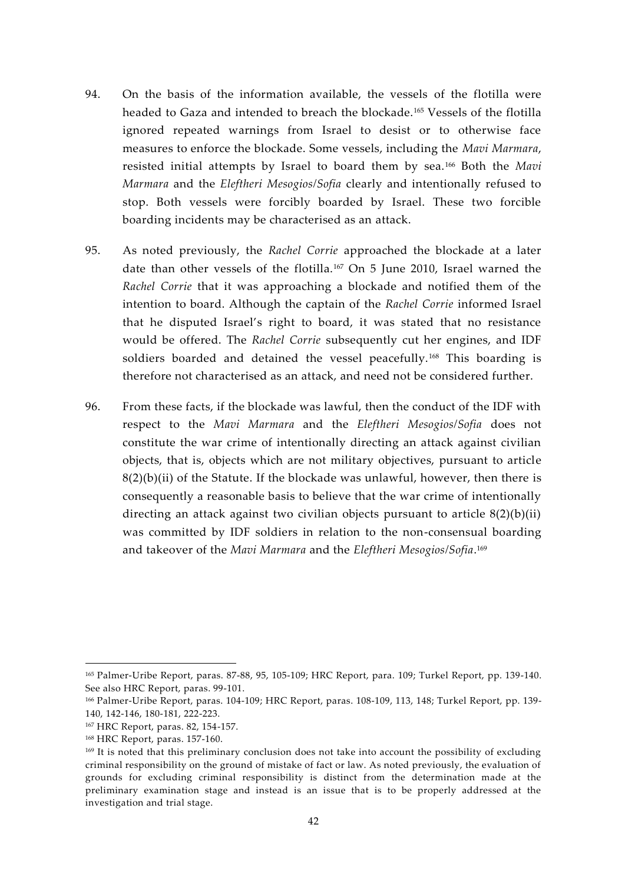- 94. On the basis of the information available, the vessels of the flotilla were headed to Gaza and intended to breach the blockade.<sup>165</sup> Vessels of the flotilla ignored repeated warnings from Israel to desist or to otherwise face measures to enforce the blockade. Some vessels, including the *Mavi Marmara*, resisted initial attempts by Israel to board them by sea.<sup>166</sup> Both the *Mavi Marmara* and the *Eleftheri Mesogios/Sofia* clearly and intentionally refused to stop. Both vessels were forcibly boarded by Israel. These two forcible boarding incidents may be characterised as an attack.
- 95. As noted previously, the *Rachel Corrie* approached the blockade at a later date than other vessels of the flotilla.<sup>167</sup> On 5 June 2010, Israel warned the *Rachel Corrie* that it was approaching a blockade and notified them of the intention to board. Although the captain of the *Rachel Corrie* informed Israel that he disputed Israel's right to board, it was stated that no resistance would be offered. The *Rachel Corrie* subsequently cut her engines, and IDF soldiers boarded and detained the vessel peacefully.<sup>168</sup> This boarding is therefore not characterised as an attack, and need not be considered further.
- 96. From these facts, if the blockade was lawful, then the conduct of the IDF with respect to the *Mavi Marmara* and the *Eleftheri Mesogios/Sofia* does not constitute the war crime of intentionally directing an attack against civilian objects, that is, objects which are not military objectives, pursuant to article  $8(2)(b)(ii)$  of the Statute. If the blockade was unlawful, however, then there is consequently a reasonable basis to believe that the war crime of intentionally directing an attack against two civilian objects pursuant to article 8(2)(b)(ii) was committed by IDF soldiers in relation to the non-consensual boarding and takeover of the *Mavi Marmara* and the *Eleftheri Mesogios/Sofia*.<sup>169</sup>

<sup>165</sup> Palmer-Uribe Report, paras. 87-88, 95, 105-109; HRC Report, para. 109; Turkel Report, pp. 139-140. See also HRC Report, paras. 99-101.

<sup>166</sup> Palmer-Uribe Report, paras. 104-109; HRC Report, paras. 108-109, 113, 148; Turkel Report, pp. 139- 140, 142-146, 180-181, 222-223.

<sup>167</sup> HRC Report, paras. 82, 154-157.

<sup>168</sup> HRC Report, paras. 157-160.

<sup>169</sup> It is noted that this preliminary conclusion does not take into account the possibility of excluding criminal responsibility on the ground of mistake of fact or law. As noted previously, the evaluation of grounds for excluding criminal responsibility is distinct from the determination made at the preliminary examination stage and instead is an issue that is to be properly addressed at the investigation and trial stage.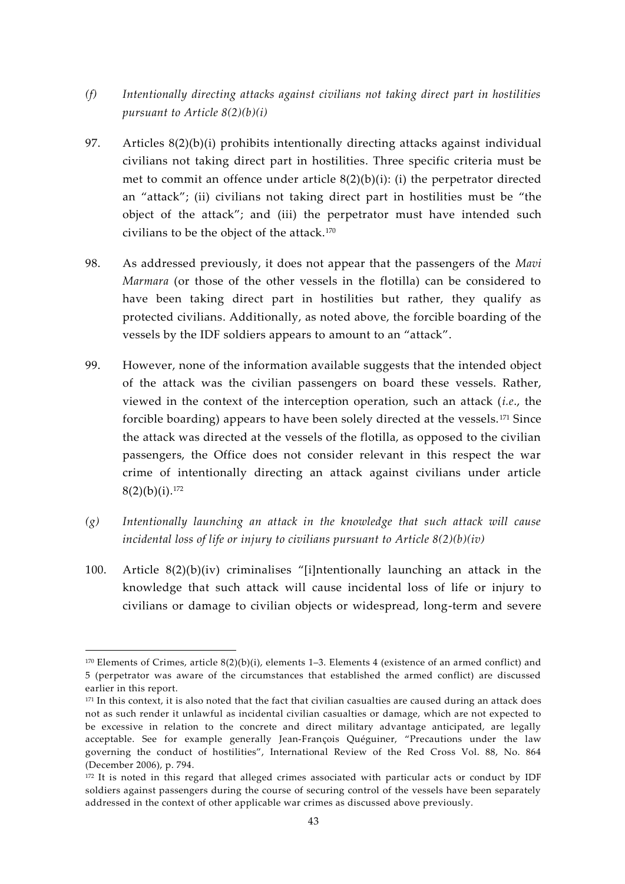- *(f) Intentionally directing attacks against civilians not taking direct part in hostilities pursuant to Article 8(2)(b)(i)*
- 97. Articles 8(2)(b)(i) prohibits intentionally directing attacks against individual civilians not taking direct part in hostilities. Three specific criteria must be met to commit an offence under article 8(2)(b)(i): (i) the perpetrator directed an "attack"; (ii) civilians not taking direct part in hostilities must be "the object of the attack"; and (iii) the perpetrator must have intended such civilians to be the object of the attack.<sup>170</sup>
- 98. As addressed previously, it does not appear that the passengers of the *Mavi Marmara* (or those of the other vessels in the flotilla) can be considered to have been taking direct part in hostilities but rather, they qualify as protected civilians. Additionally, as noted above, the forcible boarding of the vessels by the IDF soldiers appears to amount to an "attack".
- 99. However, none of the information available suggests that the intended object of the attack was the civilian passengers on board these vessels. Rather, viewed in the context of the interception operation, such an attack (*i.e*., the forcible boarding) appears to have been solely directed at the vessels. <sup>171</sup> Since the attack was directed at the vessels of the flotilla, as opposed to the civilian passengers, the Office does not consider relevant in this respect the war crime of intentionally directing an attack against civilians under article  $8(2)(b)(i).$ <sup>172</sup>
- *(g) Intentionally launching an attack in the knowledge that such attack will cause incidental loss of life or injury to civilians pursuant to Article 8(2)(b)(iv)*
- 100. Article 8(2)(b)(iv) criminalises "[i]ntentionally launching an attack in the knowledge that such attack will cause incidental loss of life or injury to civilians or damage to civilian objects or widespread, long-term and severe

 $170$  Elements of Crimes, article  $8(2)(b)(i)$ , elements 1–3. Elements 4 (existence of an armed conflict) and 5 (perpetrator was aware of the circumstances that established the armed conflict) are discussed earlier in this report.

<sup>&</sup>lt;sup>171</sup> In this context, it is also noted that the fact that civilian casualties are caused during an attack does not as such render it unlawful as incidental civilian casualties or damage, which are not expected to be excessive in relation to the concrete and direct military advantage anticipated, are legally acceptable. See for example generally Jean-François Quéguiner, "Precautions under the law governing the conduct of hostilities", International Review of the Red Cross Vol. 88, No. 864 (December 2006), p. 794.

<sup>&</sup>lt;sup>172</sup> It is noted in this regard that alleged crimes associated with particular acts or conduct by IDF soldiers against passengers during the course of securing control of the vessels have been separately addressed in the context of other applicable war crimes as discussed above previously.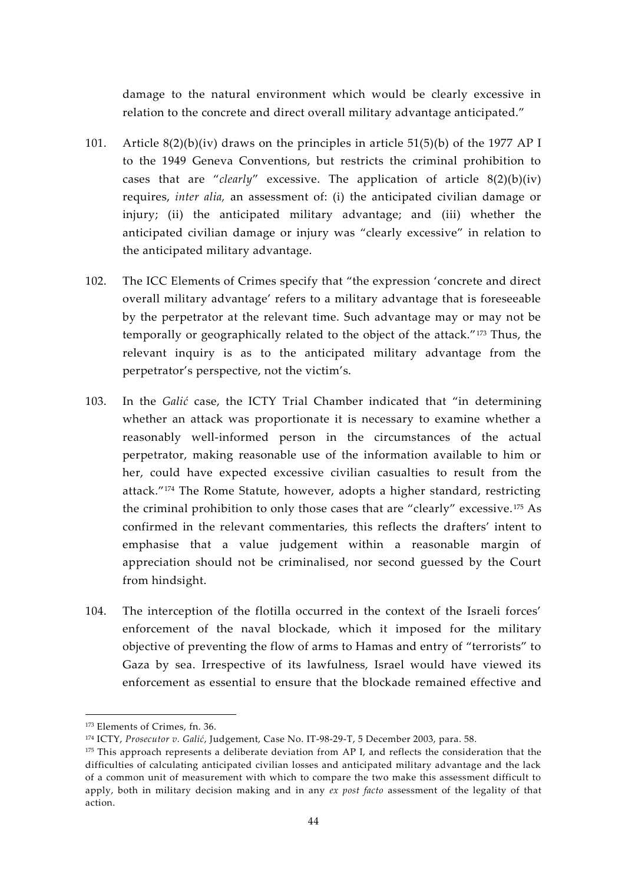damage to the natural environment which would be clearly excessive in relation to the concrete and direct overall military advantage anticipated."

- 101. Article 8(2)(b)(iv) draws on the principles in article 51(5)(b) of the 1977 AP I to the 1949 Geneva Conventions, but restricts the criminal prohibition to cases that are "*clearly*" excessive. The application of article 8(2)(b)(iv) requires, *inter alia,* an assessment of: (i) the anticipated civilian damage or injury; (ii) the anticipated military advantage; and (iii) whether the anticipated civilian damage or injury was "clearly excessive" in relation to the anticipated military advantage.
- 102. The ICC Elements of Crimes specify that "the expression 'concrete and direct overall military advantage' refers to a military advantage that is foreseeable by the perpetrator at the relevant time. Such advantage may or may not be temporally or geographically related to the object of the attack."<sup>173</sup> Thus, the relevant inquiry is as to the anticipated military advantage from the perpetrator's perspective, not the victim's.
- 103. In the *Galić* case, the ICTY Trial Chamber indicated that "in determining whether an attack was proportionate it is necessary to examine whether a reasonably well-informed person in the circumstances of the actual perpetrator, making reasonable use of the information available to him or her, could have expected excessive civilian casualties to result from the attack."<sup>174</sup> The Rome Statute, however, adopts a higher standard, restricting the criminal prohibition to only those cases that are "clearly" excessive. <sup>175</sup> As confirmed in the relevant commentaries, this reflects the drafters' intent to emphasise that a value judgement within a reasonable margin of appreciation should not be criminalised, nor second guessed by the Court from hindsight.
- 104. The interception of the flotilla occurred in the context of the Israeli forces' enforcement of the naval blockade, which it imposed for the military objective of preventing the flow of arms to Hamas and entry of "terrorists" to Gaza by sea. Irrespective of its lawfulness, Israel would have viewed its enforcement as essential to ensure that the blockade remained effective and

<sup>173</sup> Elements of Crimes, fn. 36.

<sup>174</sup> ICTY, *Prosecutor v. Galić*, Judgement, Case No. IT-98-29-T, 5 December 2003, para. 58.

 $175$  This approach represents a deliberate deviation from AP I, and reflects the consideration that the difficulties of calculating anticipated civilian losses and anticipated military advantage and the lack of a common unit of measurement with which to compare the two make this assessment difficult to apply, both in military decision making and in any *ex post facto* assessment of the legality of that action.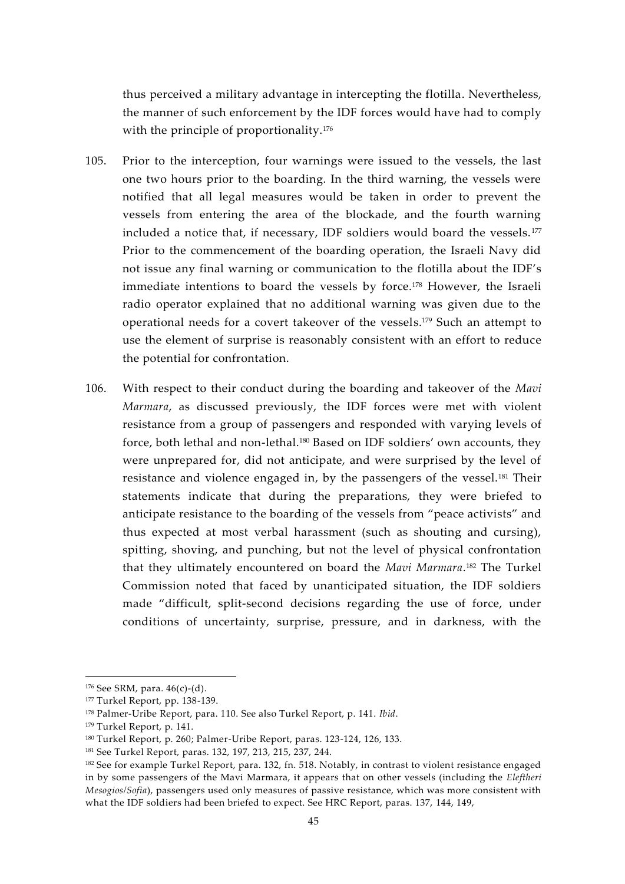thus perceived a military advantage in intercepting the flotilla. Nevertheless, the manner of such enforcement by the IDF forces would have had to comply with the principle of proportionality.<sup>176</sup>

- 105. Prior to the interception, four warnings were issued to the vessels, the last one two hours prior to the boarding. In the third warning, the vessels were notified that all legal measures would be taken in order to prevent the vessels from entering the area of the blockade, and the fourth warning included a notice that, if necessary, IDF soldiers would board the vessels.<sup>177</sup> Prior to the commencement of the boarding operation, the Israeli Navy did not issue any final warning or communication to the flotilla about the IDF's immediate intentions to board the vessels by force.<sup>178</sup> However, the Israeli radio operator explained that no additional warning was given due to the operational needs for a covert takeover of the vessels.<sup>179</sup> Such an attempt to use the element of surprise is reasonably consistent with an effort to reduce the potential for confrontation.
- 106. With respect to their conduct during the boarding and takeover of the *Mavi Marmara*, as discussed previously, the IDF forces were met with violent resistance from a group of passengers and responded with varying levels of force, both lethal and non-lethal.<sup>180</sup> Based on IDF soldiers' own accounts, they were unprepared for, did not anticipate, and were surprised by the level of resistance and violence engaged in, by the passengers of the vessel.<sup>181</sup> Their statements indicate that during the preparations, they were briefed to anticipate resistance to the boarding of the vessels from "peace activists" and thus expected at most verbal harassment (such as shouting and cursing), spitting, shoving, and punching, but not the level of physical confrontation that they ultimately encountered on board the *Mavi Marmara*.<sup>182</sup> The Turkel Commission noted that faced by unanticipated situation, the IDF soldiers made "difficult, split-second decisions regarding the use of force, under conditions of uncertainty, surprise, pressure, and in darkness, with the

 $176$  See SRM, para.  $46(c)-(d)$ .

<sup>177</sup> Turkel Report, pp. 138-139.

<sup>178</sup> Palmer-Uribe Report, para. 110. See also Turkel Report, p. 141. *Ibid*.

<sup>179</sup> Turkel Report, p. 141.

<sup>180</sup> Turkel Report, p. 260; Palmer-Uribe Report, paras. 123-124, 126, 133.

<sup>181</sup> See Turkel Report, paras. 132, 197, 213, 215, 237, 244.

<sup>&</sup>lt;sup>182</sup> See for example Turkel Report, para. 132, fn. 518. Notably, in contrast to violent resistance engaged in by some passengers of the Mavi Marmara, it appears that on other vessels (including the *Eleftheri Mesogios/Sofia*), passengers used only measures of passive resistance, which was more consistent with what the IDF soldiers had been briefed to expect. See HRC Report, paras. 137, 144, 149,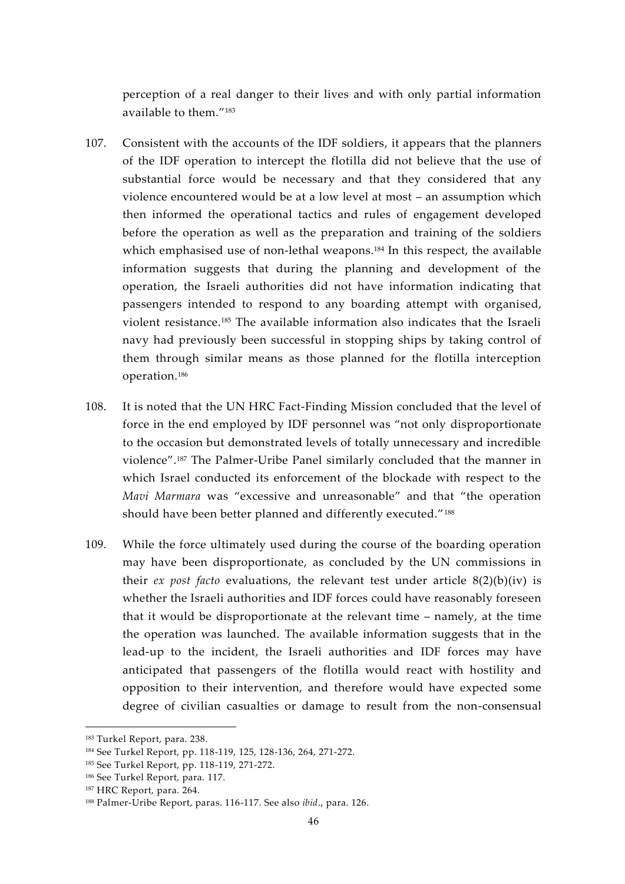perception of a real danger to their lives and with only partial information available to them."<sup>183</sup>

- 107. Consistent with the accounts of the IDF soldiers, it appears that the planners of the IDF operation to intercept the flotilla did not believe that the use of substantial force would be necessary and that they considered that any violence encountered would be at a low level at most – an assumption which then informed the operational tactics and rules of engagement developed before the operation as well as the preparation and training of the soldiers which emphasised use of non-lethal weapons.<sup>184</sup> In this respect, the available information suggests that during the planning and development of the operation, the Israeli authorities did not have information indicating that passengers intended to respond to any boarding attempt with organised, violent resistance.<sup>185</sup> The available information also indicates that the Israeli navy had previously been successful in stopping ships by taking control of them through similar means as those planned for the flotilla interception operation.<sup>186</sup>
- 108. It is noted that the UN HRC Fact-Finding Mission concluded that the level of force in the end employed by IDF personnel was "not only disproportionate to the occasion but demonstrated levels of totally unnecessary and incredible violence".<sup>187</sup> The Palmer-Uribe Panel similarly concluded that the manner in which Israel conducted its enforcement of the blockade with respect to the *Mavi Marmara* was "excessive and unreasonable" and that "the operation should have been better planned and differently executed."<sup>188</sup>
- 109. While the force ultimately used during the course of the boarding operation may have been disproportionate, as concluded by the UN commissions in their *ex post facto* evaluations, the relevant test under article  $8(2)(b)(iv)$  is whether the Israeli authorities and IDF forces could have reasonably foreseen that it would be disproportionate at the relevant time – namely, at the time the operation was launched. The available information suggests that in the lead-up to the incident, the Israeli authorities and IDF forces may have anticipated that passengers of the flotilla would react with hostility and opposition to their intervention, and therefore would have expected some degree of civilian casualties or damage to result from the non-consensual

<sup>183</sup> Turkel Report, para. 238.

<sup>184</sup> See Turkel Report, pp. 118-119, 125, 128-136, 264, 271-272.

<sup>185</sup> See Turkel Report, pp. 118-119, 271-272.

<sup>186</sup> See Turkel Report, para. 117.

<sup>187</sup> HRC Report, para. 264.

<sup>188</sup> Palmer-Uribe Report, paras. 116-117. See also *ibid*., para. 126.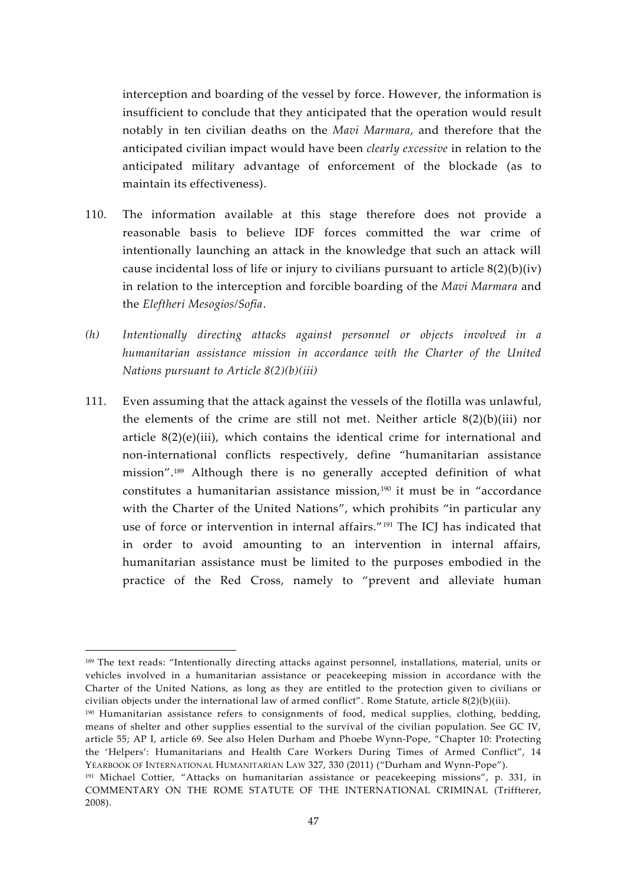interception and boarding of the vessel by force. However, the information is insufficient to conclude that they anticipated that the operation would result notably in ten civilian deaths on the *Mavi Marmara*, and therefore that the anticipated civilian impact would have been *clearly excessive* in relation to the anticipated military advantage of enforcement of the blockade (as to maintain its effectiveness).

- 110. The information available at this stage therefore does not provide a reasonable basis to believe IDF forces committed the war crime of intentionally launching an attack in the knowledge that such an attack will cause incidental loss of life or injury to civilians pursuant to article  $8(2)(b)(iv)$ in relation to the interception and forcible boarding of the *Mavi Marmara* and the *Eleftheri Mesogios/Sofia*.
- *(h) Intentionally directing attacks against personnel or objects involved in a humanitarian assistance mission in accordance with the Charter of the United Nations pursuant to Article 8(2)(b)(iii)*
- 111. Even assuming that the attack against the vessels of the flotilla was unlawful, the elements of the crime are still not met. Neither article  $8(2)(b)(iii)$  nor article  $8(2)(e)(iii)$ , which contains the identical crime for international and non-international conflicts respectively, define "humanitarian assistance mission".<sup>189</sup> Although there is no generally accepted definition of what constitutes a humanitarian assistance mission,<sup>190</sup> it must be in "accordance with the Charter of the United Nations", which prohibits "in particular any use of force or intervention in internal affairs."<sup>191</sup> The ICJ has indicated that in order to avoid amounting to an intervention in internal affairs, humanitarian assistance must be limited to the purposes embodied in the practice of the Red Cross, namely to "prevent and alleviate human

<sup>189</sup> The text reads: "Intentionally directing attacks against personnel, installations, material, units or vehicles involved in a humanitarian assistance or peacekeeping mission in accordance with the Charter of the United Nations, as long as they are entitled to the protection given to civilians or civilian objects under the international law of armed conflict". Rome Statute, article 8(2)(b)(iii).

<sup>190</sup> Humanitarian assistance refers to consignments of food, medical supplies, clothing, bedding, means of shelter and other supplies essential to the survival of the civilian population. See GC IV, article 55; AP I, article 69. See also Helen Durham and Phoebe Wynn-Pope, "Chapter 10: Protecting the 'Helpers': Humanitarians and Health Care Workers During Times of Armed Conflict", 14 YEARBOOK OF INTERNATIONAL HUMANITARIAN LAW 327, 330 (2011) ("Durham and Wynn-Pope").

<sup>&</sup>lt;sup>191</sup> Michael Cottier, "Attacks on humanitarian assistance or peacekeeping missions", p. 331, in COMMENTARY ON THE ROME STATUTE OF THE INTERNATIONAL CRIMINAL (Triffterer, 2008).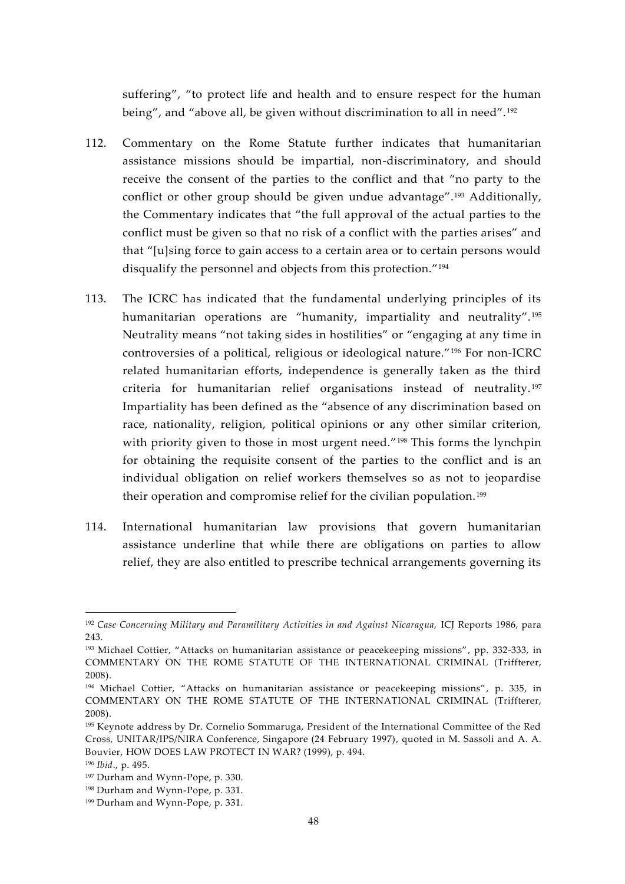suffering", "to protect life and health and to ensure respect for the human being", and "above all, be given without discrimination to all in need".<sup>192</sup>

- 112. Commentary on the Rome Statute further indicates that humanitarian assistance missions should be impartial, non-discriminatory, and should receive the consent of the parties to the conflict and that "no party to the conflict or other group should be given undue advantage".<sup>193</sup> Additionally, the Commentary indicates that "the full approval of the actual parties to the conflict must be given so that no risk of a conflict with the parties arises" and that "[u]sing force to gain access to a certain area or to certain persons would disqualify the personnel and objects from this protection."<sup>194</sup>
- 113. The ICRC has indicated that the fundamental underlying principles of its humanitarian operations are "humanity, impartiality and neutrality". <sup>195</sup> Neutrality means "not taking sides in hostilities" or "engaging at any time in controversies of a political, religious or ideological nature."<sup>196</sup> For non-ICRC related humanitarian efforts, independence is generally taken as the third criteria for humanitarian relief organisations instead of neutrality. <sup>197</sup> Impartiality has been defined as the "absence of any discrimination based on race, nationality, religion, political opinions or any other similar criterion, with priority given to those in most urgent need."<sup>198</sup> This forms the lynchpin for obtaining the requisite consent of the parties to the conflict and is an individual obligation on relief workers themselves so as not to jeopardise their operation and compromise relief for the civilian population.<sup>199</sup>
- 114. International humanitarian law provisions that govern humanitarian assistance underline that while there are obligations on parties to allow relief, they are also entitled to prescribe technical arrangements governing its

<sup>192</sup> *Case Concerning Military and Paramilitary Activities in and Against Nicaragua,* ICJ Reports 1986, para 243.

<sup>193</sup> Michael Cottier, "Attacks on humanitarian assistance or peacekeeping missions", pp. 332-333, in COMMENTARY ON THE ROME STATUTE OF THE INTERNATIONAL CRIMINAL (Triffterer, 2008).

<sup>194</sup> Michael Cottier, "Attacks on humanitarian assistance or peacekeeping missions", p. 335, in COMMENTARY ON THE ROME STATUTE OF THE INTERNATIONAL CRIMINAL (Triffterer, 2008).

<sup>195</sup> Keynote address by Dr. Cornelio Sommaruga, President of the International Committee of the Red Cross, UNITAR/IPS/NIRA Conference, Singapore (24 February 1997), quoted in M. Sassoli and A. A. Bouvier, HOW DOES LAW PROTECT IN WAR? (1999), p. 494.

<sup>196</sup> *Ibid*., p. 495.

<sup>197</sup> Durham and Wynn-Pope, p. 330.

<sup>198</sup> Durham and Wynn-Pope, p. 331.

<sup>199</sup> Durham and Wynn-Pope, p. 331.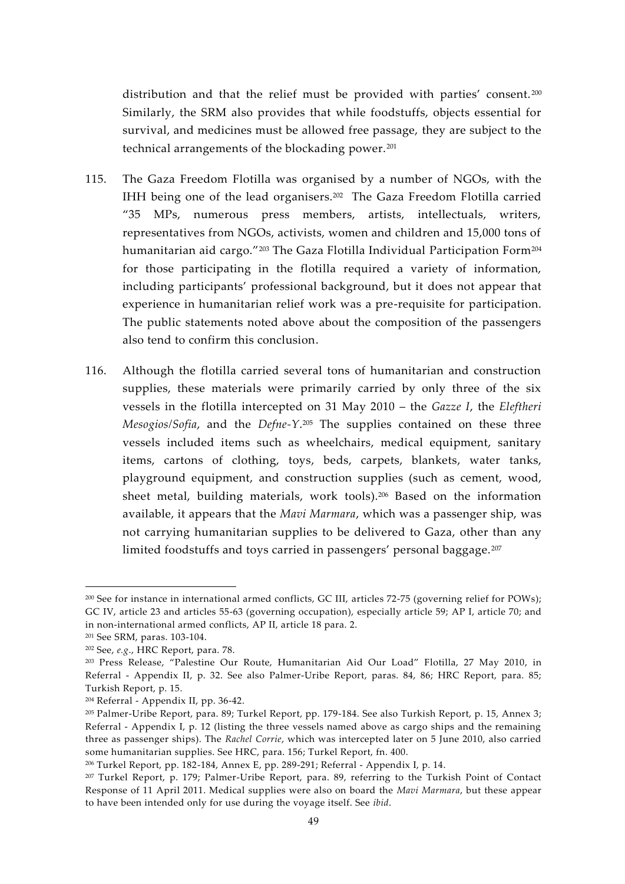distribution and that the relief must be provided with parties' consent.<sup>200</sup> Similarly, the SRM also provides that while foodstuffs, objects essential for survival, and medicines must be allowed free passage, they are subject to the technical arrangements of the blockading power.<sup>201</sup>

- 115. The Gaza Freedom Flotilla was organised by a number of NGOs, with the IHH being one of the lead organisers.<sup>202</sup> The Gaza Freedom Flotilla carried "35 MPs, numerous press members, artists, intellectuals, writers, representatives from NGOs, activists, women and children and 15,000 tons of humanitarian aid cargo."<sup>203</sup> The Gaza Flotilla Individual Participation Form<sup>204</sup> for those participating in the flotilla required a variety of information, including participants' professional background, but it does not appear that experience in humanitarian relief work was a pre-requisite for participation. The public statements noted above about the composition of the passengers also tend to confirm this conclusion.
- 116. Although the flotilla carried several tons of humanitarian and construction supplies, these materials were primarily carried by only three of the six vessels in the flotilla intercepted on 31 May 2010 – the *Gazze I*, the *Eleftheri Mesogios/Sofia*, and the *Defne-Y*.<sup>205</sup> The supplies contained on these three vessels included items such as wheelchairs, medical equipment, sanitary items, cartons of clothing, toys, beds, carpets, blankets, water tanks, playground equipment, and construction supplies (such as cement, wood, sheet metal, building materials, work tools).<sup>206</sup> Based on the information available, it appears that the *Mavi Marmara*, which was a passenger ship, was not carrying humanitarian supplies to be delivered to Gaza, other than any limited foodstuffs and toys carried in passengers' personal baggage.<sup>207</sup>

<sup>200</sup> See for instance in international armed conflicts, GC III, articles 72-75 (governing relief for POWs); GC IV, article 23 and articles 55-63 (governing occupation), especially article 59; AP I, article 70; and in non-international armed conflicts, AP II, article 18 para. 2.

<sup>201</sup> See SRM, paras. 103-104.

<sup>202</sup> See, *e.g*., HRC Report, para. 78.

<sup>203</sup> Press Release, "Palestine Our Route, Humanitarian Aid Our Load" Flotilla, 27 May 2010, in Referral - Appendix II, p. 32. See also Palmer-Uribe Report, paras. 84, 86; HRC Report, para. 85; Turkish Report, p. 15.

<sup>204</sup> Referral - Appendix II, pp. 36-42.

<sup>205</sup> Palmer-Uribe Report, para. 89; Turkel Report, pp. 179-184. See also Turkish Report, p. 15, Annex 3; Referral - Appendix I, p. 12 (listing the three vessels named above as cargo ships and the remaining three as passenger ships). The *Rachel Corrie*, which was intercepted later on 5 June 2010, also carried some humanitarian supplies. See HRC, para. 156; Turkel Report, fn. 400.

<sup>206</sup> Turkel Report, pp. 182-184, Annex E, pp. 289-291; Referral - Appendix I, p. 14.

<sup>207</sup> Turkel Report, p. 179; Palmer-Uribe Report, para. 89, referring to the Turkish Point of Contact Response of 11 April 2011. Medical supplies were also on board the *Mavi Marmara*, but these appear to have been intended only for use during the voyage itself. See *ibid*.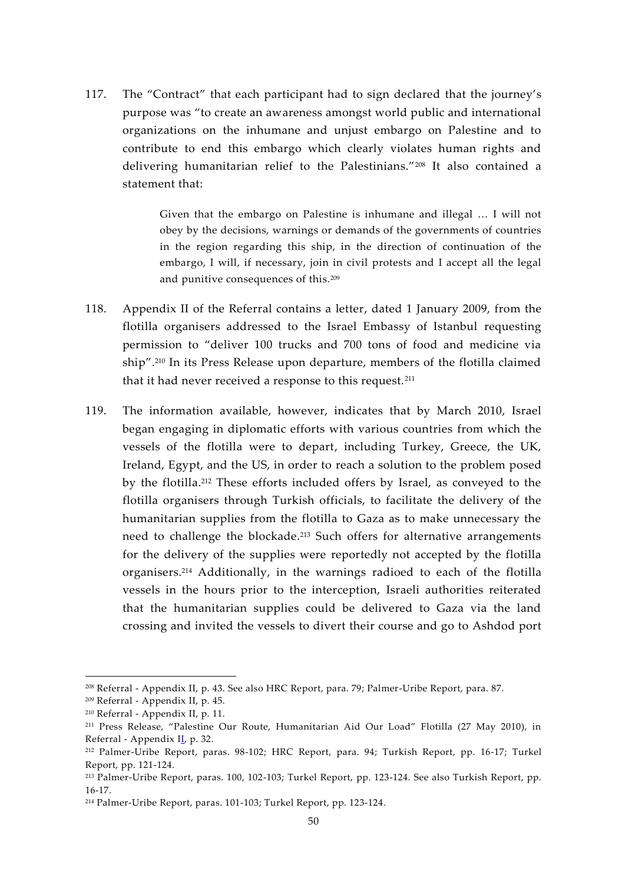117. The "Contract" that each participant had to sign declared that the journey's purpose was "to create an awareness amongst world public and international organizations on the inhumane and unjust embargo on Palestine and to contribute to end this embargo which clearly violates human rights and delivering humanitarian relief to the Palestinians."<sup>208</sup> It also contained a statement that:

> Given that the embargo on Palestine is inhumane and illegal … I will not obey by the decisions, warnings or demands of the governments of countries in the region regarding this ship, in the direction of continuation of the embargo, I will, if necessary, join in civil protests and I accept all the legal and punitive consequences of this.<sup>209</sup>

- 118. Appendix II of the Referral contains a letter, dated 1 January 2009, from the flotilla organisers addressed to the Israel Embassy of Istanbul requesting permission to "deliver 100 trucks and 700 tons of food and medicine via ship".<sup>210</sup> In its Press Release upon departure, members of the flotilla claimed that it had never received a response to this request.<sup>211</sup>
- 119. The information available, however, indicates that by March 2010, Israel began engaging in diplomatic efforts with various countries from which the vessels of the flotilla were to depart, including Turkey, Greece, the UK, Ireland, Egypt, and the US, in order to reach a solution to the problem posed by the flotilla.<sup>212</sup> These efforts included offers by Israel, as conveyed to the flotilla organisers through Turkish officials, to facilitate the delivery of the humanitarian supplies from the flotilla to Gaza as to make unnecessary the need to challenge the blockade.<sup>213</sup> Such offers for alternative arrangements for the delivery of the supplies were reportedly not accepted by the flotilla organisers.<sup>214</sup> Additionally, in the warnings radioed to each of the flotilla vessels in the hours prior to the interception, Israeli authorities reiterated that the humanitarian supplies could be delivered to Gaza via the land crossing and invited the vessels to divert their course and go to Ashdod port

<sup>208</sup> Referral - Appendix II, p. 43. See also HRC Report, para. 79; Palmer-Uribe Report, para. 87.

<sup>209</sup> Referral - Appendix II, p. 45.

<sup>210</sup> Referral - Appendix II, p. 11.

<sup>211</sup> Press Release, "Palestine Our Route, Humanitarian Aid Our Load" Flotilla (27 May 2010), in Referral - Appendix II, p. 32.

<sup>212</sup> Palmer-Uribe Report, paras. 98-102; HRC Report, para. 94; Turkish Report, pp. 16-17; Turkel Report, pp. 121-124.

<sup>213</sup> Palmer-Uribe Report, paras. 100, 102-103; Turkel Report, pp. 123-124. See also Turkish Report, pp. 16-17.

<sup>214</sup> Palmer-Uribe Report, paras. 101-103; Turkel Report, pp. 123-124.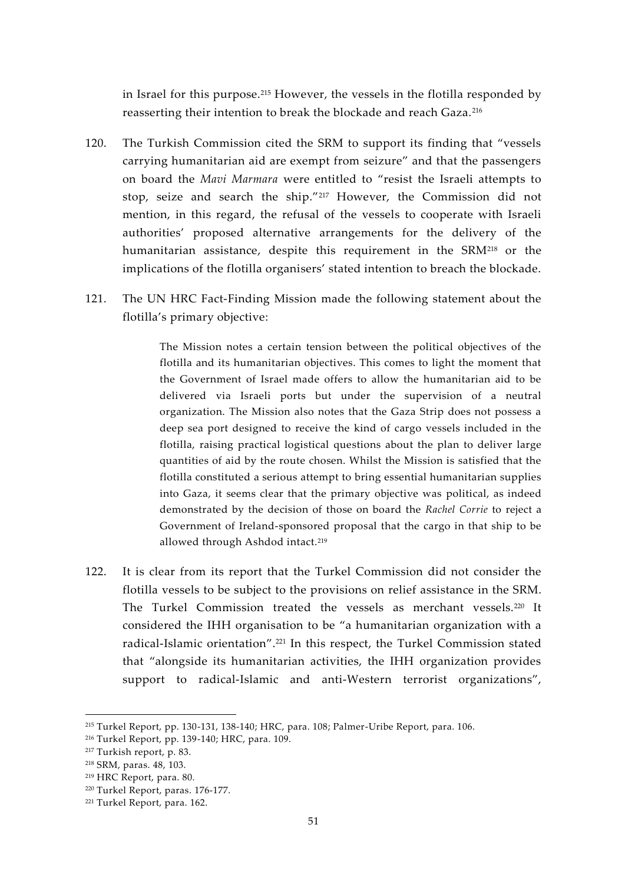in Israel for this purpose.<sup>215</sup> However, the vessels in the flotilla responded by reasserting their intention to break the blockade and reach Gaza.<sup>216</sup>

- 120. The Turkish Commission cited the SRM to support its finding that "vessels carrying humanitarian aid are exempt from seizure" and that the passengers on board the *Mavi Marmara* were entitled to "resist the Israeli attempts to stop, seize and search the ship."<sup>217</sup> However, the Commission did not mention, in this regard, the refusal of the vessels to cooperate with Israeli authorities' proposed alternative arrangements for the delivery of the humanitarian assistance, despite this requirement in the SRM<sup>218</sup> or the implications of the flotilla organisers' stated intention to breach the blockade.
- 121. The UN HRC Fact-Finding Mission made the following statement about the flotilla's primary objective:

The Mission notes a certain tension between the political objectives of the flotilla and its humanitarian objectives. This comes to light the moment that the Government of Israel made offers to allow the humanitarian aid to be delivered via Israeli ports but under the supervision of a neutral organization. The Mission also notes that the Gaza Strip does not possess a deep sea port designed to receive the kind of cargo vessels included in the flotilla, raising practical logistical questions about the plan to deliver large quantities of aid by the route chosen. Whilst the Mission is satisfied that the flotilla constituted a serious attempt to bring essential humanitarian supplies into Gaza, it seems clear that the primary objective was political, as indeed demonstrated by the decision of those on board the *Rachel Corrie* to reject a Government of Ireland-sponsored proposal that the cargo in that ship to be allowed through Ashdod intact.<sup>219</sup>

122. It is clear from its report that the Turkel Commission did not consider the flotilla vessels to be subject to the provisions on relief assistance in the SRM. The Turkel Commission treated the vessels as merchant vessels.<sup>220</sup> It considered the IHH organisation to be "a humanitarian organization with a radical-Islamic orientation".<sup>221</sup> In this respect, the Turkel Commission stated that "alongside its humanitarian activities, the IHH organization provides support to radical-Islamic and anti-Western terrorist organizations",

<sup>215</sup> Turkel Report, pp. 130-131, 138-140; HRC, para. 108; Palmer-Uribe Report, para. 106.

<sup>216</sup> Turkel Report, pp. 139-140; HRC, para. 109.

<sup>217</sup> Turkish report, p. 83.

<sup>218</sup> SRM, paras. 48, 103.

<sup>219</sup> HRC Report, para. 80.

<sup>220</sup> Turkel Report, paras. 176-177.

<sup>221</sup> Turkel Report, para. 162.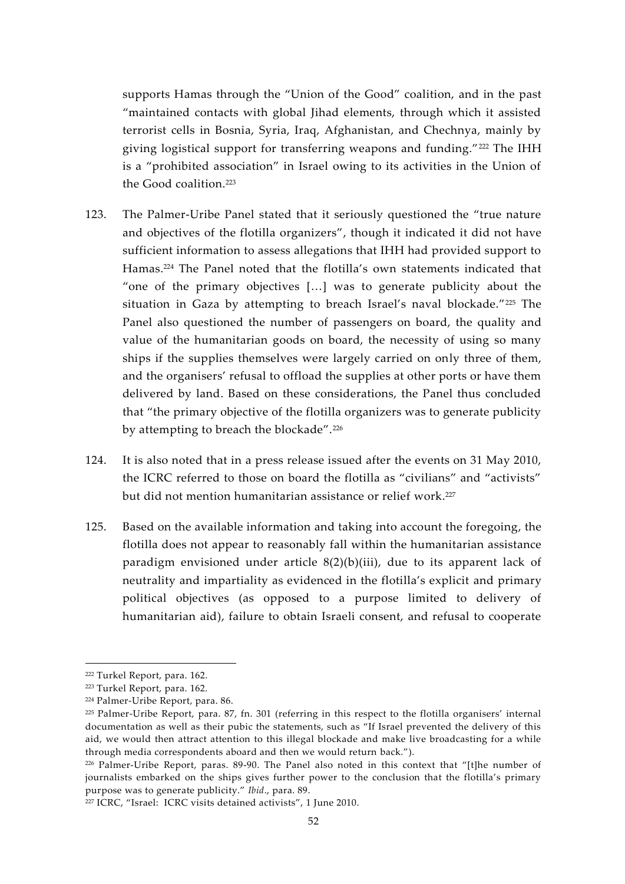supports Hamas through the "Union of the Good" coalition, and in the past "maintained contacts with global Jihad elements, through which it assisted terrorist cells in Bosnia, Syria, Iraq, Afghanistan, and Chechnya, mainly by giving logistical support for transferring weapons and funding."<sup>222</sup> The IHH is a "prohibited association" in Israel owing to its activities in the Union of the Good coalition.<sup>223</sup>

- 123. The Palmer-Uribe Panel stated that it seriously questioned the "true nature and objectives of the flotilla organizers", though it indicated it did not have sufficient information to assess allegations that IHH had provided support to Hamas.<sup>224</sup> The Panel noted that the flotilla's own statements indicated that "one of the primary objectives […] was to generate publicity about the situation in Gaza by attempting to breach Israel's naval blockade."<sup>225</sup> The Panel also questioned the number of passengers on board, the quality and value of the humanitarian goods on board, the necessity of using so many ships if the supplies themselves were largely carried on only three of them, and the organisers' refusal to offload the supplies at other ports or have them delivered by land. Based on these considerations, the Panel thus concluded that "the primary objective of the flotilla organizers was to generate publicity by attempting to breach the blockade".<sup>226</sup>
- 124. It is also noted that in a press release issued after the events on 31 May 2010, the ICRC referred to those on board the flotilla as "civilians" and "activists" but did not mention humanitarian assistance or relief work.<sup>227</sup>
- 125. Based on the available information and taking into account the foregoing, the flotilla does not appear to reasonably fall within the humanitarian assistance paradigm envisioned under article  $8(2)(b)(iii)$ , due to its apparent lack of neutrality and impartiality as evidenced in the flotilla's explicit and primary political objectives (as opposed to a purpose limited to delivery of humanitarian aid), failure to obtain Israeli consent, and refusal to cooperate

<sup>222</sup> Turkel Report, para. 162.

<sup>223</sup> Turkel Report, para. 162.

<sup>224</sup> Palmer-Uribe Report, para. 86.

<sup>225</sup> Palmer-Uribe Report, para. 87, fn. 301 (referring in this respect to the flotilla organisers' internal documentation as well as their pubic the statements, such as "If Israel prevented the delivery of this aid, we would then attract attention to this illegal blockade and make live broadcasting for a while through media correspondents aboard and then we would return back.").

<sup>226</sup> Palmer-Uribe Report, paras. 89-90. The Panel also noted in this context that "[t]he number of journalists embarked on the ships gives further power to the conclusion that the flotilla's primary purpose was to generate publicity." *Ibid*., para. 89.

<sup>&</sup>lt;sup>227</sup> ICRC, "Israel: ICRC visits detained activists", 1 June 2010.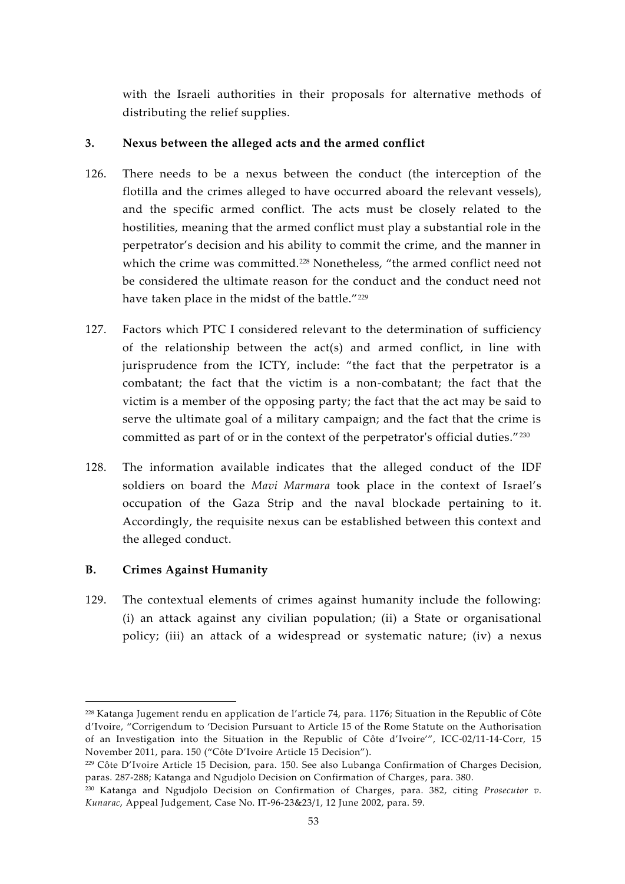with the Israeli authorities in their proposals for alternative methods of distributing the relief supplies.

## **3. Nexus between the alleged acts and the armed conflict**

- 126. There needs to be a nexus between the conduct (the interception of the flotilla and the crimes alleged to have occurred aboard the relevant vessels), and the specific armed conflict. The acts must be closely related to the hostilities, meaning that the armed conflict must play a substantial role in the perpetrator's decision and his ability to commit the crime, and the manner in which the crime was committed.<sup>228</sup> Nonetheless, "the armed conflict need not be considered the ultimate reason for the conduct and the conduct need not have taken place in the midst of the battle."<sup>229</sup>
- 127. Factors which PTC I considered relevant to the determination of sufficiency of the relationship between the act(s) and armed conflict, in line with jurisprudence from the ICTY, include: "the fact that the perpetrator is a combatant; the fact that the victim is a non-combatant; the fact that the victim is a member of the opposing party; the fact that the act may be said to serve the ultimate goal of a military campaign; and the fact that the crime is committed as part of or in the context of the perpetrator's official duties."<sup>230</sup>
- 128. The information available indicates that the alleged conduct of the IDF soldiers on board the *Mavi Marmara* took place in the context of Israel's occupation of the Gaza Strip and the naval blockade pertaining to it. Accordingly, the requisite nexus can be established between this context and the alleged conduct.

## **B. Crimes Against Humanity**

129. The contextual elements of crimes against humanity include the following: (i) an attack against any civilian population; (ii) a State or organisational policy; (iii) an attack of a widespread or systematic nature; (iv) a nexus

<sup>228</sup> Katanga Jugement rendu en application de l'article 74, para. 1176; Situation in the Republic of Côte d'Ivoire, "Corrigendum to 'Decision Pursuant to Article 15 of the Rome Statute on the Authorisation of an Investigation into the Situation in the Republic of Côte d'Ivoire'", ICC-02/11-14-Corr, 15 November 2011, para. 150 ("Côte D'Ivoire Article 15 Decision").

<sup>229</sup> Côte D'Ivoire Article 15 Decision, para. 150. See also Lubanga Confirmation of Charges Decision, paras. 287-288; Katanga and Ngudjolo Decision on Confirmation of Charges, para. 380.

<sup>230</sup> Katanga and Ngudjolo Decision on Confirmation of Charges, para. 382, citing *Prosecutor v. Kunarac*, Appeal Judgement, Case No. IT-96-23&23/1, 12 June 2002, para. 59.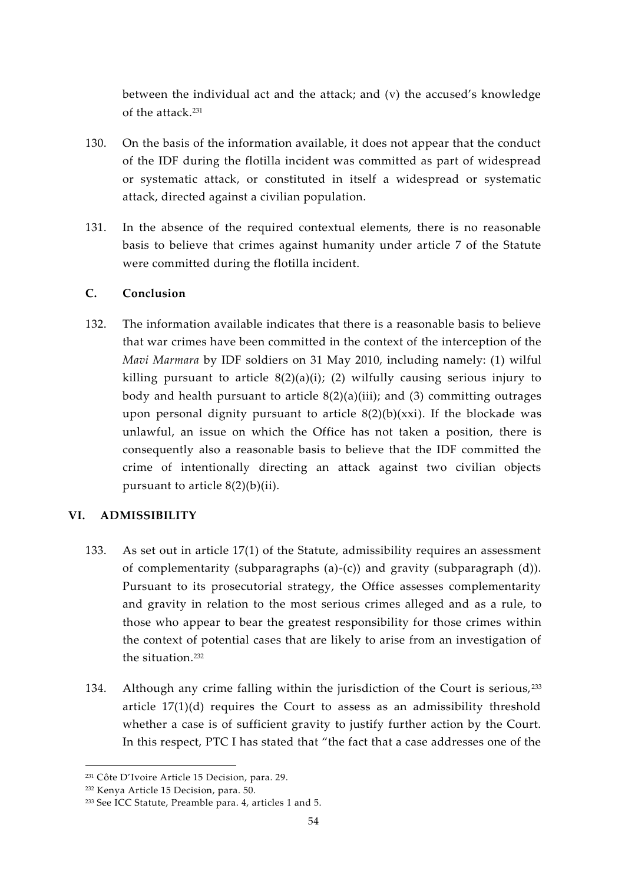between the individual act and the attack; and (v) the accused's knowledge of the attack.<sup>231</sup>

- 130. On the basis of the information available, it does not appear that the conduct of the IDF during the flotilla incident was committed as part of widespread or systematic attack, or constituted in itself a widespread or systematic attack, directed against a civilian population.
- 131. In the absence of the required contextual elements, there is no reasonable basis to believe that crimes against humanity under article 7 of the Statute were committed during the flotilla incident.

## **C. Conclusion**

132. The information available indicates that there is a reasonable basis to believe that war crimes have been committed in the context of the interception of the *Mavi Marmara* by IDF soldiers on 31 May 2010, including namely: (1) wilful killing pursuant to article  $8(2)(a)(i)$ ; (2) wilfully causing serious injury to body and health pursuant to article  $8(2)(a)(iii)$ ; and (3) committing outrages upon personal dignity pursuant to article  $8(2)(b)(xxi)$ . If the blockade was unlawful, an issue on which the Office has not taken a position, there is consequently also a reasonable basis to believe that the IDF committed the crime of intentionally directing an attack against two civilian objects pursuant to article  $8(2)(b)(ii)$ .

## **VI. ADMISSIBILITY**

- 133. As set out in article 17(1) of the Statute, admissibility requires an assessment of complementarity (subparagraphs (a)-(c)) and gravity (subparagraph (d)). Pursuant to its prosecutorial strategy, the Office assesses complementarity and gravity in relation to the most serious crimes alleged and as a rule, to those who appear to bear the greatest responsibility for those crimes within the context of potential cases that are likely to arise from an investigation of the situation.<sup>232</sup>
- 134. Although any crime falling within the jurisdiction of the Court is serious, <sup>233</sup> article  $17(1)(d)$  requires the Court to assess as an admissibility threshold whether a case is of sufficient gravity to justify further action by the Court. In this respect, PTC I has stated that "the fact that a case addresses one of the

<sup>231</sup> Côte D'Ivoire Article 15 Decision, para. 29.

<sup>232</sup> Kenya Article 15 Decision, para. 50.

<sup>233</sup> See ICC Statute, Preamble para. 4, articles 1 and 5.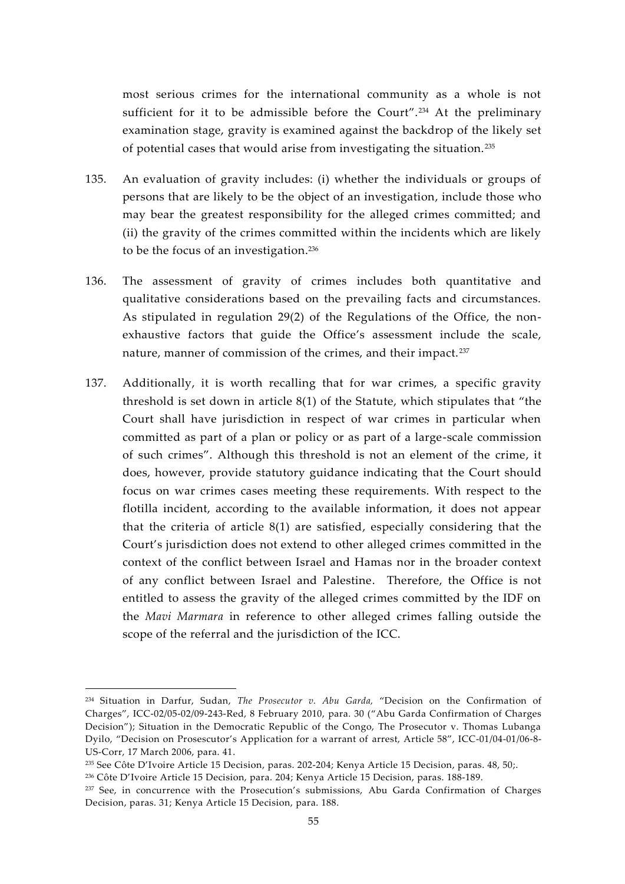most serious crimes for the international community as a whole is not sufficient for it to be admissible before the Court".<sup>234</sup> At the preliminary examination stage, gravity is examined against the backdrop of the likely set of potential cases that would arise from investigating the situation. <sup>235</sup>

- 135. An evaluation of gravity includes: (i) whether the individuals or groups of persons that are likely to be the object of an investigation, include those who may bear the greatest responsibility for the alleged crimes committed; and (ii) the gravity of the crimes committed within the incidents which are likely to be the focus of an investigation.<sup>236</sup>
- 136. The assessment of gravity of crimes includes both quantitative and qualitative considerations based on the prevailing facts and circumstances. As stipulated in regulation 29(2) of the Regulations of the Office, the non exhaustive factors that guide the Office's assessment include the scale, nature, manner of commission of the crimes, and their impact.<sup>237</sup>
- 137. Additionally, it is worth recalling that for war crimes, a specific gravity threshold is set down in article 8(1) of the Statute, which stipulates that "the Court shall have jurisdiction in respect of war crimes in particular when committed as part of a plan or policy or as part of a large-scale commission of such crimes". Although this threshold is not an element of the crime, it does, however, provide statutory guidance indicating that the Court should focus on war crimes cases meeting these requirements. With respect to the flotilla incident, according to the available information, it does not appear that the criteria of article  $8(1)$  are satisfied, especially considering that the Court's jurisdiction does not extend to other alleged crimes committed in the context of the conflict between Israel and Hamas nor in the broader context of any conflict between Israel and Palestine. Therefore, the Office is not entitled to assess the gravity of the alleged crimes committed by the IDF on the *Mavi Marmara* in reference to other alleged crimes falling outside the scope of the referral and the jurisdiction of the ICC.

<sup>234</sup> Situation in Darfur, Sudan, *The Prosecutor v. Abu Garda,* "Decision on the Confirmation of Charges", ICC-02/05-02/09-243-Red, 8 February 2010, para. 30 ("Abu Garda Confirmation of Charges Decision"); Situation in the Democratic Republic of the Congo, The Prosecutor v. Thomas Lubanga Dyilo, "Decision on Prosescutor's Application for a warrant of arrest, Article 58", ICC-01/04-01/06-8- US-Corr, 17 March 2006, para. 41.

<sup>235</sup> See Côte D'Ivoire Article 15 Decision, paras. 202-204; Kenya Article 15 Decision, paras. 48, 50;.

<sup>236</sup> Côte D'Ivoire Article 15 Decision, para. 204; Kenya Article 15 Decision, paras. 188-189.

<sup>&</sup>lt;sup>237</sup> See, in concurrence with the Prosecution's submissions, Abu Garda Confirmation of Charges Decision, paras. 31; Kenya Article 15 Decision, para. 188.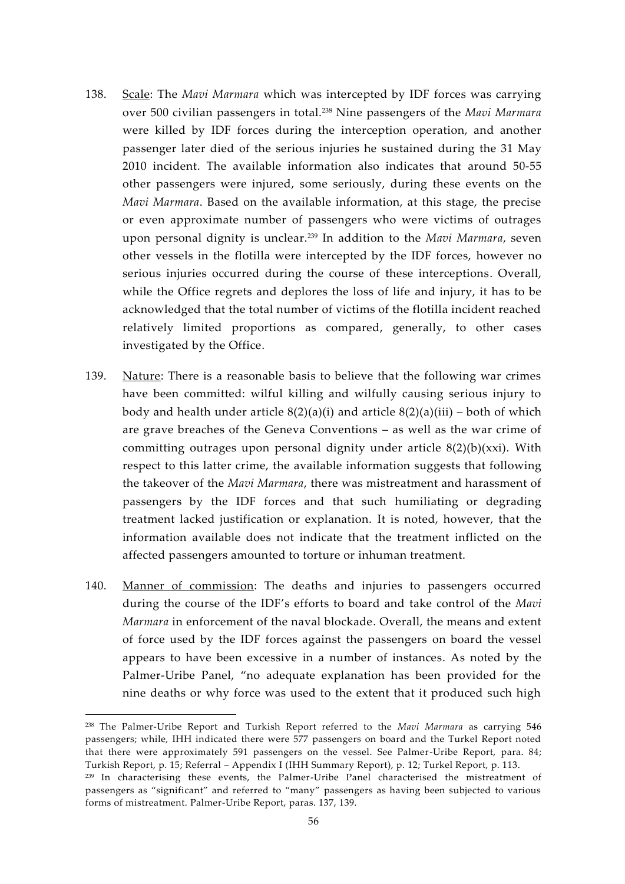- 138. Scale: The *Mavi Marmara* which was intercepted by IDF forces was carrying over 500 civilian passengers in total.<sup>238</sup> Nine passengers of the *Mavi Marmara* were killed by IDF forces during the interception operation, and another passenger later died of the serious injuries he sustained during the 31 May 2010 incident. The available information also indicates that around 50-55 other passengers were injured, some seriously, during these events on the *Mavi Marmara*. Based on the available information, at this stage, the precise or even approximate number of passengers who were victims of outrages upon personal dignity is unclear.<sup>239</sup> In addition to the *Mavi Marmara*, seven other vessels in the flotilla were intercepted by the IDF forces, however no serious injuries occurred during the course of these interceptions. Overall, while the Office regrets and deplores the loss of life and injury, it has to be acknowledged that the total number of victims of the flotilla incident reached relatively limited proportions as compared, generally, to other cases investigated by the Office.
- 139. Nature: There is a reasonable basis to believe that the following war crimes have been committed: wilful killing and wilfully causing serious injury to body and health under article  $8(2)(a)(i)$  and article  $8(2)(a)(iii)$  – both of which are grave breaches of the Geneva Conventions – as well as the war crime of committing outrages upon personal dignity under article 8(2)(b)(xxi). With respect to this latter crime, the available information suggests that following the takeover of the *Mavi Marmara*, there was mistreatment and harassment of passengers by the IDF forces and that such humiliating or degrading treatment lacked justification or explanation. It is noted, however, that the information available does not indicate that the treatment inflicted on the affected passengers amounted to torture or inhuman treatment.
- 140. Manner of commission: The deaths and injuries to passengers occurred during the course of the IDF's efforts to board and take control of the *Mavi Marmara* in enforcement of the naval blockade. Overall, the means and extent of force used by the IDF forces against the passengers on board the vessel appears to have been excessive in a number of instances. As noted by the Palmer-Uribe Panel, "no adequate explanation has been provided for the nine deaths or why force was used to the extent that it produced such high

<sup>238</sup> The Palmer-Uribe Report and Turkish Report referred to the *Mavi Marmara* as carrying 546 passengers; while, IHH indicated there were 577 passengers on board and the Turkel Report noted that there were approximately 591 passengers on the vessel. See Palmer-Uribe Report, para. 84; Turkish Report, p. 15; Referral – Appendix I (IHH Summary Report), p. 12; Turkel Report, p. 113.

<sup>&</sup>lt;sup>239</sup> In characterising these events, the Palmer-Uribe Panel characterised the mistreatment of passengers as "significant" and referred to "many" passengers as having been subjected to various forms of mistreatment. Palmer-Uribe Report, paras. 137, 139.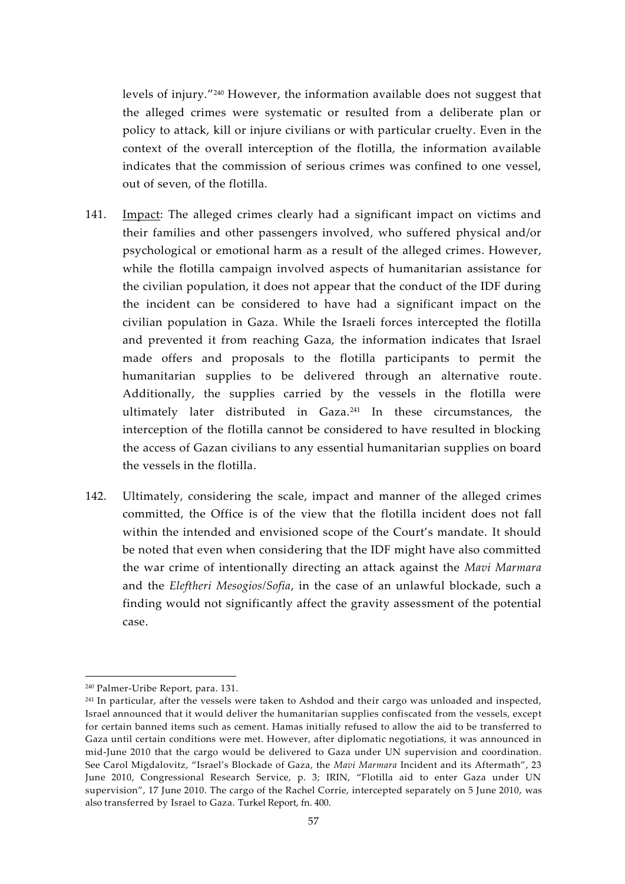levels of injury."<sup>240</sup> However, the information available does not suggest that the alleged crimes were systematic or resulted from a deliberate plan or policy to attack, kill or injure civilians or with particular cruelty. Even in the context of the overall interception of the flotilla, the information available indicates that the commission of serious crimes was confined to one vessel, out of seven, of the flotilla.

- 141. Impact: The alleged crimes clearly had a significant impact on victims and their families and other passengers involved, who suffered physical and/or psychological or emotional harm as a result of the alleged crimes. However, while the flotilla campaign involved aspects of humanitarian assistance for the civilian population, it does not appear that the conduct of the IDF during the incident can be considered to have had a significant impact on the civilian population in Gaza. While the Israeli forces intercepted the flotilla and prevented it from reaching Gaza, the information indicates that Israel made offers and proposals to the flotilla participants to permit the humanitarian supplies to be delivered through an alternative route. Additionally, the supplies carried by the vessels in the flotilla were ultimately later distributed in Gaza.<sup>241</sup> In these circumstances, the interception of the flotilla cannot be considered to have resulted in blocking the access of Gazan civilians to any essential humanitarian supplies on board the vessels in the flotilla.
- 142. Ultimately, considering the scale, impact and manner of the alleged crimes committed, the Office is of the view that the flotilla incident does not fall within the intended and envisioned scope of the Court's mandate. It should be noted that even when considering that the IDF might have also committed the war crime of intentionally directing an attack against the *Mavi Marmara* and the *Eleftheri Mesogios/Sofia*, in the case of an unlawful blockade, such a finding would not significantly affect the gravity assessment of the potential case.

<sup>240</sup> Palmer-Uribe Report, para. 131.

<sup>&</sup>lt;sup>241</sup> In particular, after the vessels were taken to Ashdod and their cargo was unloaded and inspected, Israel announced that it would deliver the humanitarian supplies confiscated from the vessels, except for certain banned items such as cement. Hamas initially refused to allow the aid to be transferred to Gaza until certain conditions were met. However, after diplomatic negotiations, it was announced in mid-June 2010 that the cargo would be delivered to Gaza under UN supervision and coordination. See Carol Migdalovitz, "Israel's Blockade of Gaza, the *Mavi Marmara* Incident and its Aftermath", 23 June 2010, Congressional Research Service, p. 3; IRIN, "Flotilla aid to enter Gaza under UN supervision", 17 June 2010. The cargo of the Rachel Corrie, intercepted separately on 5 June 2010, was also transferred by Israel to Gaza. Turkel Report, fn. 400.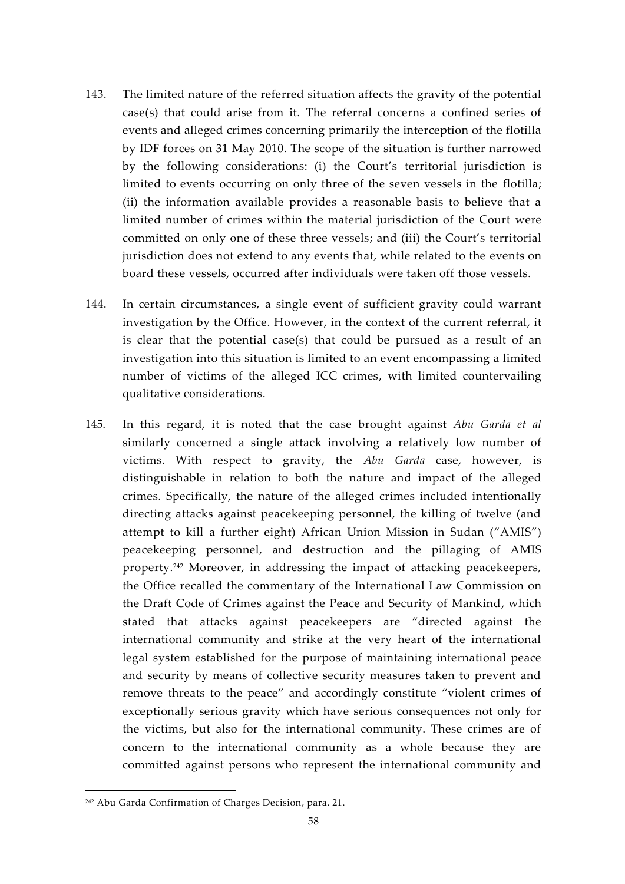- 143. The limited nature of the referred situation affects the gravity of the potential case(s) that could arise from it. The referral concerns a confined series of events and alleged crimes concerning primarily the interception of the flotilla by IDF forces on 31 May 2010. The scope of the situation is further narrowed by the following considerations: (i) the Court's territorial jurisdiction is limited to events occurring on only three of the seven vessels in the flotilla; (ii) the information available provides a reasonable basis to believe that a limited number of crimes within the material jurisdiction of the Court were committed on only one of these three vessels; and (iii) the Court's territorial jurisdiction does not extend to any events that, while related to the events on board these vessels, occurred after individuals were taken off those vessels.
- 144. In certain circumstances, a single event of sufficient gravity could warrant investigation by the Office. However, in the context of the current referral, it is clear that the potential case(s) that could be pursued as a result of an investigation into this situation is limited to an event encompassing a limited number of victims of the alleged ICC crimes, with limited countervailing qualitative considerations.
- 145. In this regard, it is noted that the case brought against *Abu Garda et al* similarly concerned a single attack involving a relatively low number of victims. With respect to gravity, the *Abu Garda* case, however, is distinguishable in relation to both the nature and impact of the alleged crimes. Specifically, the nature of the alleged crimes included intentionally directing attacks against peacekeeping personnel, the killing of twelve (and attempt to kill a further eight) African Union Mission in Sudan ("AMIS") peacekeeping personnel, and destruction and the pillaging of AMIS property.<sup>242</sup> Moreover, in addressing the impact of attacking peacekeepers, the Office recalled the commentary of the International Law Commission on the Draft Code of Crimes against the Peace and Security of Mankind, which stated that attacks against peacekeepers are "directed against the international community and strike at the very heart of the international legal system established for the purpose of maintaining international peace and security by means of collective security measures taken to prevent and remove threats to the peace" and accordingly constitute "violent crimes of exceptionally serious gravity which have serious consequences not only for the victims, but also for the international community. These crimes are of concern to the international community as a whole because they are committed against persons who represent the international community and

<sup>242</sup> Abu Garda Confirmation of Charges Decision, para. 21.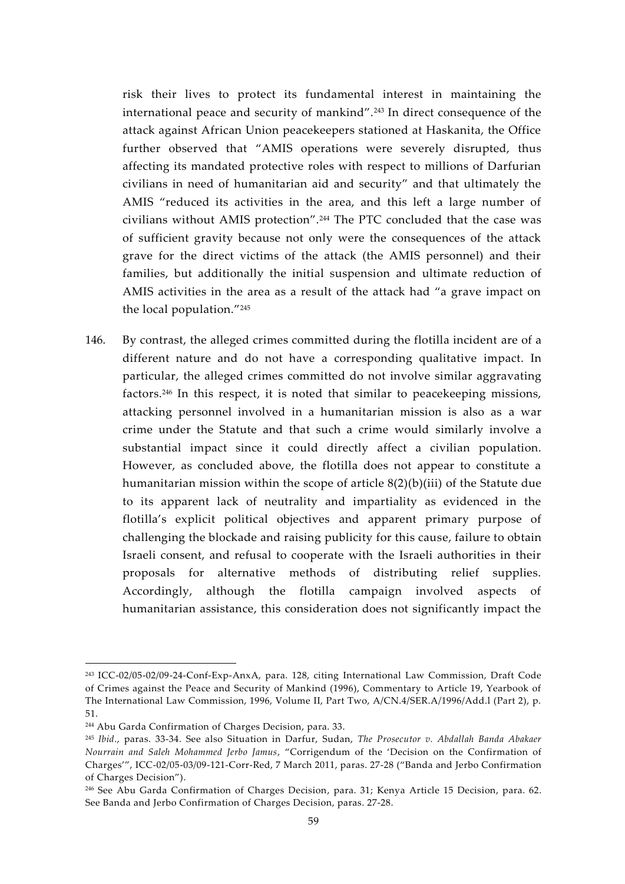risk their lives to protect its fundamental interest in maintaining the international peace and security of mankind".<sup>243</sup> In direct consequence of the attack against African Union peacekeepers stationed at Haskanita, the Office further observed that "AMIS operations were severely disrupted, thus affecting its mandated protective roles with respect to millions of Darfurian civilians in need of humanitarian aid and security" and that ultimately the AMIS "reduced its activities in the area, and this left a large number of civilians without AMIS protection".<sup>244</sup> The PTC concluded that the case was of sufficient gravity because not only were the consequences of the attack grave for the direct victims of the attack (the AMIS personnel) and their families, but additionally the initial suspension and ultimate reduction of AMIS activities in the area as a result of the attack had "a grave impact on the local population."<sup>245</sup>

146. By contrast, the alleged crimes committed during the flotilla incident are of a different nature and do not have a corresponding qualitative impact. In particular, the alleged crimes committed do not involve similar aggravating factors.<sup>246</sup> In this respect, it is noted that similar to peacekeeping missions, attacking personnel involved in a humanitarian mission is also as a war crime under the Statute and that such a crime would similarly involve a substantial impact since it could directly affect a civilian population. However, as concluded above, the flotilla does not appear to constitute a humanitarian mission within the scope of article 8(2)(b)(iii) of the Statute due to its apparent lack of neutrality and impartiality as evidenced in the flotilla's explicit political objectives and apparent primary purpose of challenging the blockade and raising publicity for this cause, failure to obtain Israeli consent, and refusal to cooperate with the Israeli authorities in their proposals for alternative methods of distributing relief supplies. Accordingly, although the flotilla campaign involved aspects of humanitarian assistance, this consideration does not significantly impact the

<sup>243</sup> ICC-02/05-02/09-24-Conf-Exp-AnxA, para. 128, citing International Law Commission, Draft Code of Crimes against the Peace and Security of Mankind (1996), Commentary to Article 19, Yearbook of The International Law Commission, 1996, Volume II, Part Two, A/CN.4/SER.A/1996/Add.l (Part 2), p. 51.

<sup>244</sup> Abu Garda Confirmation of Charges Decision, para. 33.

<sup>245</sup> *Ibid*., paras. 33-34. See also Situation in Darfur, Sudan, *The Prosecutor v. Abdallah Banda Abakaer Nourrain and Saleh Mohammed Jerbo Jamus*, "Corrigendum of the 'Decision on the Confirmation of Charges'", ICC-02/05-03/09-121-Corr-Red, 7 March 2011, paras. 27-28 ("Banda and Jerbo Confirmation of Charges Decision").

<sup>246</sup> See Abu Garda Confirmation of Charges Decision, para. 31; Kenya Article 15 Decision, para. 62. See Banda and Jerbo Confirmation of Charges Decision, paras. 27-28.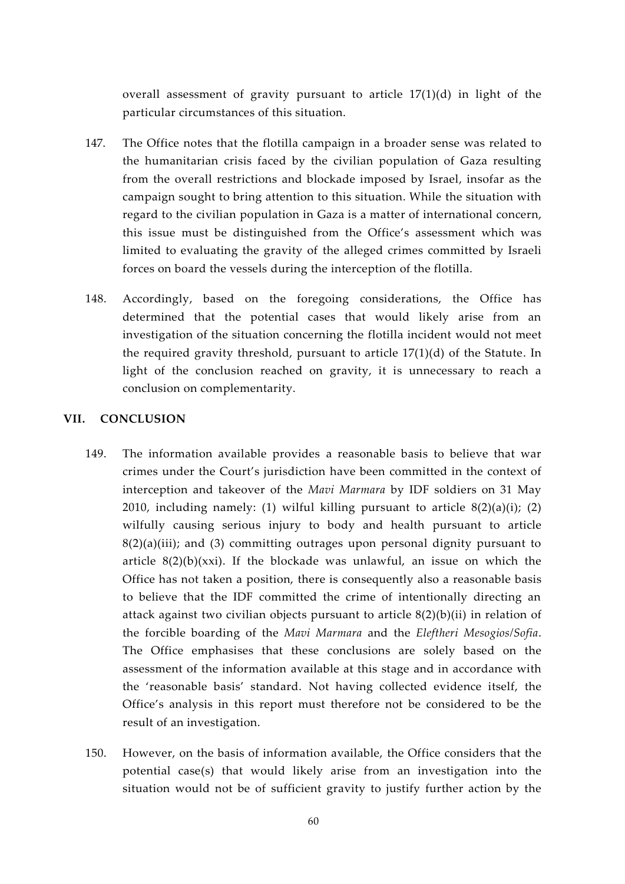overall assessment of gravity pursuant to article 17(1)(d) in light of the particular circumstances of this situation.

- 147. The Office notes that the flotilla campaign in a broader sense was related to the humanitarian crisis faced by the civilian population of Gaza resulting from the overall restrictions and blockade imposed by Israel, insofar as the campaign sought to bring attention to this situation. While the situation with regard to the civilian population in Gaza is a matter of international concern, this issue must be distinguished from the Office's assessment which was limited to evaluating the gravity of the alleged crimes committed by Israeli forces on board the vessels during the interception of the flotilla.
- 148. Accordingly, based on the foregoing considerations, the Office has determined that the potential cases that would likely arise from an investigation of the situation concerning the flotilla incident would not meet the required gravity threshold, pursuant to article 17(1)(d) of the Statute. In light of the conclusion reached on gravity, it is unnecessary to reach a conclusion on complementarity.

#### **VII. CONCLUSION**

- 149. The information available provides a reasonable basis to believe that war crimes under the Court's jurisdiction have been committed in the context of interception and takeover of the *Mavi Marmara* by IDF soldiers on 31 May 2010, including namely: (1) wilful killing pursuant to article  $8(2)(a)(i)$ ; (2) wilfully causing serious injury to body and health pursuant to article  $8(2)(a)(iii)$ ; and (3) committing outrages upon personal dignity pursuant to article  $8(2)(b)(xxi)$ . If the blockade was unlawful, an issue on which the Office has not taken a position, there is consequently also a reasonable basis to believe that the IDF committed the crime of intentionally directing an attack against two civilian objects pursuant to article 8(2)(b)(ii) in relation of the forcible boarding of the *Mavi Marmara* and the *Eleftheri Mesogios/Sofia*. The Office emphasises that these conclusions are solely based on the assessment of the information available at this stage and in accordance with the 'reasonable basis' standard. Not having collected evidence itself, the Office's analysis in this report must therefore not be considered to be the result of an investigation.
- 150. However, on the basis of information available, the Office considers that the potential case(s) that would likely arise from an investigation into the situation would not be of sufficient gravity to justify further action by the